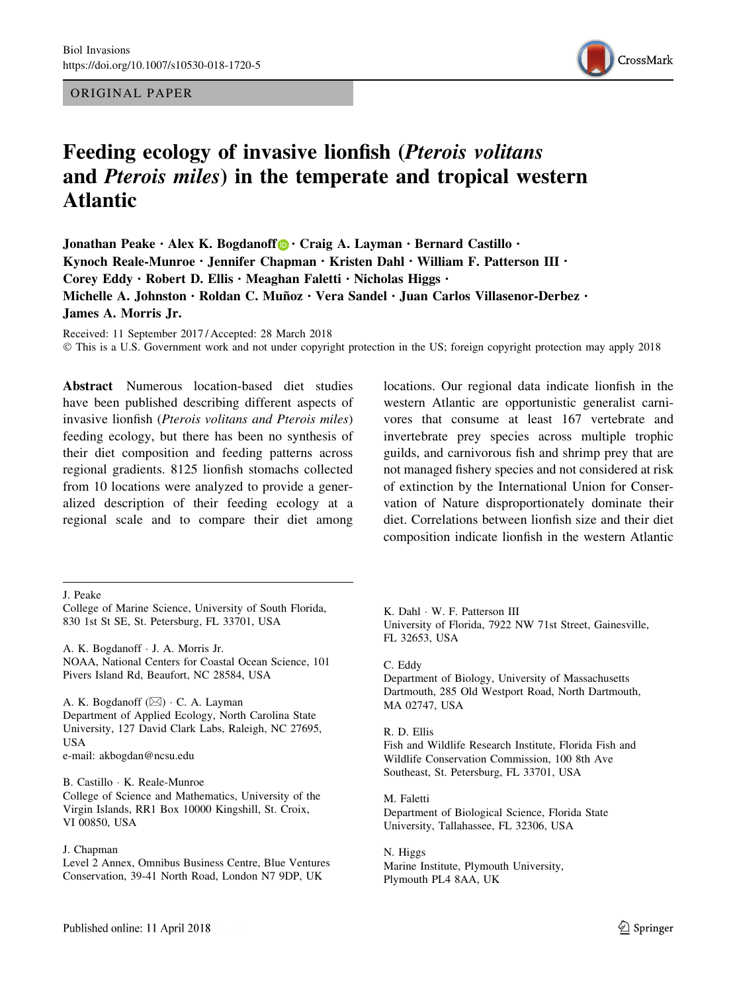ORIGINAL PAPER



# Feeding ecology of invasive lionfish (Pterois volitans and Pterois miles) in the temperate and tropical western Atlantic

Jonathan Peake · Alex K. Bogdanoff  $\bigcirc$  · Craig A. Layman · Bernard Castillo · Kynoch Reale-Munroe · Jennifer Chapman · Kristen Dahl · William F. Patterson III · Corey Eddy · Robert D. Ellis · Meaghan Faletti · Nicholas Higgs · Michelle A. Johnston · Roldan C. Muñoz · Vera Sandel · Juan Carlos Villasenor-Derbez · James A. Morris Jr.

Received: 11 September 2017 / Accepted: 28 March 2018

- This is a U.S. Government work and not under copyright protection in the US; foreign copyright protection may apply 2018

Abstract Numerous location-based diet studies have been published describing different aspects of invasive lionfish (Pterois volitans and Pterois miles) feeding ecology, but there has been no synthesis of their diet composition and feeding patterns across regional gradients. 8125 lionfish stomachs collected from 10 locations were analyzed to provide a generalized description of their feeding ecology at a regional scale and to compare their diet among

J. Peake

College of Marine Science, University of South Florida, 830 1st St SE, St. Petersburg, FL 33701, USA

A. K. Bogdanoff - J. A. Morris Jr. NOAA, National Centers for Coastal Ocean Science, 101 Pivers Island Rd, Beaufort, NC 28584, USA

A. K. Bogdanoff (&) - C. A. Layman Department of Applied Ecology, North Carolina State University, 127 David Clark Labs, Raleigh, NC 27695, **IISA** e-mail: akbogdan@ncsu.edu

B. Castillo - K. Reale-Munroe

College of Science and Mathematics, University of the Virgin Islands, RR1 Box 10000 Kingshill, St. Croix, VI 00850, USA

#### J. Chapman

Level 2 Annex, Omnibus Business Centre, Blue Ventures Conservation, 39-41 North Road, London N7 9DP, UK

locations. Our regional data indicate lionfish in the western Atlantic are opportunistic generalist carnivores that consume at least 167 vertebrate and invertebrate prey species across multiple trophic guilds, and carnivorous fish and shrimp prey that are not managed fishery species and not considered at risk of extinction by the International Union for Conservation of Nature disproportionately dominate their diet. Correlations between lionfish size and their diet composition indicate lionfish in the western Atlantic

K. Dahl - W. F. Patterson III University of Florida, 7922 NW 71st Street, Gainesville, FL 32653, USA

C. Eddy Department of Biology, University of Massachusetts Dartmouth, 285 Old Westport Road, North Dartmouth, MA 02747, USA

#### R. D. Ellis

Fish and Wildlife Research Institute, Florida Fish and Wildlife Conservation Commission, 100 8th Ave Southeast, St. Petersburg, FL 33701, USA

M. Faletti Department of Biological Science, Florida State University, Tallahassee, FL 32306, USA

N. Higgs Marine Institute, Plymouth University, Plymouth PL4 8AA, UK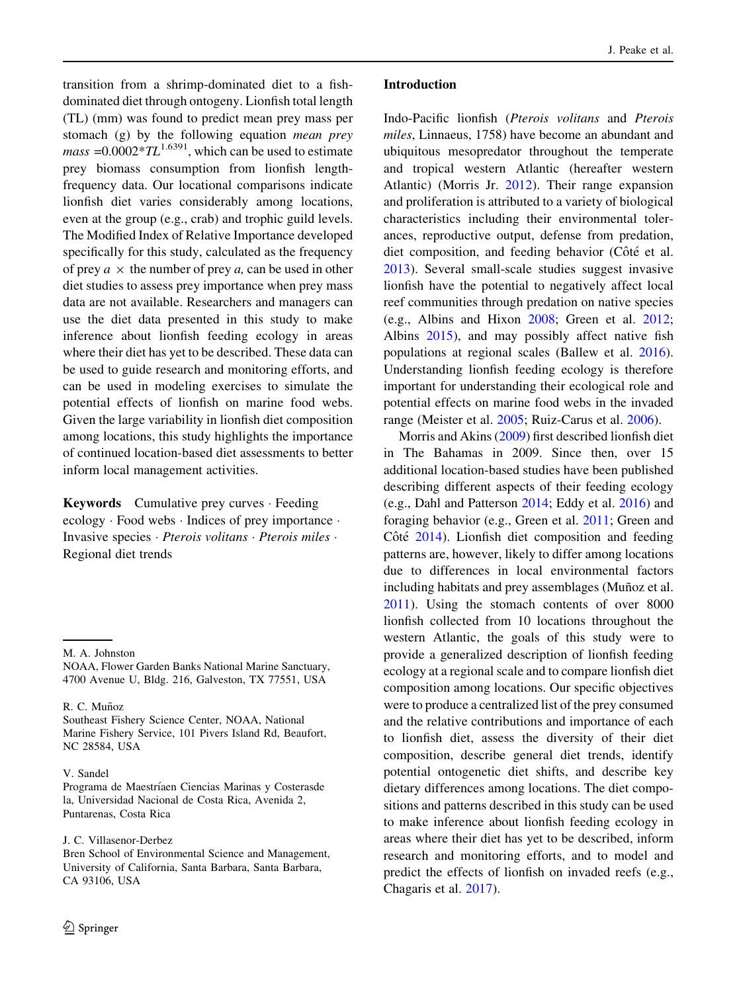transition from a shrimp-dominated diet to a fishdominated diet through ontogeny. Lionfish total length (TL) (mm) was found to predict mean prey mass per stomach (g) by the following equation *mean prey* mass = $0.0002 \times TL^{1.6391}$ , which can be used to estimate prey biomass consumption from lionfish lengthfrequency data. Our locational comparisons indicate lionfish diet varies considerably among locations, even at the group (e.g., crab) and trophic guild levels. The Modified Index of Relative Importance developed specifically for this study, calculated as the frequency of prey  $a \times$  the number of prey a, can be used in other diet studies to assess prey importance when prey mass data are not available. Researchers and managers can use the diet data presented in this study to make inference about lionfish feeding ecology in areas where their diet has yet to be described. These data can be used to guide research and monitoring efforts, and can be used in modeling exercises to simulate the potential effects of lionfish on marine food webs. Given the large variability in lionfish diet composition among locations, this study highlights the importance of continued location-based diet assessments to better inform local management activities.

Keywords Cumulative prey curves · Feeding ecology · Food webs · Indices of prey importance · Invasive species - Pterois volitans - Pterois miles - Regional diet trends

#### V. Sandel

#### J. C. Villasenor-Derbez

Bren School of Environmental Science and Management, University of California, Santa Barbara, Santa Barbara, CA 93106, USA

## Introduction

Indo-Pacific lionfish (Pterois volitans and Pterois miles, Linnaeus, 1758) have become an abundant and ubiquitous mesopredator throughout the temperate and tropical western Atlantic (hereafter western Atlantic) (Morris Jr. [2012](#page-29-0)). Their range expansion and proliferation is attributed to a variety of biological characteristics including their environmental tolerances, reproductive output, defense from predation, diet composition, and feeding behavior (Côté et al. [2013\)](#page-28-0). Several small-scale studies suggest invasive lionfish have the potential to negatively affect local reef communities through predation on native species (e.g., Albins and Hixon [2008](#page-27-0); Green et al. [2012](#page-28-0); Albins [2015\)](#page-27-0), and may possibly affect native fish populations at regional scales (Ballew et al. [2016](#page-27-0)). Understanding lionfish feeding ecology is therefore important for understanding their ecological role and potential effects on marine food webs in the invaded range (Meister et al. [2005](#page-29-0); Ruiz-Carus et al. [2006\)](#page-30-0).

Morris and Akins ([2009\)](#page-29-0) first described lionfish diet in The Bahamas in 2009. Since then, over 15 additional location-based studies have been published describing different aspects of their feeding ecology (e.g., Dahl and Patterson [2014;](#page-28-0) Eddy et al. [2016\)](#page-28-0) and foraging behavior (e.g., Green et al. [2011;](#page-28-0) Green and Côté  $2014$ ). Lionfish diet composition and feeding patterns are, however, likely to differ among locations due to differences in local environmental factors including habitats and prey assemblages (Muñoz et al. [2011\)](#page-29-0). Using the stomach contents of over 8000 lionfish collected from 10 locations throughout the western Atlantic, the goals of this study were to provide a generalized description of lionfish feeding ecology at a regional scale and to compare lionfish diet composition among locations. Our specific objectives were to produce a centralized list of the prey consumed and the relative contributions and importance of each to lionfish diet, assess the diversity of their diet composition, describe general diet trends, identify potential ontogenetic diet shifts, and describe key dietary differences among locations. The diet compositions and patterns described in this study can be used to make inference about lionfish feeding ecology in areas where their diet has yet to be described, inform research and monitoring efforts, and to model and predict the effects of lionfish on invaded reefs (e.g., Chagaris et al. [2017\)](#page-28-0).

M. A. Johnston

NOAA, Flower Garden Banks National Marine Sanctuary, 4700 Avenue U, Bldg. 216, Galveston, TX 77551, USA

R. C. Muñoz

Southeast Fishery Science Center, NOAA, National Marine Fishery Service, 101 Pivers Island Rd, Beaufort, NC 28584, USA

Programa de Maestríaen Ciencias Marinas y Costerasde la, Universidad Nacional de Costa Rica, Avenida 2, Puntarenas, Costa Rica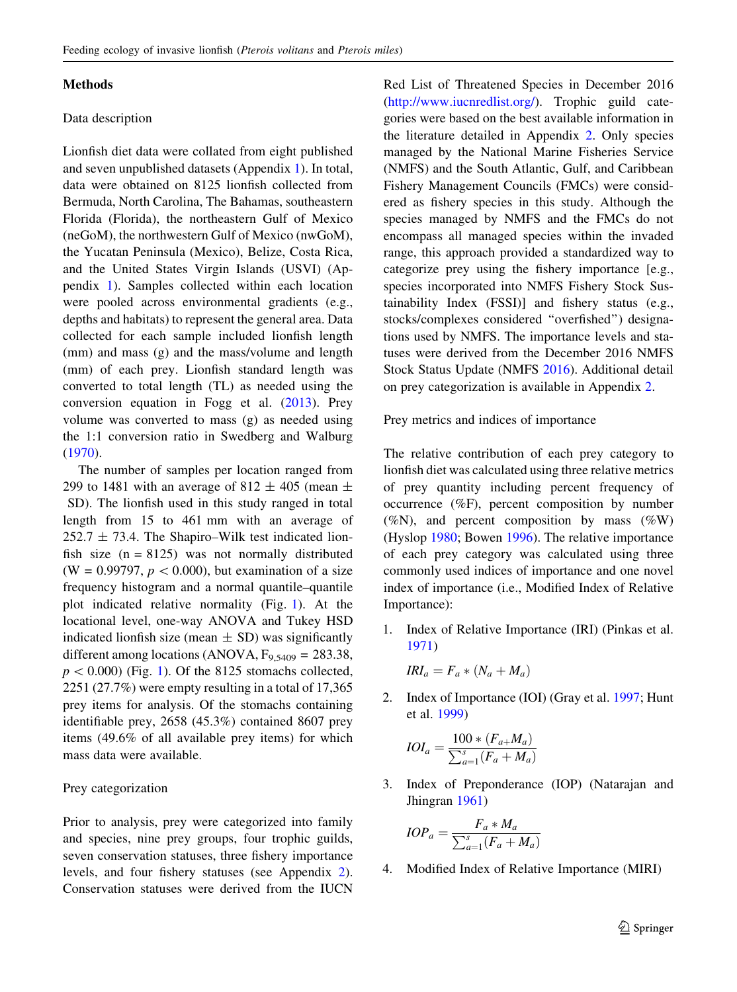## Methods

#### Data description

Lionfish diet data were collated from eight published and seven unpublished datasets (Appendix [1](#page-12-0)). In total, data were obtained on 8125 lionfish collected from Bermuda, North Carolina, The Bahamas, southeastern Florida (Florida), the northeastern Gulf of Mexico (neGoM), the northwestern Gulf of Mexico (nwGoM), the Yucatan Peninsula (Mexico), Belize, Costa Rica, and the United States Virgin Islands (USVI) (Appendix [1](#page-12-0)). Samples collected within each location were pooled across environmental gradients (e.g., depths and habitats) to represent the general area. Data collected for each sample included lionfish length (mm) and mass (g) and the mass/volume and length (mm) of each prey. Lionfish standard length was converted to total length (TL) as needed using the conversion equation in Fogg et al. ([2013\)](#page-28-0). Prey volume was converted to mass (g) as needed using the 1:1 conversion ratio in Swedberg and Walburg [\(1970](#page-30-0)).

The number of samples per location ranged from 299 to 1481 with an average of 812  $\pm$  405 (mean  $\pm$ SD). The lionfish used in this study ranged in total length from 15 to 461 mm with an average of  $252.7 \pm 73.4$ . The Shapiro–Wilk test indicated lionfish size  $(n = 8125)$  was not normally distributed (W = 0.99797,  $p < 0.000$ ), but examination of a size frequency histogram and a normal quantile–quantile plot indicated relative normality (Fig. [1](#page-3-0)). At the locational level, one-way ANOVA and Tukey HSD indicated lionfish size (mean  $\pm$  SD) was significantly different among locations (ANOVA,  $F_{9,5409} = 283.38$ ,  $p < 0.000$ ) (Fig. [1](#page-3-0)). Of the 8125 stomachs collected, 2251 (27.7%) were empty resulting in a total of 17,365 prey items for analysis. Of the stomachs containing identifiable prey, 2658 (45.3%) contained 8607 prey items (49.6% of all available prey items) for which mass data were available.

#### Prey categorization

Prior to analysis, prey were categorized into family and species, nine prey groups, four trophic guilds, seven conservation statuses, three fishery importance levels, and four fishery statuses (see Appendix 2). Conservation statuses were derived from the IUCN Red List of Threatened Species in December 2016 [\(http://www.iucnredlist.org/](http://www.iucnredlist.org/)). Trophic guild categories were based on the best available information in the literature detailed in Appendix 2. Only species managed by the National Marine Fisheries Service (NMFS) and the South Atlantic, Gulf, and Caribbean Fishery Management Councils (FMCs) were considered as fishery species in this study. Although the species managed by NMFS and the FMCs do not encompass all managed species within the invaded range, this approach provided a standardized way to categorize prey using the fishery importance [e.g., species incorporated into NMFS Fishery Stock Sustainability Index (FSSI)] and fishery status (e.g., stocks/complexes considered ''overfished'') designations used by NMFS. The importance levels and statuses were derived from the December 2016 NMFS Stock Status Update (NMFS [2016](#page-29-0)). Additional detail on prey categorization is available in Appendix 2.

Prey metrics and indices of importance

The relative contribution of each prey category to lionfish diet was calculated using three relative metrics of prey quantity including percent frequency of occurrence (%F), percent composition by number (%N), and percent composition by mass (%W) (Hyslop [1980;](#page-29-0) Bowen [1996\)](#page-27-0). The relative importance of each prey category was calculated using three commonly used indices of importance and one novel index of importance (i.e., Modified Index of Relative Importance):

1. Index of Relative Importance (IRI) (Pinkas et al. [1971\)](#page-30-0)

$$
IRI_a = F_a * (N_a + M_a)
$$

2. Index of Importance (IOI) (Gray et al. [1997](#page-28-0); Hunt et al. [1999\)](#page-29-0)

$$
IOI_a = \frac{100 * (F_{a+}M_a)}{\sum_{a=1}^{s} (F_a + M_a)}
$$

3. Index of Preponderance (IOP) (Natarajan and Jhingran [1961](#page-29-0))

$$
IOP_a = \frac{F_a * M_a}{\sum_{a=1}^s (F_a + M_a)}
$$

4. Modified Index of Relative Importance (MIRI)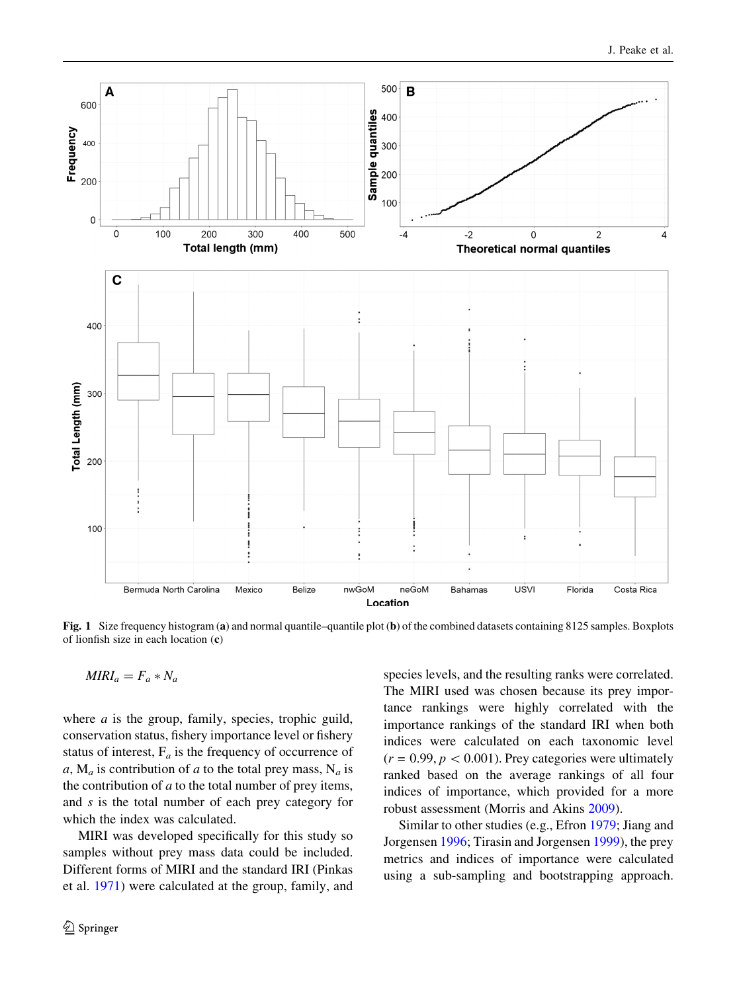<span id="page-3-0"></span>

Fig. 1 Size frequency histogram (a) and normal quantile–quantile plot (b) of the combined datasets containing 8125 samples. Boxplots of lionfish size in each location (c)

 $MIRI_a = F_a * N_a$ 

where  $a$  is the group, family, species, trophic guild, conservation status, fishery importance level or fishery status of interest,  $F_a$  is the frequency of occurrence of a,  $M_a$  is contribution of a to the total prey mass,  $N_a$  is the contribution of  $a$  to the total number of prey items, and s is the total number of each prey category for which the index was calculated.

MIRI was developed specifically for this study so samples without prey mass data could be included. Different forms of MIRI and the standard IRI (Pinkas et al. [1971\)](#page-30-0) were calculated at the group, family, and species levels, and the resulting ranks were correlated. The MIRI used was chosen because its prey importance rankings were highly correlated with the importance rankings of the standard IRI when both indices were calculated on each taxonomic level  $(r = 0.99, p < 0.001)$ . Prey categories were ultimately ranked based on the average rankings of all four indices of importance, which provided for a more robust assessment (Morris and Akins [2009\)](#page-29-0).

Similar to other studies (e.g., Efron [1979;](#page-28-0) Jiang and Jorgensen [1996;](#page-29-0) Tirasin and Jorgensen [1999](#page-30-0)), the prey metrics and indices of importance were calculated using a sub-sampling and bootstrapping approach.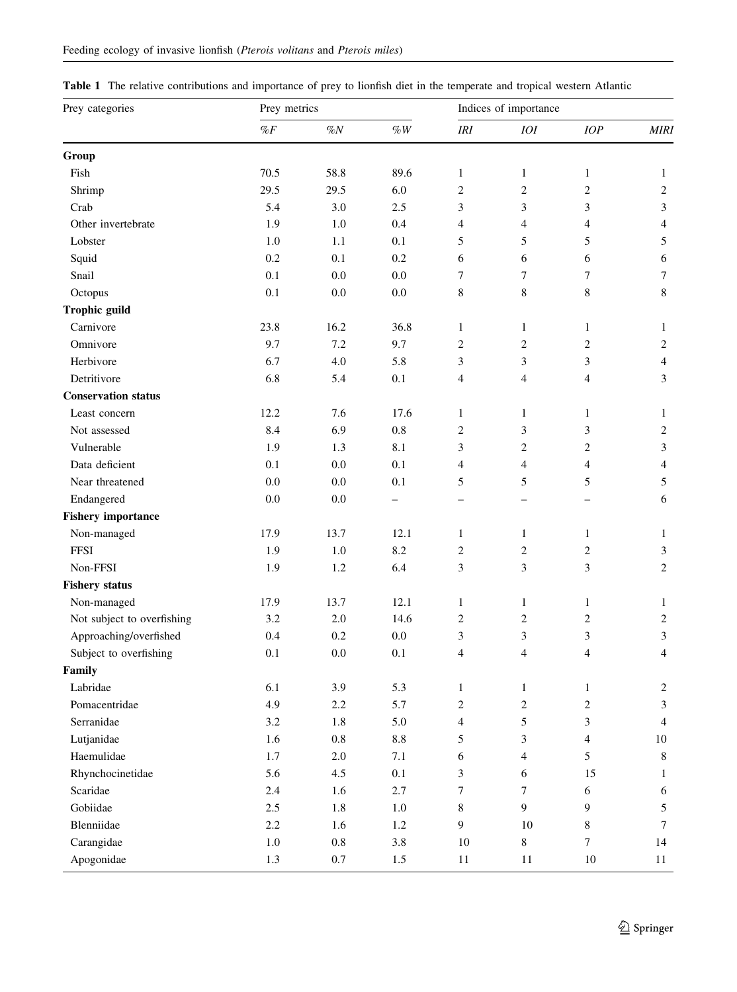<span id="page-4-0"></span>

| Feeding ecology of invasive lionfish (Pterois volitans and Pterois miles) |  |
|---------------------------------------------------------------------------|--|
|---------------------------------------------------------------------------|--|

| Prey categories            | Prey metrics |         |                   |                          | Indices of importance    |                          |                  |
|----------------------------|--------------|---------|-------------------|--------------------------|--------------------------|--------------------------|------------------|
|                            | $\%F$        | $\%N$   | $\%W$             | <b>IRI</b>               | ЮI                       | IOP                      | <b>MIRI</b>      |
| Group                      |              |         |                   |                          |                          |                          |                  |
| Fish                       | 70.5         | 58.8    | 89.6              | $\mathbf{1}$             | $\mathbf{1}$             | $\mathbf{1}$             | 1                |
| Shrimp                     | 29.5         | 29.5    | 6.0               | $\overline{c}$           | $\overline{2}$           | $\overline{c}$           | $\sqrt{2}$       |
| Crab                       | 5.4          | 3.0     | 2.5               | 3                        | 3                        | 3                        | $\mathfrak{Z}$   |
| Other invertebrate         | 1.9          | 1.0     | 0.4               | $\overline{4}$           | $\overline{4}$           | $\overline{4}$           | $\overline{4}$   |
| Lobster                    | 1.0          | 1.1     | 0.1               | 5                        | 5                        | 5                        | 5                |
| Squid                      | 0.2          | 0.1     | 0.2               | 6                        | 6                        | 6                        | 6                |
| Snail                      | 0.1          | 0.0     | $0.0\,$           | $\overline{7}$           | 7                        | 7                        | $\tau$           |
| Octopus                    | 0.1          | 0.0     | $0.0\,$           | 8                        | 8                        | 8                        | 8                |
| Trophic guild              |              |         |                   |                          |                          |                          |                  |
| Carnivore                  | 23.8         | 16.2    | 36.8              | $\mathbf{1}$             | $\mathbf{1}$             | $\mathbf{1}$             | 1                |
| Omnivore                   | 9.7          | 7.2     | 9.7               | $\overline{c}$           | $\overline{c}$           | $\overline{c}$           | $\sqrt{2}$       |
| Herbivore                  | 6.7          | 4.0     | 5.8               | 3                        | 3                        | 3                        | $\overline{4}$   |
| Detritivore                | 6.8          | 5.4     | 0.1               | 4                        | $\overline{4}$           | $\overline{4}$           | 3                |
| <b>Conservation status</b> |              |         |                   |                          |                          |                          |                  |
| Least concern              | 12.2         | 7.6     | 17.6              | $\mathbf{1}$             | $\mathbf{1}$             | $\mathbf{1}$             | $\mathbf{1}$     |
| Not assessed               | 8.4          | 6.9     | 0.8               | $\overline{c}$           | 3                        | 3                        | $\mathfrak{2}$   |
| Vulnerable                 | 1.9          | 1.3     | 8.1               | 3                        | $\overline{c}$           | $\mathfrak{2}$           | 3                |
| Data deficient             | 0.1          | 0.0     | 0.1               | 4                        | $\overline{4}$           | $\overline{4}$           | $\overline{4}$   |
| Near threatened            | 0.0          | 0.0     | 0.1               | 5                        | 5                        | 5                        | 5                |
| Endangered                 | 0.0          | 0.0     | $\qquad \qquad -$ | $\overline{\phantom{0}}$ | $\overline{\phantom{0}}$ | $\overline{\phantom{0}}$ | 6                |
| <b>Fishery importance</b>  |              |         |                   |                          |                          |                          |                  |
| Non-managed                | 17.9         | 13.7    | 12.1              | $\mathbf{1}$             | $\mathbf{1}$             | $\mathbf{1}$             | $\mathbf{1}$     |
| <b>FFSI</b>                | 1.9          | 1.0     | 8.2               | $\overline{c}$           | $\sqrt{2}$               | $\overline{c}$           | 3                |
| Non-FFSI                   | 1.9          | 1.2     | 6.4               | 3                        | 3                        | 3                        | $\mathfrak{2}$   |
| <b>Fishery status</b>      |              |         |                   |                          |                          |                          |                  |
| Non-managed                | 17.9         | 13.7    | 12.1              | $\mathbf{1}$             | $\mathbf{1}$             | $\mathbf{1}$             | 1                |
| Not subject to overfishing | 3.2          | 2.0     | 14.6              | $\overline{c}$           | $\overline{c}$           | $\overline{c}$           | $\sqrt{2}$       |
| Approaching/overfished     | 0.4          | 0.2     | $0.0\,$           | 3                        | 3                        | 3                        | $\mathfrak{Z}$   |
| Subject to overfishing     | 0.1          | $0.0\,$ | 0.1               | $\overline{4}$           | $\overline{4}$           | $\overline{4}$           | $\overline{4}$   |
| Family                     |              |         |                   |                          |                          |                          |                  |
| Labridae                   | 6.1          | 3.9     | 5.3               | $\mathbf{1}$             | $\mathbf{1}$             | $\mathbf{1}$             | $\overline{c}$   |
| Pomacentridae              | 4.9          | $2.2\,$ | 5.7               | $\sqrt{2}$               | $\sqrt{2}$               | $\sqrt{2}$               | 3                |
| Serranidae                 | 3.2          | $1.8\,$ | 5.0               | $\overline{4}$           | 5                        | 3                        | $\overline{4}$   |
| Lutjanidae                 | 1.6          | $0.8\,$ | $8.8\,$           | 5                        | $\mathfrak{Z}$           | $\sqrt{4}$               | 10               |
| Haemulidae                 | $1.7\,$      | $2.0\,$ | 7.1               | $\epsilon$               | $\overline{4}$           | 5                        | 8                |
| Rhynchocinetidae           | 5.6          | 4.5     | 0.1               | 3                        | 6                        | 15                       | $\mathbf{1}$     |
| Scaridae                   | $2.4\,$      | 1.6     | 2.7               | $\tau$                   | $\tau$                   | 6                        | 6                |
| Gobiidae                   | 2.5          | 1.8     | $1.0\,$           | $\,8\,$                  | 9                        | 9                        | $\mathfrak s$    |
| Blenniidae                 | $2.2\,$      | 1.6     | 1.2               | 9                        | 10                       | $8\,$                    | $\boldsymbol{7}$ |
| Carangidae                 | $1.0\,$      | $0.8\,$ | 3.8               | 10                       | 8                        | $7\phantom{.}$           | 14               |
| Apogonidae                 | $1.3\,$      | $0.7\,$ | 1.5               | $11\,$                   | $11\,$                   | 10                       | 11               |

Table 1 The relative contributions and importance of prey to lionfish diet in the temperate and tropical western Atlantic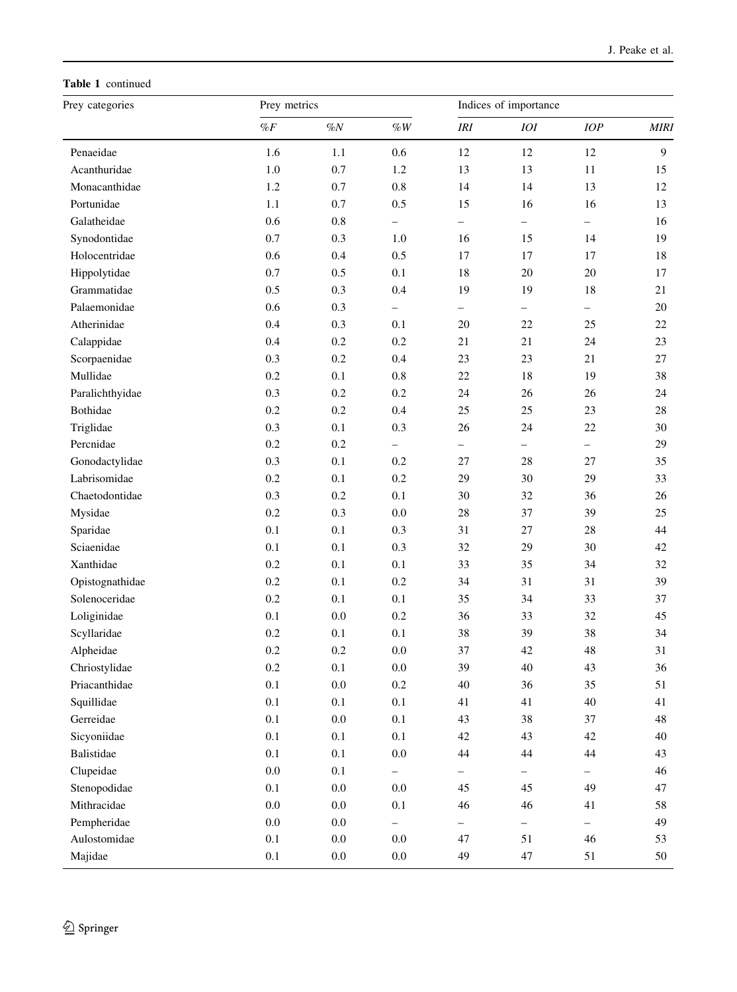Table 1 continued

| Prey categories | Prey metrics |         |                          |                          | Indices of importance    |                          |                |
|-----------------|--------------|---------|--------------------------|--------------------------|--------------------------|--------------------------|----------------|
|                 | $\%F$        | $\%N$   | $\%W$                    | IRI                      | <b>IOI</b>               | $\cal IOP$               | <b>MIRI</b>    |
| Penaeidae       | 1.6          | 1.1     | 0.6                      | $12\,$                   | 12                       | 12                       | $\overline{9}$ |
| Acanthuridae    | $1.0\,$      | 0.7     | 1.2                      | 13                       | 13                       | 11                       | 15             |
| Monacanthidae   | 1.2          | 0.7     | $0.8\,$                  | 14                       | 14                       | 13                       | 12             |
| Portunidae      | 1.1          | 0.7     | 0.5                      | 15                       | 16                       | 16                       | 13             |
| Galatheidae     | 0.6          | 0.8     | $\overline{\phantom{0}}$ | $\overline{\phantom{0}}$ | $\overline{\phantom{0}}$ | $\overline{\phantom{0}}$ | 16             |
| Synodontidae    | 0.7          | 0.3     | 1.0                      | 16                       | 15                       | 14                       | 19             |
| Holocentridae   | 0.6          | 0.4     | 0.5                      | 17                       | 17                       | 17                       | 18             |
| Hippolytidae    | 0.7          | 0.5     | 0.1                      | 18                       | 20                       | 20                       | 17             |
| Grammatidae     | 0.5          | 0.3     | 0.4                      | 19                       | 19                       | 18                       | 21             |
| Palaemonidae    | 0.6          | 0.3     | -                        | $\overline{\phantom{0}}$ | $\overline{\phantom{0}}$ | $\overline{\phantom{0}}$ | 20             |
| Atherinidae     | 0.4          | 0.3     | 0.1                      | 20                       | 22                       | 25                       | $22\,$         |
| Calappidae      | 0.4          | 0.2     | 0.2                      | 21                       | 21                       | 24                       | 23             |
| Scorpaenidae    | 0.3          | 0.2     | 0.4                      | 23                       | 23                       | 21                       | 27             |
| Mullidae        | 0.2          | 0.1     | 0.8                      | 22                       | 18                       | 19                       | 38             |
| Paralichthyidae | 0.3          | 0.2     | 0.2                      | 24                       | 26                       | 26                       | 24             |
| Bothidae        | 0.2          | 0.2     | 0.4                      | 25                       | 25                       | 23                       | 28             |
| Triglidae       | 0.3          | 0.1     | 0.3                      | 26                       | 24                       | $22\,$                   | 30             |
| Percnidae       | 0.2          | 0.2     | $\overline{\phantom{0}}$ | $\overline{\phantom{0}}$ | $\overline{\phantom{0}}$ | $\qquad \qquad -$        | 29             |
| Gonodactylidae  | 0.3          | 0.1     | 0.2                      | 27                       | $28\,$                   | 27                       | 35             |
| Labrisomidae    | 0.2          | 0.1     | 0.2                      | 29                       | 30                       | 29                       | 33             |
| Chaetodontidae  | 0.3          | 0.2     | 0.1                      | 30                       | 32                       | 36                       | 26             |
| Mysidae         | $0.2\,$      | 0.3     | $0.0\,$                  | 28                       | 37                       | 39                       | 25             |
| Sparidae        | 0.1          | 0.1     | 0.3                      | 31                       | 27                       | 28                       | 44             |
| Sciaenidae      | 0.1          | 0.1     | 0.3                      | 32                       | 29                       | 30                       | 42             |
| Xanthidae       | 0.2          | 0.1     | 0.1                      | 33                       | 35                       | 34                       | 32             |
| Opistognathidae | 0.2          | 0.1     | 0.2                      | 34                       | 31                       | 31                       | 39             |
| Solenoceridae   | $0.2\,$      | 0.1     | 0.1                      | 35                       | 34                       | 33                       | 37             |
| Loliginidae     | 0.1          | 0.0     | 0.2                      | 36                       | 33                       | 32                       | 45             |
| Scyllaridae     | $0.2\,$      | 0.1     | 0.1                      | 38                       | 39                       | 38                       | 34             |
| Alpheidae       | 0.2          | 0.2     | $0.0\,$                  | 37                       | 42                       | 48                       | 31             |
| Chriostylidae   | $0.2\,$      | 0.1     | $0.0\,$                  | 39                       | 40                       | 43                       | 36             |
| Priacanthidae   | 0.1          | 0.0     | 0.2                      | 40                       | 36                       | 35                       | 51             |
| Squillidae      | $0.1\,$      | 0.1     | $0.1\,$                  | 41                       | $41\,$                   | $40\,$                   | 41             |
| Gerreidae       | 0.1          | $0.0\,$ | $0.1\,$                  | 43                       | $38\,$                   | 37                       | $\sqrt{48}$    |
| Sicyoniidae     | 0.1          | 0.1     | 0.1                      | $42\,$                   | 43                       | $42\,$                   | 40             |
| Balistidae      | 0.1          | 0.1     | $0.0\,$                  | 44                       | 44                       | 44                       | 43             |
| Clupeidae       | $0.0\,$      | $0.1\,$ | -                        | $\overline{\phantom{0}}$ | $\overline{\phantom{0}}$ | -                        | 46             |
| Stenopodidae    | 0.1          | $0.0\,$ | $0.0\,$                  | 45                       | 45                       | 49                       | 47             |
| Mithracidae     | $0.0\,$      | $0.0\,$ | 0.1                      | 46                       | 46                       | 41                       | 58             |
| Pempheridae     | $0.0\,$      | $0.0\,$ | $\overline{\phantom{0}}$ | -                        | $\overline{\phantom{0}}$ |                          | 49             |
| Aulostomidae    | $0.1\,$      | $0.0\,$ | $0.0\,$                  | 47                       | 51                       | 46                       | 53             |
| Majidae         | $0.1\,$      | $0.0\,$ | $0.0\,$                  | 49                       | 47                       | $51\,$                   | 50             |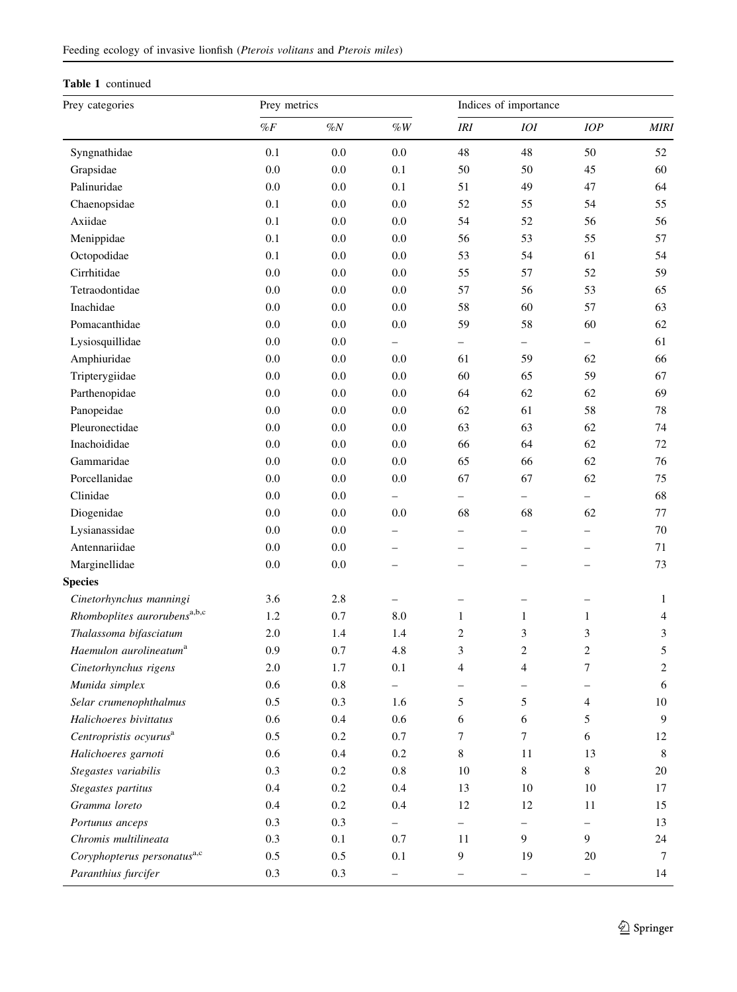| Prey categories                          | Prey metrics |         |                          |                          | Indices of importance    |                          |                |
|------------------------------------------|--------------|---------|--------------------------|--------------------------|--------------------------|--------------------------|----------------|
|                                          | $\%F$        | $\%N$   | $\%W$                    | <b>IRI</b>               | <b>IOI</b>               | IOP                      | <b>MIRI</b>    |
| Syngnathidae                             | 0.1          | $0.0\,$ | $0.0\,$                  | 48                       | 48                       | 50                       | 52             |
| Grapsidae                                | 0.0          | 0.0     | 0.1                      | 50                       | 50                       | 45                       | 60             |
| Palinuridae                              | 0.0          | 0.0     | 0.1                      | 51                       | 49                       | 47                       | 64             |
| Chaenopsidae                             | 0.1          | 0.0     | 0.0                      | 52                       | 55                       | 54                       | 55             |
| Axiidae                                  | 0.1          | 0.0     | $0.0\,$                  | 54                       | 52                       | 56                       | 56             |
| Menippidae                               | 0.1          | 0.0     | 0.0                      | 56                       | 53                       | 55                       | 57             |
| Octopodidae                              | 0.1          | $0.0\,$ | $0.0\,$                  | 53                       | 54                       | 61                       | 54             |
| Cirrhitidae                              | $0.0\,$      | $0.0\,$ | $0.0\,$                  | 55                       | 57                       | 52                       | 59             |
| Tetraodontidae                           | 0.0          | 0.0     | $0.0\,$                  | 57                       | 56                       | 53                       | 65             |
| Inachidae                                | 0.0          | 0.0     | $0.0\,$                  | 58                       | 60                       | 57                       | 63             |
| Pomacanthidae                            | 0.0          | 0.0     | $0.0\,$                  | 59                       | 58                       | 60                       | 62             |
| Lysiosquillidae                          | 0.0          | 0.0     | -                        | $\overline{\phantom{0}}$ | $\overline{\phantom{0}}$ | $\overline{\phantom{0}}$ | 61             |
| Amphiuridae                              | 0.0          | 0.0     | $0.0\,$                  | 61                       | 59                       | 62                       | 66             |
| Tripterygiidae                           | 0.0          | 0.0     | $0.0\,$                  | 60                       | 65                       | 59                       | 67             |
| Parthenopidae                            | $0.0\,$      | 0.0     | $0.0\,$                  | 64                       | 62                       | 62                       | 69             |
| Panopeidae                               | 0.0          | $0.0\,$ | $0.0\,$                  | 62                       | 61                       | 58                       | 78             |
| Pleuronectidae                           | 0.0          | 0.0     | $0.0\,$                  | 63                       | 63                       | 62                       | 74             |
| Inachoididae                             | 0.0          | 0.0     | $0.0\,$                  | 66                       | 64                       | 62                       | 72             |
| Gammaridae                               | 0.0          | 0.0     | 0.0                      | 65                       | 66                       | 62                       | 76             |
| Porcellanidae                            | 0.0          | $0.0\,$ | $0.0\,$                  | 67                       | 67                       | 62                       | 75             |
| Clinidae                                 | 0.0          | 0.0     | -                        | $\overline{\phantom{0}}$ | $\overline{\phantom{0}}$ | $\overline{\phantom{0}}$ | 68             |
| Diogenidae                               | $0.0\,$      | 0.0     | 0.0                      | 68                       | 68                       | 62                       | 77             |
| Lysianassidae                            | $0.0\,$      | 0.0     | -                        | $\overline{\phantom{0}}$ | -                        | -                        | 70             |
| Antennariidae                            | $0.0\,$      | $0.0\,$ | $\overline{\phantom{0}}$ | $\overline{\phantom{0}}$ | $\overline{\phantom{0}}$ | $\overline{\phantom{0}}$ | 71             |
| Marginellidae                            | 0.0          | 0.0     | $\overline{\phantom{0}}$ | -                        | $\overline{\phantom{0}}$ | $\overline{\phantom{0}}$ | 73             |
| <b>Species</b>                           |              |         |                          |                          |                          |                          |                |
| Cinetorhynchus manningi                  | 3.6          | 2.8     | -                        | $\overline{\phantom{0}}$ | -                        | -                        | 1              |
| Rhomboplites aurorubens <sup>a,b,c</sup> | 1.2          | 0.7     | 8.0                      | $\mathbf{1}$             | $\mathbf{1}$             | $\mathbf{1}$             | $\overline{4}$ |
| Thalassoma bifasciatum                   | 2.0          | 1.4     | 1.4                      | $\overline{c}$           | 3                        | 3                        | $\mathfrak{Z}$ |
| Haemulon aurolineatum <sup>a</sup>       | 0.9          | 0.7     | 4.8                      | 3                        | 2                        | $\overline{2}$           | 5              |
| Cinetorhynchus rigens                    | 2.0          | 1.7     | 0.1                      | 4                        | 4                        | 7                        | $\sqrt{2}$     |
| Munida simplex                           | 0.6          | 0.8     | $\overline{\phantom{0}}$ |                          | $\overline{\phantom{0}}$ |                          | 6              |
| Selar crumenophthalmus                   | 0.5          | 0.3     | 1.6                      | 5                        | 5                        | 4                        | 10             |
| Halichoeres bivittatus                   | 0.6          | 0.4     | $0.6\,$                  | 6                        | 6                        | 5                        | 9              |
| Centropristis ocyurus <sup>a</sup>       | 0.5          | 0.2     | 0.7                      | 7                        | $\boldsymbol{7}$         | 6                        | 12             |
| Halichoeres garnoti                      | 0.6          | 0.4     | $0.2\,$                  | $\,8\,$                  | 11                       | 13                       | $\,8\,$        |
| Stegastes variabilis                     | 0.3          | 0.2     | $0.8\,$                  | 10                       | 8                        | 8                        | 20             |
| Stegastes partitus                       | 0.4          | $0.2\,$ | $0.4\,$                  | 13                       | 10                       | $10\,$                   | 17             |
| Gramma loreto                            | 0.4          | $0.2\,$ | 0.4                      | 12                       | 12                       | 11                       | 15             |
| Portunus anceps                          | 0.3          | 0.3     | $-$                      |                          |                          |                          | 13             |
| Chromis multilineata                     | 0.3          | 0.1     | 0.7                      | 11                       | 9                        | 9                        | 24             |
| Coryphopterus personatus <sup>a,c</sup>  | 0.5          | 0.5     | 0.1                      | 9                        | 19                       | 20                       | 7              |
| Paranthius furcifer                      | 0.3          | 0.3     | $\overline{\phantom{0}}$ |                          | -                        | $\qquad \qquad -$        | 14             |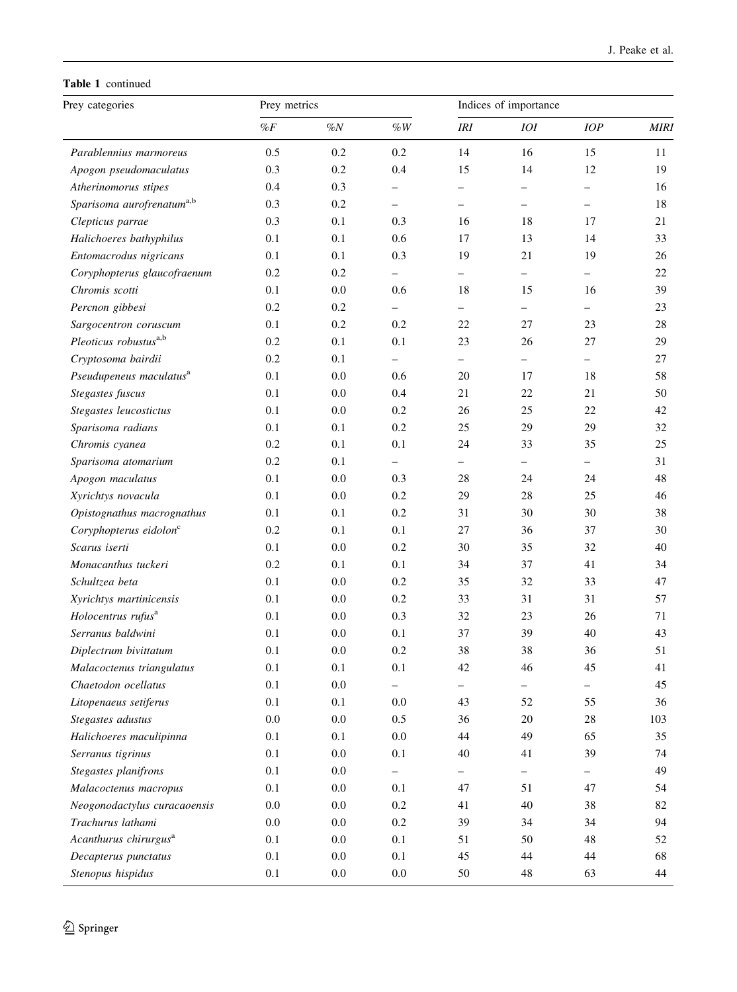| Prey categories                       | Prey metrics |         |                          |                          | Indices of importance    |                          |             |
|---------------------------------------|--------------|---------|--------------------------|--------------------------|--------------------------|--------------------------|-------------|
|                                       | $\%F$        | $\%N$   | $\%W$                    | <b>IRI</b>               | <b>IOI</b>               | IOP                      | <b>MIRI</b> |
| Parablennius marmoreus                | 0.5          | 0.2     | 0.2                      | 14                       | 16                       | 15                       | 11          |
| Apogon pseudomaculatus                | 0.3          | 0.2     | 0.4                      | 15                       | 14                       | 12                       | 19          |
| Atherinomorus stipes                  | 0.4          | 0.3     |                          |                          |                          |                          | 16          |
| Sparisoma aurofrenatum <sup>a,b</sup> | 0.3          | 0.2     | $\overline{\phantom{0}}$ |                          | $\qquad \qquad -$        | $\overline{\phantom{0}}$ | 18          |
| Clepticus parrae                      | 0.3          | 0.1     | 0.3                      | 16                       | 18                       | 17                       | 21          |
| Halichoeres bathyphilus               | 0.1          | 0.1     | 0.6                      | 17                       | 13                       | 14                       | 33          |
| Entomacrodus nigricans                | 0.1          | 0.1     | 0.3                      | 19                       | 21                       | 19                       | 26          |
| Coryphopterus glaucofraenum           | 0.2          | 0.2     | -                        | $\overline{\phantom{0}}$ | $\overline{\phantom{0}}$ | $\overline{\phantom{0}}$ | 22          |
| Chromis scotti                        | 0.1          | 0.0     | 0.6                      | 18                       | 15                       | 16                       | 39          |
| Percnon gibbesi                       | 0.2          | 0.2     | $\overline{\phantom{0}}$ | $\overline{\phantom{0}}$ | -                        |                          | 23          |
| Sargocentron coruscum                 | 0.1          | 0.2     | 0.2                      | 22                       | 27                       | 23                       | 28          |
| Pleoticus robustus <sup>a,b</sup>     | 0.2          | 0.1     | 0.1                      | 23                       | 26                       | 27                       | 29          |
| Cryptosoma bairdii                    | 0.2          | 0.1     | $\overline{\phantom{0}}$ | $\overline{\phantom{0}}$ | -                        | $\overline{\phantom{0}}$ | 27          |
| Pseudupeneus maculatus <sup>a</sup>   | 0.1          | 0.0     | 0.6                      | 20                       | 17                       | 18                       | 58          |
| <b>Stegastes fuscus</b>               | 0.1          | 0.0     | 0.4                      | 21                       | 22                       | 21                       | 50          |
| Stegastes leucostictus                | 0.1          | 0.0     | 0.2                      | 26                       | 25                       | 22                       | 42          |
| Sparisoma radians                     | 0.1          | 0.1     | 0.2                      | 25                       | 29                       | 29                       | 32          |
| Chromis cyanea                        | 0.2          | 0.1     | 0.1                      | 24                       | 33                       | 35                       | 25          |
| Sparisoma atomarium                   | 0.2          | 0.1     | -                        | $\overline{\phantom{0}}$ | $\overline{\phantom{0}}$ |                          | 31          |
| Apogon maculatus                      | 0.1          | 0.0     | 0.3                      | 28                       | 24                       | 24                       | 48          |
| Xyrichtys novacula                    | 0.1          | 0.0     | 0.2                      | 29                       | 28                       | 25                       | 46          |
| Opistognathus macrognathus            | 0.1          | 0.1     | 0.2                      | 31                       | 30                       | 30                       | 38          |
| Coryphopterus eidolon <sup>c</sup>    | 0.2          | 0.1     | 0.1                      | 27                       | 36                       | 37                       | 30          |
| Scarus iserti                         | 0.1          | 0.0     | 0.2                      | 30                       | 35                       | 32                       | 40          |
| Monacanthus tuckeri                   | 0.2          | 0.1     | 0.1                      | 34                       | 37                       | 41                       | 34          |
| Schultzea beta                        | 0.1          | 0.0     | 0.2                      | 35                       | 32                       | 33                       | 47          |
| Xyrichtys martinicensis               | 0.1          | 0.0     | 0.2                      | 33                       | 31                       | 31                       | 57          |
| Holocentrus rufus <sup>a</sup>        | 0.1          | 0.0     | 0.3                      | 32                       | 23                       | 26                       | 71          |
| Serranus baldwini                     | 0.1          | 0.0     | 0.1                      | 37                       | 39                       | 40                       | 43          |
| Diplectrum bivittatum                 | 0.1          | 0.0     | 0.2                      | 38                       | 38                       | 36                       | 51          |
| Malacoctenus triangulatus             | 0.1          | 0.1     | 0.1                      | 42                       | 46                       | 45                       | 41          |
| Chaetodon ocellatus                   | 0.1          | 0.0     | $\overline{\phantom{0}}$ | $\overline{\phantom{0}}$ | $\overline{\phantom{0}}$ | $\overline{\phantom{0}}$ | 45          |
| Litopenaeus setiferus                 | 0.1          | 0.1     | $0.0\,$                  | 43                       | 52                       | 55                       | 36          |
| Stegastes adustus                     | 0.0          | 0.0     | 0.5                      | 36                       | 20                       | 28                       | 103         |
| Halichoeres maculipinna               | 0.1          | 0.1     | $0.0\,$                  | 44                       | 49                       | 65                       | 35          |
| Serranus tigrinus                     | 0.1          | $0.0\,$ | 0.1                      | 40                       | 41                       | 39                       | 74          |
| Stegastes planifrons                  | 0.1          | 0.0     | $\overline{\phantom{0}}$ | $\overline{\phantom{0}}$ | $\overline{\phantom{0}}$ | $\overline{\phantom{0}}$ | 49          |
| Malacoctenus macropus                 | 0.1          | $0.0\,$ | 0.1                      | 47                       | 51                       | 47                       | 54          |
| Neogonodactylus curacaoensis          | $0.0\,$      | $0.0\,$ | $0.2\,$                  | 41                       | 40                       | 38                       | 82          |
| Trachurus lathami                     | 0.0          | 0.0     | $0.2\,$                  | 39                       | 34                       | 34                       | 94          |
| Acanthurus chirurgus <sup>a</sup>     | 0.1          | $0.0\,$ | $0.1\,$                  | 51                       | 50                       | 48                       | 52          |
| Decapterus punctatus                  | 0.1          | 0.0     | 0.1                      | 45                       | 44                       | 44                       | 68          |
| Stenopus hispidus                     | 0.1          | 0.0     | $0.0\,$                  | 50                       | 48                       | 63                       | 44          |
|                                       |              |         |                          |                          |                          |                          |             |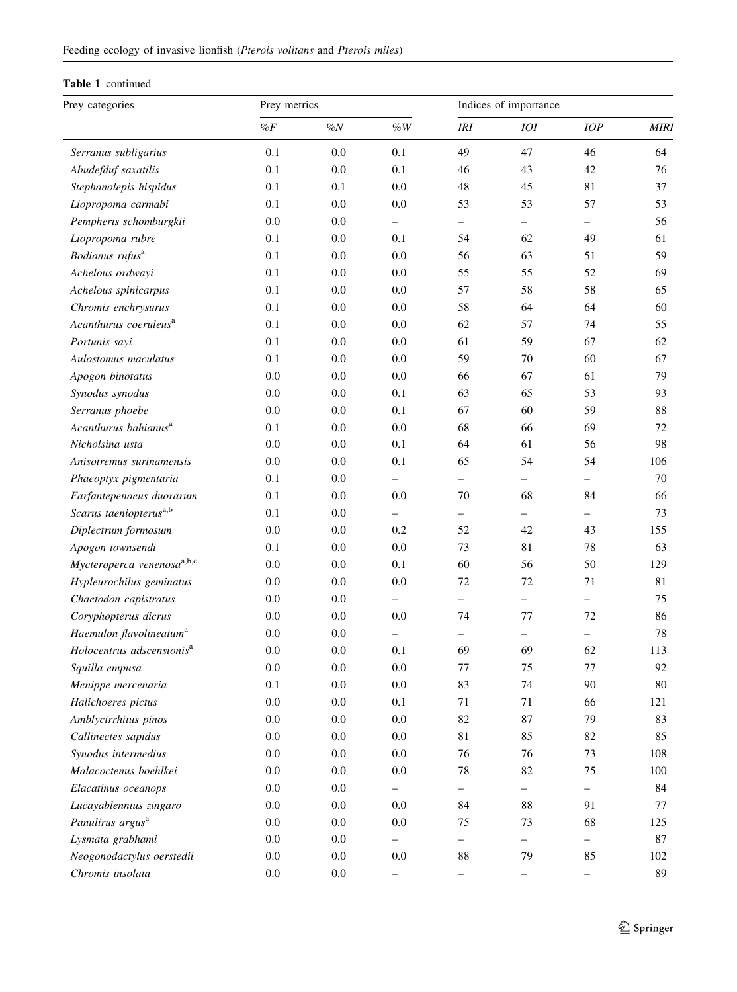| Prey categories                       | Prey metrics |         |                          |                          | Indices of importance    |                          |             |
|---------------------------------------|--------------|---------|--------------------------|--------------------------|--------------------------|--------------------------|-------------|
|                                       | $\%F$        | $\%N$   | $\%W$                    | IRI                      | <b>IOI</b>               | IOP                      | <b>MIRI</b> |
| Serranus subligarius                  | 0.1          | 0.0     | 0.1                      | 49                       | 47                       | 46                       | 64          |
| Abudefduf saxatilis                   | 0.1          | 0.0     | 0.1                      | 46                       | 43                       | 42                       | 76          |
| Stephanolepis hispidus                | 0.1          | 0.1     | 0.0                      | 48                       | 45                       | 81                       | 37          |
| Liopropoma carmabi                    | 0.1          | 0.0     | 0.0                      | 53                       | 53                       | 57                       | 53          |
| Pempheris schomburgkii                | 0.0          | 0.0     | $\overline{\phantom{0}}$ | $\overline{\phantom{0}}$ | $\overline{\phantom{0}}$ | $\overline{\phantom{0}}$ | 56          |
| Liopropoma rubre                      | 0.1          | 0.0     | 0.1                      | 54                       | 62                       | 49                       | 61          |
| Bodianus rufus <sup>a</sup>           | 0.1          | 0.0     | 0.0                      | 56                       | 63                       | 51                       | 59          |
| Achelous ordwayi                      | 0.1          | 0.0     | 0.0                      | 55                       | 55                       | 52                       | 69          |
| Achelous spinicarpus                  | 0.1          | 0.0     | 0.0                      | 57                       | 58                       | 58                       | 65          |
| Chromis enchrysurus                   | 0.1          | 0.0     | 0.0                      | 58                       | 64                       | 64                       | 60          |
| Acanthurus coeruleus <sup>a</sup>     | 0.1          | 0.0     | 0.0                      | 62                       | 57                       | 74                       | 55          |
| Portunis sayi                         | 0.1          | 0.0     | 0.0                      | 61                       | 59                       | 67                       | 62          |
| Aulostomus maculatus                  | 0.1          | 0.0     | 0.0                      | 59                       | 70                       | 60                       | 67          |
| Apogon binotatus                      | 0.0          | 0.0     | 0.0                      | 66                       | 67                       | 61                       | 79          |
| Synodus synodus                       | 0.0          | 0.0     | 0.1                      | 63                       | 65                       | 53                       | 93          |
| Serranus phoebe                       | 0.0          | 0.0     | 0.1                      | 67                       | 60                       | 59                       | 88          |
| Acanthurus bahianus <sup>a</sup>      | 0.1          | 0.0     | 0.0                      | 68                       | 66                       | 69                       | 72          |
| Nicholsina usta                       | 0.0          | 0.0     | 0.1                      | 64                       | 61                       | 56                       | 98          |
| Anisotremus surinamensis              | 0.0          | 0.0     | 0.1                      | 65                       | 54                       | 54                       | 106         |
| Phaeoptyx pigmentaria                 | 0.1          | 0.0     | $\overline{\phantom{0}}$ | $\overline{\phantom{0}}$ | $\overline{\phantom{0}}$ | $\overline{\phantom{0}}$ | 70          |
| Farfantepenaeus duorarum              | 0.1          | 0.0     | 0.0                      | 70                       | 68                       | 84                       | 66          |
| Scarus taeniopterus <sup>a,b</sup>    | 0.1          | 0.0     | $\overline{\phantom{0}}$ | -                        | -                        | -                        | 73          |
| Diplectrum formosum                   | 0.0          | 0.0     | 0.2                      | 52                       | 42                       | 43                       | 155         |
| Apogon townsendi                      | 0.1          | 0.0     | 0.0                      | 73                       | 81                       | 78                       | 63          |
| Mycteroperca venenosaa,b,c            | 0.0          | 0.0     | 0.1                      | 60                       | 56                       | 50                       | 129         |
| Hypleurochilus geminatus              | 0.0          | 0.0     | 0.0                      | 72                       | 72                       | 71                       | 81          |
| Chaetodon capistratus                 | 0.0          | 0.0     | $\overline{\phantom{0}}$ | $\overline{\phantom{0}}$ | $\overline{\phantom{0}}$ | $\overline{\phantom{0}}$ | 75          |
| Coryphopterus dicrus                  | 0.0          | 0.0     | 0.0                      | 74                       | 77                       | 72                       | 86          |
| Haemulon flavolineatum <sup>a</sup>   | 0.0          | 0.0     | $\overline{\phantom{0}}$ | $\overline{\phantom{0}}$ | $\overline{\phantom{0}}$ | $\overline{\phantom{0}}$ | 78          |
| Holocentrus adscensionis <sup>a</sup> | 0.0          | 0.0     | 0.1                      | 69                       | 69                       | 62                       | 113         |
| Squilla empusa                        | 0.0          | 0.0     | 0.0                      | 77                       | 75                       | 77                       | 92          |
| Menippe mercenaria                    | 0.1          | 0.0     | 0.0                      | 83                       | 74                       | 90                       | 80          |
| Halichoeres pictus                    | $0.0\,$      | $0.0\,$ | 0.1                      | 71                       | 71                       | 66                       | 121         |
| Amblycirrhitus pinos                  | 0.0          | 0.0     | 0.0                      | 82                       | 87                       | 79                       | 83          |
| Callinectes sapidus                   | 0.0          | $0.0\,$ | $0.0\,$                  | $81\,$                   | 85                       | 82                       | 85          |
| Synodus intermedius                   | $0.0\,$      | $0.0\,$ | $0.0\,$                  | 76                       | 76                       | 73                       | 108         |
| Malacoctenus boehlkei                 | 0.0          | $0.0\,$ | $0.0\,$                  | 78                       | 82                       | 75                       | 100         |
| Elacatinus oceanops                   | $0.0\,$      | $0.0\,$ | $\overline{\phantom{0}}$ | -                        | -                        | -                        | 84          |
| Lucayablennius zingaro                | 0.0          | $0.0\,$ | $0.0\,$                  | 84                       | 88                       | 91                       | 77          |
| Panulirus argus <sup>a</sup>          | 0.0          | 0.0     | $0.0\,$                  | 75                       | 73                       | 68                       | 125         |
| Lysmata grabhami                      | $0.0\,$      | $0.0\,$ | $\overline{\phantom{0}}$ | $\overline{\phantom{0}}$ | $\overline{\phantom{0}}$ | $\overline{\phantom{0}}$ | 87          |
| Neogonodactylus oerstedii             | $0.0\,$      | $0.0\,$ | $0.0\,$                  | 88                       | 79                       | 85                       | 102         |
| Chromis insolata                      | 0.0          | 0.0     | $\overline{\phantom{a}}$ | $\overline{\phantom{0}}$ | $\overline{\phantom{0}}$ | $\overline{\phantom{0}}$ | 89          |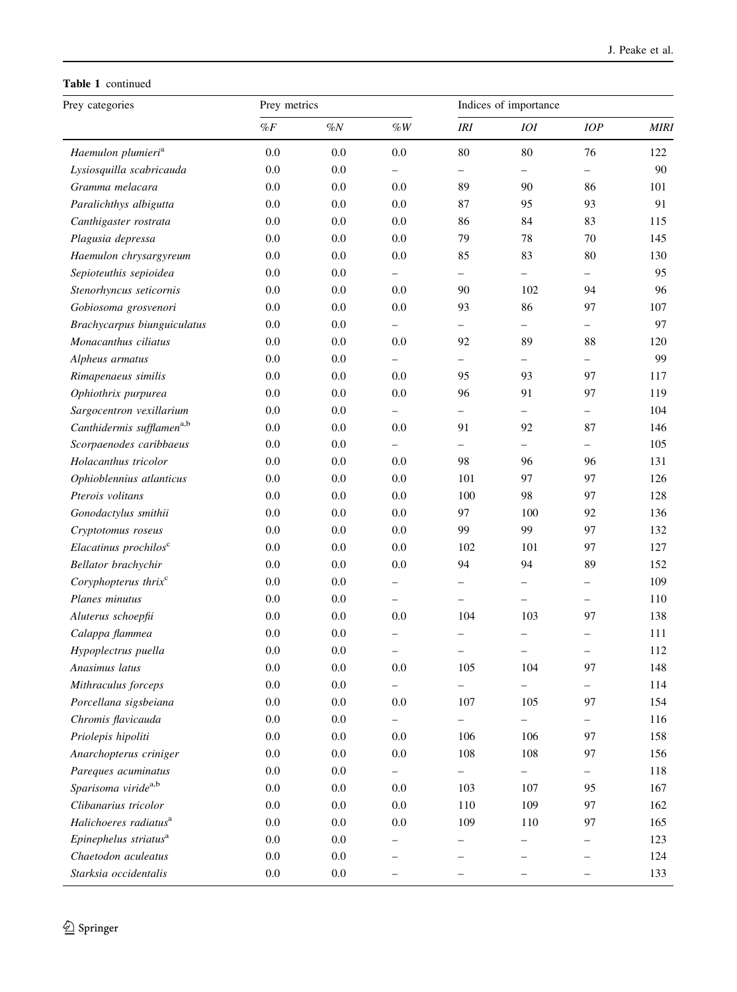Table 1 continued

| Prey categories                       | Prey metrics |         |                          |                          | Indices of importance    |                          |             |
|---------------------------------------|--------------|---------|--------------------------|--------------------------|--------------------------|--------------------------|-------------|
|                                       | $\%F$        | $\%N$   | $\%W$                    | <b>IRI</b>               | <b>IOI</b>               | IOP                      | <b>MIRI</b> |
| Haemulon plumieri <sup>a</sup>        | 0.0          | 0.0     | 0.0                      | 80                       | 80                       | 76                       | 122         |
| Lysiosquilla scabricauda              | 0.0          | 0.0     | $\overline{\phantom{0}}$ |                          | $\overline{\phantom{0}}$ | $\overline{\phantom{0}}$ | 90          |
| Gramma melacara                       | 0.0          | 0.0     | 0.0                      | 89                       | 90                       | 86                       | 101         |
| Paralichthys albigutta                | 0.0          | 0.0     | 0.0                      | 87                       | 95                       | 93                       | 91          |
| Canthigaster rostrata                 | 0.0          | 0.0     | 0.0                      | 86                       | 84                       | 83                       | 115         |
| Plagusia depressa                     | 0.0          | 0.0     | 0.0                      | 79                       | 78                       | 70                       | 145         |
| Haemulon chrysargyreum                | 0.0          | 0.0     | 0.0                      | 85                       | 83                       | 80                       | 130         |
| Sepioteuthis sepioidea                | 0.0          | 0.0     | $\overline{\phantom{0}}$ | $\overline{\phantom{0}}$ | $\overline{\phantom{0}}$ | -                        | 95          |
| Stenorhyncus seticornis               | 0.0          | 0.0     | 0.0                      | 90                       | 102                      | 94                       | 96          |
| Gobiosoma grosvenori                  | 0.0          | 0.0     | $0.0\,$                  | 93                       | 86                       | 97                       | 107         |
| Brachycarpus biunguiculatus           | 0.0          | 0.0     | $\overline{\phantom{0}}$ | $\overline{\phantom{0}}$ | $\overline{\phantom{0}}$ | $\overline{\phantom{0}}$ | 97          |
| Monacanthus ciliatus                  | 0.0          | 0.0     | 0.0                      | 92                       | 89                       | 88                       | 120         |
| Alpheus armatus                       | 0.0          | 0.0     | $\overline{\phantom{0}}$ | $\overline{\phantom{0}}$ | $\qquad \qquad -$        | -                        | 99          |
| Rimapenaeus similis                   | 0.0          | 0.0     | 0.0                      | 95                       | 93                       | 97                       | 117         |
| Ophiothrix purpurea                   | 0.0          | 0.0     | 0.0                      | 96                       | 91                       | 97                       | 119         |
| Sargocentron vexillarium              | 0.0          | 0.0     |                          | $\overline{\phantom{0}}$ | $\overline{\phantom{0}}$ | $\overline{\phantom{0}}$ | 104         |
| Canthidermis sufflamen <sup>a,b</sup> | 0.0          | 0.0     | 0.0                      | 91                       | 92                       | 87                       | 146         |
| Scorpaenodes caribbaeus               | 0.0          | 0.0     | $\overline{\phantom{0}}$ | $\overline{\phantom{0}}$ | ÷.                       |                          | 105         |
| Holacanthus tricolor                  | 0.0          | 0.0     | 0.0                      | 98                       | 96                       | 96                       | 131         |
| Ophioblennius atlanticus              | 0.0          | 0.0     | 0.0                      | 101                      | 97                       | 97                       | 126         |
| Pterois volitans                      | 0.0          | 0.0     | 0.0                      | 100                      | 98                       | 97                       | 128         |
| Gonodactylus smithii                  | $0.0\,$      | 0.0     | 0.0                      | 97                       | 100                      | 92                       | 136         |
| Cryptotomus roseus                    | 0.0          | 0.0     | 0.0                      | 99                       | 99                       | 97                       | 132         |
| Elacatinus prochilos <sup>c</sup>     | $0.0\,$      | 0.0     | 0.0                      | 102                      | 101                      | 97                       | 127         |
| Bellator brachychir                   | 0.0          | 0.0     | 0.0                      | 94                       | 94                       | 89                       | 152         |
| Coryphopterus thrix <sup>c</sup>      | $0.0\,$      | 0.0     | $\overline{\phantom{0}}$ | $\overline{\phantom{0}}$ |                          |                          | 109         |
| Planes minutus                        | 0.0          | 0.0     | $\overline{\phantom{0}}$ | $\overline{\phantom{0}}$ | $\overline{\phantom{0}}$ | $\overline{\phantom{0}}$ | 110         |
| Aluterus schoepfii                    | 0.0          | 0.0     | 0.0                      | 104                      | 103                      | 97                       | 138         |
| Calappa flammea                       | 0.0          | 0.0     | -                        | -                        | -                        | $\overline{\phantom{0}}$ | 111         |
| Hypoplectrus puella                   | 0.0          | 0.0     | ÷,                       |                          |                          |                          | 112         |
| Anasimus latus                        | 0.0          | 0.0     | 0.0                      | 105                      | 104                      | 97                       | 148         |
| Mithraculus forceps                   | 0.0          | 0.0     | $\overline{\phantom{0}}$ | $\overline{\phantom{0}}$ | $\overline{\phantom{0}}$ | $\overline{\phantom{0}}$ | 114         |
| Porcellana sigsbeiana                 | $0.0\,$      | 0.0     | $0.0\,$                  | 107                      | 105                      | 97                       | 154         |
| Chromis flavicauda                    | 0.0          | 0.0     | -                        | $\qquad \qquad -$        | $\overline{\phantom{0}}$ |                          | 116         |
| Priolepis hipoliti                    | $0.0\,$      | 0.0     | $0.0\,$                  | 106                      | 106                      | 97                       | 158         |
| Anarchopterus criniger                | $0.0\,$      | 0.0     | $0.0\,$                  | 108                      | 108                      | 97                       | 156         |
| Pareques acuminatus                   | $0.0\,$      | $0.0\,$ | -                        | $\qquad \qquad -$        | -                        | -                        | 118         |
| Sparisoma viride <sup>a,b</sup>       | $0.0\,$      | 0.0     | $0.0\,$                  | 103                      | 107                      | 95                       | 167         |
| Clibanarius tricolor                  | $0.0\,$      | 0.0     | $0.0\,$                  | 110                      | 109                      | 97                       | 162         |
| Halichoeres radiatus <sup>a</sup>     | $0.0\,$      | 0.0     | $0.0\,$                  | 109                      | 110                      | 97                       | 165         |
| Epinephelus striatus <sup>a</sup>     | 0.0          | 0.0     |                          |                          |                          |                          | 123         |
| Chaetodon aculeatus                   | $0.0\,$      | $0.0\,$ |                          |                          |                          |                          | 124         |
| Starksia occidentalis                 | $0.0\,$      | $0.0\,$ |                          |                          |                          |                          | 133         |
|                                       |              |         |                          |                          |                          |                          |             |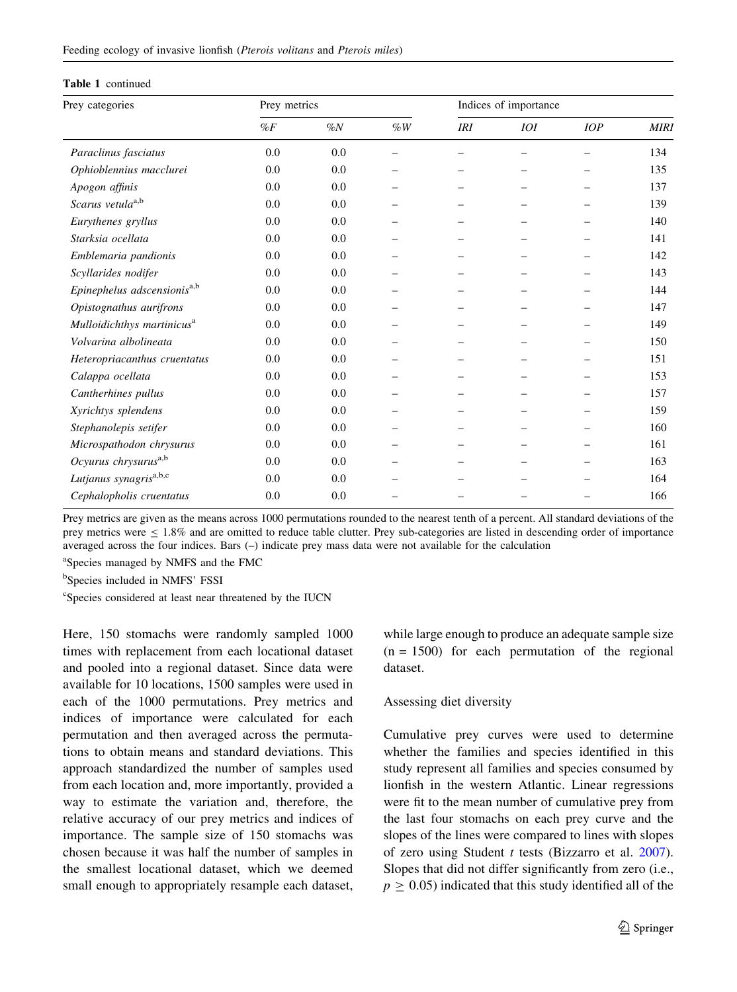| Prey categories                         | Prey metrics |       |       |            | Indices of importance |     |             |
|-----------------------------------------|--------------|-------|-------|------------|-----------------------|-----|-------------|
|                                         | %F           | $\%N$ | $\%W$ | <b>IRI</b> | <i>IOI</i>            | IOP | <b>MIRI</b> |
| Paraclinus fasciatus                    | 0.0          | 0.0   |       |            |                       |     | 134         |
| Ophioblennius macclurei                 | 0.0          | 0.0   |       |            |                       |     | 135         |
| Apogon affinis                          | 0.0          | 0.0   |       |            |                       |     | 137         |
| Scarus vetula <sup>a,b</sup>            | 0.0          | 0.0   |       |            |                       |     | 139         |
| Eurythenes gryllus                      | 0.0          | 0.0   |       |            |                       |     | 140         |
| Starksia ocellata                       | 0.0          | 0.0   |       |            |                       |     | 141         |
| Emblemaria pandionis                    | 0.0          | 0.0   |       |            |                       |     | 142         |
| Scyllarides nodifer                     | 0.0          | 0.0   |       |            |                       |     | 143         |
| Epinephelus adscensionis <sup>a,b</sup> | 0.0          | 0.0   |       |            |                       |     | 144         |
| Opistognathus aurifrons                 | 0.0          | 0.0   |       |            |                       |     | 147         |
| Mulloidichthys martinicus <sup>a</sup>  | 0.0          | 0.0   |       |            |                       |     | 149         |
| Volvarina albolineata                   | 0.0          | 0.0   |       |            |                       |     | 150         |
| Heteropriacanthus cruentatus            | 0.0          | 0.0   |       |            |                       |     | 151         |
| Calappa ocellata                        | 0.0          | 0.0   |       |            |                       |     | 153         |
| Cantherhines pullus                     | 0.0          | 0.0   |       |            |                       |     | 157         |
| Xyrichtys splendens                     | 0.0          | 0.0   |       |            |                       |     | 159         |
| Stephanolepis setifer                   | 0.0          | 0.0   |       |            |                       |     | 160         |
| Microspathodon chrysurus                | 0.0          | 0.0   |       |            |                       |     | 161         |
| Ocyurus chrysurus <sup>a,b</sup>        | 0.0          | 0.0   |       |            |                       |     | 163         |
| Lutjanus synagris <sup>a,b,c</sup>      | 0.0          | 0.0   |       |            |                       |     | 164         |
| Cephalopholis cruentatus                | 0.0          | 0.0   |       |            |                       |     | 166         |
|                                         |              |       |       |            |                       |     |             |

Prey metrics are given as the means across 1000 permutations rounded to the nearest tenth of a percent. All standard deviations of the prey metrics were  $\leq 1.8\%$  and are omitted to reduce table clutter. Prey sub-categories are listed in descending order of importance averaged across the four indices. Bars (–) indicate prey mass data were not available for the calculation

a Species managed by NMFS and the FMC

<sup>b</sup>Species included in NMFS' FSSI

c Species considered at least near threatened by the IUCN

Here, 150 stomachs were randomly sampled 1000 times with replacement from each locational dataset and pooled into a regional dataset. Since data were available for 10 locations, 1500 samples were used in each of the 1000 permutations. Prey metrics and indices of importance were calculated for each permutation and then averaged across the permutations to obtain means and standard deviations. This approach standardized the number of samples used from each location and, more importantly, provided a way to estimate the variation and, therefore, the relative accuracy of our prey metrics and indices of importance. The sample size of 150 stomachs was chosen because it was half the number of samples in the smallest locational dataset, which we deemed small enough to appropriately resample each dataset,

while large enough to produce an adequate sample size  $(n = 1500)$  for each permutation of the regional dataset.

## Assessing diet diversity

Cumulative prey curves were used to determine whether the families and species identified in this study represent all families and species consumed by lionfish in the western Atlantic. Linear regressions were fit to the mean number of cumulative prey from the last four stomachs on each prey curve and the slopes of the lines were compared to lines with slopes of zero using Student  $t$  tests (Bizzarro et al. [2007](#page-27-0)). Slopes that did not differ significantly from zero (i.e.,  $p > 0.05$ ) indicated that this study identified all of the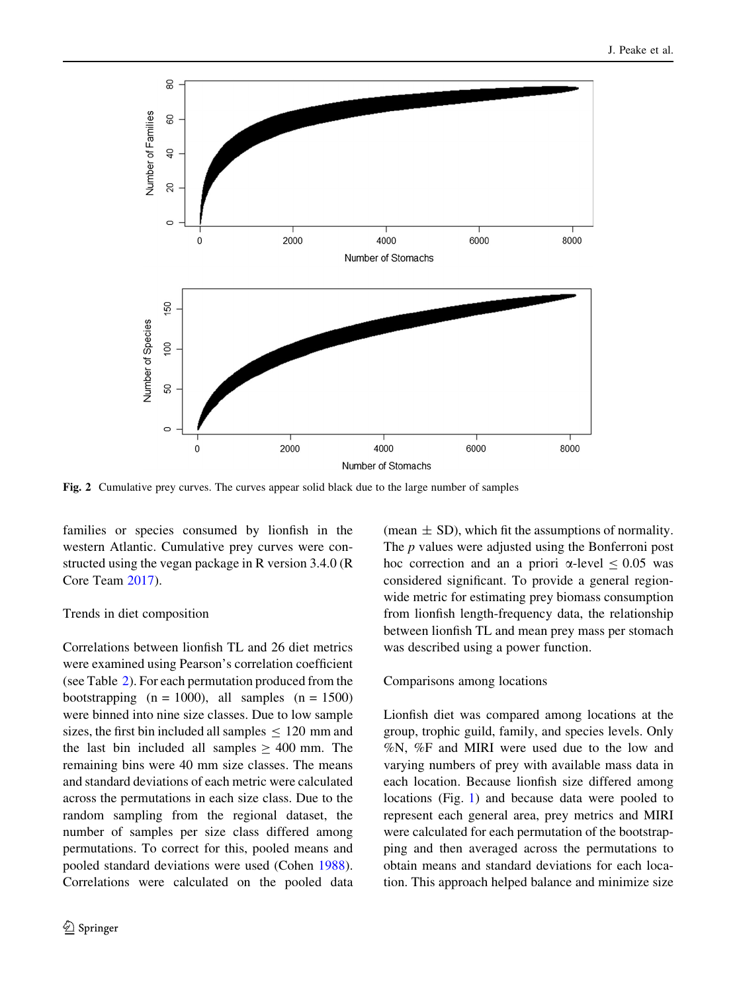<span id="page-11-0"></span>

Fig. 2 Cumulative prey curves. The curves appear solid black due to the large number of samples

families or species consumed by lionfish in the western Atlantic. Cumulative prey curves were constructed using the vegan package in R version 3.4.0 (R Core Team [2017\)](#page-30-0).

### Trends in diet composition

Correlations between lionfish TL and 26 diet metrics were examined using Pearson's correlation coefficient (see Table [2\)](#page-12-0). For each permutation produced from the bootstrapping  $(n = 1000)$ , all samples  $(n = 1500)$ were binned into nine size classes. Due to low sample sizes, the first bin included all samples  $\leq 120$  mm and the last bin included all samples  $> 400$  mm. The remaining bins were 40 mm size classes. The means and standard deviations of each metric were calculated across the permutations in each size class. Due to the random sampling from the regional dataset, the number of samples per size class differed among permutations. To correct for this, pooled means and pooled standard deviations were used (Cohen [1988](#page-28-0)). Correlations were calculated on the pooled data (mean  $\pm$  SD), which fit the assumptions of normality. The *p* values were adjusted using the Bonferroni post hoc correction and an a priori  $\alpha$ -level  $\leq 0.05$  was considered significant. To provide a general regionwide metric for estimating prey biomass consumption from lionfish length-frequency data, the relationship between lionfish TL and mean prey mass per stomach was described using a power function.

#### Comparisons among locations

Lionfish diet was compared among locations at the group, trophic guild, family, and species levels. Only %N, %F and MIRI were used due to the low and varying numbers of prey with available mass data in each location. Because lionfish size differed among locations (Fig. [1\)](#page-3-0) and because data were pooled to represent each general area, prey metrics and MIRI were calculated for each permutation of the bootstrapping and then averaged across the permutations to obtain means and standard deviations for each location. This approach helped balance and minimize size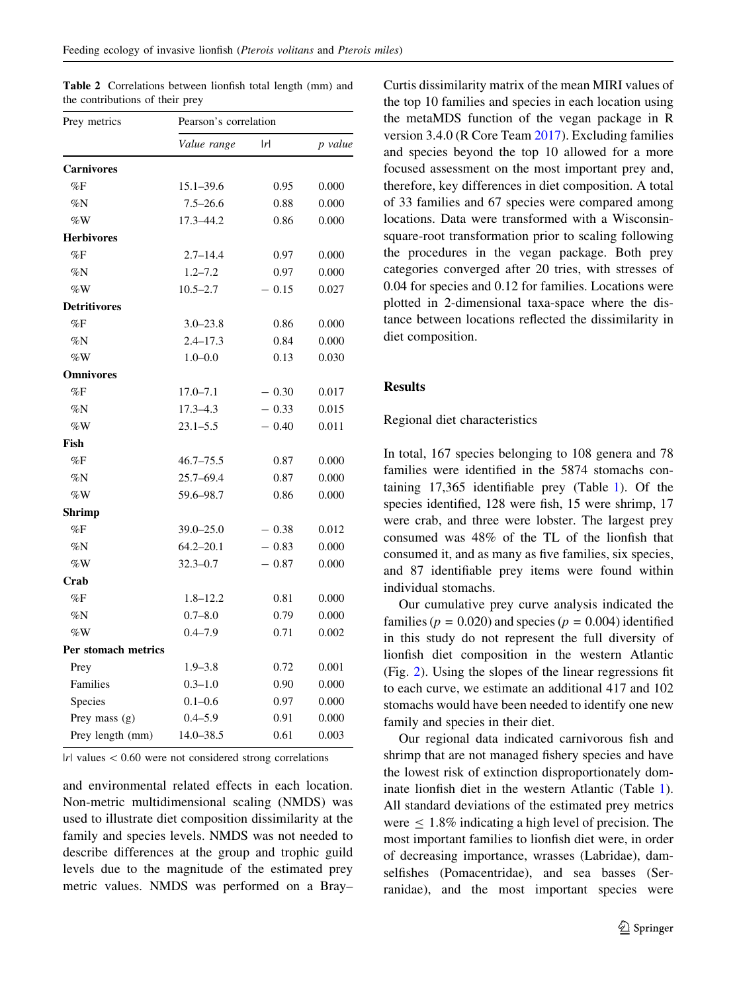<span id="page-12-0"></span>

| <b>Table 2</b> Correlations between lionfish total length (mm) and |  |  |  |
|--------------------------------------------------------------------|--|--|--|
| the contributions of their prey                                    |  |  |  |

| Prey metrics               | Pearson's correlation |         |         |
|----------------------------|-----------------------|---------|---------|
|                            | Value range           | r       | p value |
| <b>Carnivores</b>          |                       |         |         |
| $\%$ F                     | $15.1 - 39.6$         | 0.95    | 0.000   |
| $\%\rm{N}$                 | $7.5 - 26.6$          | 0.88    | 0.000   |
| %W                         | 17.3-44.2             | 0.86    | 0.000   |
| <b>Herbivores</b>          |                       |         |         |
| $\%$ F                     | $2.7 - 14.4$          | 0.97    | 0.000   |
| $\%N$                      | $1.2 - 7.2$           | 0.97    | 0.000   |
| $\%W$                      | $10.5 - 2.7$          | $-0.15$ | 0.027   |
| <b>Detritivores</b>        |                       |         |         |
| $\%$ F                     | $3.0 - 23.8$          | 0.86    | 0.000   |
| $\%N$                      | $2.4 - 17.3$          | 0.84    | 0.000   |
| $\%W$                      | $1.0 - 0.0$           | 0.13    | 0.030   |
| <b>Omnivores</b>           |                       |         |         |
| $\%$ F                     | $17.0 - 7.1$          | $-0.30$ | 0.017   |
| $\%N$                      | $17.3 - 4.3$          | $-0.33$ | 0.015   |
| $\%W$                      | $23.1 - 5.5$          | $-0.40$ | 0.011   |
| Fish                       |                       |         |         |
| %F                         | $46.7 - 75.5$         | 0.87    | 0.000   |
| $\%\rm{N}$                 | 25.7-69.4             | 0.87    | 0.000   |
| %W                         | 59.6–98.7             | 0.86    | 0.000   |
| Shrimp                     |                       |         |         |
| %F                         | $39.0 - 25.0$         | $-0.38$ | 0.012   |
| $\%\rm{N}$                 | $64.2 - 20.1$         | $-0.83$ | 0.000   |
| $\%W$                      | $32.3 - 0.7$          | $-0.87$ | 0.000   |
| Crab                       |                       |         |         |
| %F                         | $1.8 - 12.2$          | 0.81    | 0.000   |
| $\%\rm{N}$                 | $0.7 - 8.0$           | 0.79    | 0.000   |
| $\%W$                      | $0.4 - 7.9$           | 0.71    | 0.002   |
| <b>Per stomach metrics</b> |                       |         |         |
| Prey                       | $1.9 - 3.8$           | 0.72    | 0.001   |
| Families                   | $0.3 - 1.0$           | 0.90    | 0.000   |
| Species                    | $0.1 - 0.6$           | 0.97    | 0.000   |
| Prey mass (g)              | $0.4 - 5.9$           | 0.91    | 0.000   |
| Prey length (mm)           | $14.0 - 38.5$         | 0.61    | 0.003   |

 $|r|$  values  $\lt$  0.60 were not considered strong correlations

and environmental related effects in each location. Non-metric multidimensional scaling (NMDS) was used to illustrate diet composition dissimilarity at the family and species levels. NMDS was not needed to describe differences at the group and trophic guild levels due to the magnitude of the estimated prey metric values. NMDS was performed on a Bray– Curtis dissimilarity matrix of the mean MIRI values of the top 10 families and species in each location using the metaMDS function of the vegan package in R version 3.4.0 (R Core Team [2017\)](#page-30-0). Excluding families and species beyond the top 10 allowed for a more focused assessment on the most important prey and, therefore, key differences in diet composition. A total of 33 families and 67 species were compared among locations. Data were transformed with a Wisconsinsquare-root transformation prior to scaling following the procedures in the vegan package. Both prey categories converged after 20 tries, with stresses of 0.04 for species and 0.12 for families. Locations were plotted in 2-dimensional taxa-space where the distance between locations reflected the dissimilarity in diet composition.

#### Results

Regional diet characteristics

In total, 167 species belonging to 108 genera and 78 families were identified in the 5874 stomachs containing 17,365 identifiable prey (Table [1](#page-4-0)). Of the species identified, 128 were fish, 15 were shrimp, 17 were crab, and three were lobster. The largest prey consumed was 48% of the TL of the lionfish that consumed it, and as many as five families, six species, and 87 identifiable prey items were found within individual stomachs.

Our cumulative prey curve analysis indicated the families ( $p = 0.020$ ) and species ( $p = 0.004$ ) identified in this study do not represent the full diversity of lionfish diet composition in the western Atlantic (Fig. [2](#page-11-0)). Using the slopes of the linear regressions fit to each curve, we estimate an additional 417 and 102 stomachs would have been needed to identify one new family and species in their diet.

Our regional data indicated carnivorous fish and shrimp that are not managed fishery species and have the lowest risk of extinction disproportionately dominate lionfish diet in the western Atlantic (Table [1](#page-4-0)). All standard deviations of the estimated prey metrics were  $\leq 1.8\%$  indicating a high level of precision. The most important families to lionfish diet were, in order of decreasing importance, wrasses (Labridae), damselfishes (Pomacentridae), and sea basses (Serranidae), and the most important species were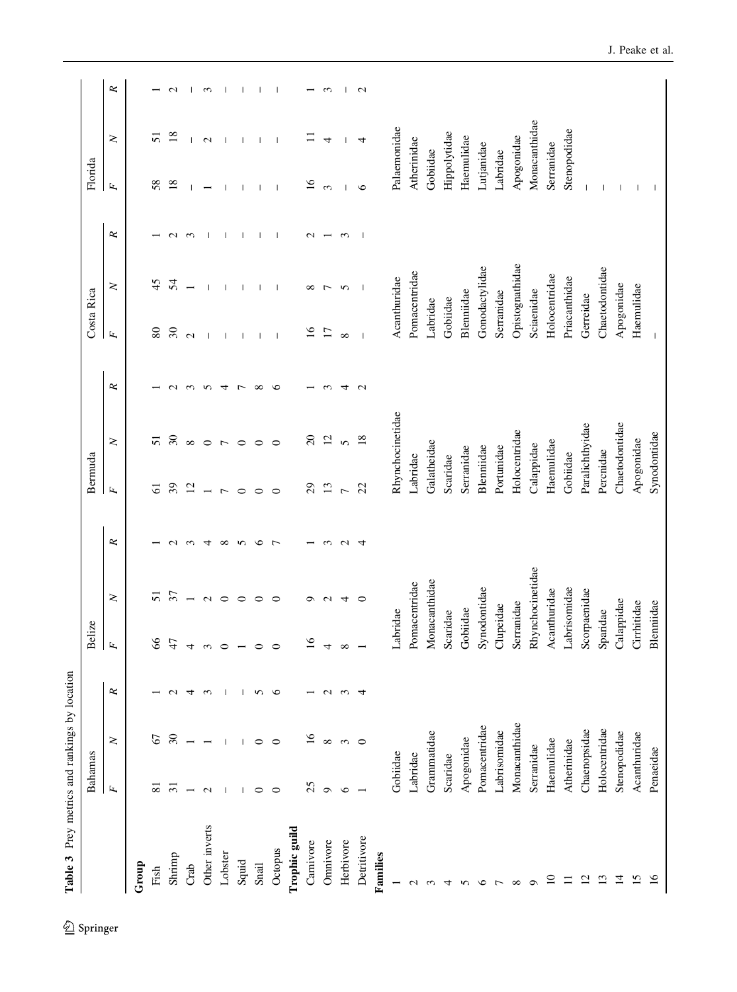<span id="page-13-0"></span>

| Table 3 Prey metrics and rankings by location | Bahamas       |                 |                   | Belize          |                  |              | Bermuda        |                          |                   | Costa Rica        |                          |                 | Florida        |               |                 |
|-----------------------------------------------|---------------|-----------------|-------------------|-----------------|------------------|--------------|----------------|--------------------------|-------------------|-------------------|--------------------------|-----------------|----------------|---------------|-----------------|
|                                               | $\mathbf{r}$  | z               | ĸ                 | $\mathbf{r}$    | z                | ĸ            | $\mathbf{r}$   | ≳                        | ĸ                 | $\mathbf{r}$      | $\geq$                   | ĸ               | $\mathbf{r}$   | $\geq$        | ĸ               |
| Group                                         |               |                 |                   |                 |                  |              |                |                          |                   |                   |                          |                 |                |               |                 |
| Fish                                          | ವ             | 67              |                   | 8               | 5                |              | 5              | 51                       |                   | 80                | 45                       |                 | 58             | 5             |                 |
| Shrimp                                        | ಸ             | $\mathcal{S}$   |                   | 47              | 57               |              | 39             | $\overline{\mathcal{E}}$ |                   | $\mathfrak{S}$    | 54                       | $\mathbf{\sim}$ | 18             | $^{18}$       | $\mathbf{\sim}$ |
| Crab                                          |               |                 |                   |                 |                  |              | $\bar{\omega}$ | $\infty$                 | $\sim$            | $\mathbf{\Omega}$ |                          | $\sim$          |                |               |                 |
| Other inverts                                 | $\mathbf{C}$  |                 | $\sim$            |                 | $\mathbf{C}$     | 4            |                | ∊                        | $\sqrt{ }$        |                   |                          |                 |                | $\mathbf{C}$  | $\sim$          |
| Lobster                                       |               |                 |                   | ○               | $\circ$          | $\infty$     |                |                          |                   |                   |                          |                 |                |               |                 |
| Squid                                         |               |                 |                   |                 | ⊂                | n            |                |                          |                   |                   |                          |                 |                |               |                 |
| Snail                                         | $\circ$       | $\circ$         | 5                 |                 |                  | ∽            |                |                          | $\infty$          |                   |                          |                 |                |               |                 |
| Octopus                                       | $\circ$       | $\circ$         | $\circ$           | ⊂               | ⊂                |              |                |                          | ∽                 |                   |                          |                 |                |               |                 |
| Trophic guild                                 |               |                 |                   |                 |                  |              |                |                          |                   |                   |                          |                 |                |               |                 |
| Carnivore                                     | 25            | $\overline{16}$ |                   | $\overline{16}$ | σ                |              | 29             | $\Omega$                 |                   | $\overline{16}$   | ${}^{\circ}$             | $\mathbf{\sim}$ | $\frac{6}{1}$  |               |                 |
| Omnivore                                      | $\circ$       | $\infty$        | $\mathbf{\Omega}$ |                 | $\sim$           | $\sim$       | ≌              | $\Xi$                    | $\sim$            | $\overline{17}$   | $\overline{ }$           |                 | $\mathfrak{g}$ |               | $\mathfrak{g}$  |
| Herbivore                                     | $\circ$       | $\epsilon$      | $\epsilon$        | $\infty$        | 4                | $\mathbf{C}$ |                | $\sqrt{2}$               | ᆉ                 | $\infty$          | $\sigma$                 | $\epsilon$      |                |               |                 |
| Detritivore                                   |               | $\circ$         | 4                 |                 | ○                | 4            | 22             | $^{18}$                  | $\mathbf{\Omega}$ |                   | $\overline{\phantom{a}}$ |                 | $\circ$        | 4             | $\mathbf{C}$    |
| Families                                      |               |                 |                   |                 |                  |              |                |                          |                   |                   |                          |                 |                |               |                 |
|                                               | Gobiidae      |                 |                   | Labridae        |                  |              |                | Rhynchocinetidae         |                   |                   | Acanthuridae             |                 | Palaemonidae   |               |                 |
| $\mathbf{c}$                                  | Labridae      |                 |                   |                 | Pomacentridae    |              | Labridae       |                          |                   |                   | Pomacentridae            |                 | Atherinidae    |               |                 |
| $\epsilon$                                    | Grammatidae   |                 |                   |                 | Monacanthidae    |              | Galatheidae    |                          |                   | Labridae          |                          |                 | Gobiidae       |               |                 |
| 4                                             | Scaridae      |                 |                   | Scaridae        |                  |              | Scaridae       |                          |                   | Gobiidae          |                          |                 | Hippolytidae   |               |                 |
| 5                                             | Apogonidae    |                 |                   | Gobiidae        |                  |              | Serranidae     |                          |                   | Blenniidae        |                          |                 | Haemulidae     |               |                 |
| $\circ$                                       | Pomacentridae |                 |                   | Synodontidae    |                  |              | Blennidae      |                          |                   |                   | Gonodactylidae           |                 | Lutjanidae     |               |                 |
|                                               | Labrisomidae  |                 |                   | Clupeidae       |                  |              | Portunidae     |                          |                   | Serranidae        |                          |                 | Labridae       |               |                 |
| $\infty$                                      |               | Monacanthidae   |                   | Serranidae      |                  |              | Holocentridae  |                          |                   |                   | Opistognathidae          |                 | Apogonidae     |               |                 |
|                                               | Serranidae    |                 |                   |                 | Rhynchocinetidae |              | Calappidae     |                          |                   | Sciaenidae        |                          |                 |                | Monacanthidae |                 |
| $\overline{10}$                               | Haemulidae    |                 |                   | Acanthuridae    |                  |              | Haemulidae     |                          |                   |                   | Holocentridae            |                 | Serranidae     |               |                 |
| Ξ                                             | Atherinidae   |                 |                   | Labrisomidae    |                  |              | Gobiidae       |                          |                   |                   | Priacanthidae            |                 | Stenopodidae   |               |                 |
| $\overline{c}$                                | Chaenopsidae  |                 |                   | Scorpaenidae    |                  |              |                | Paralichthyidae          |                   | Gerreidae         |                          |                 |                |               |                 |
| 13                                            | Holocentridae |                 |                   | Sparidae        |                  |              | Percnidae      |                          |                   |                   | Chaetodontidae           |                 |                |               |                 |
| $\overline{4}$                                | Stenopodidae  |                 |                   | Calappidae      |                  |              |                | Chaetodontidae           |                   | Apogonidae        |                          |                 |                |               |                 |
| 15                                            | Acanthuridae  |                 |                   | Cirrhitidae     |                  |              | Apogonidae     |                          |                   | Haemulidae        |                          |                 |                |               |                 |
| 16                                            | Penaeidae     |                 |                   | Blenniidae      |                  |              | Synodontidae   |                          |                   |                   |                          |                 |                |               |                 |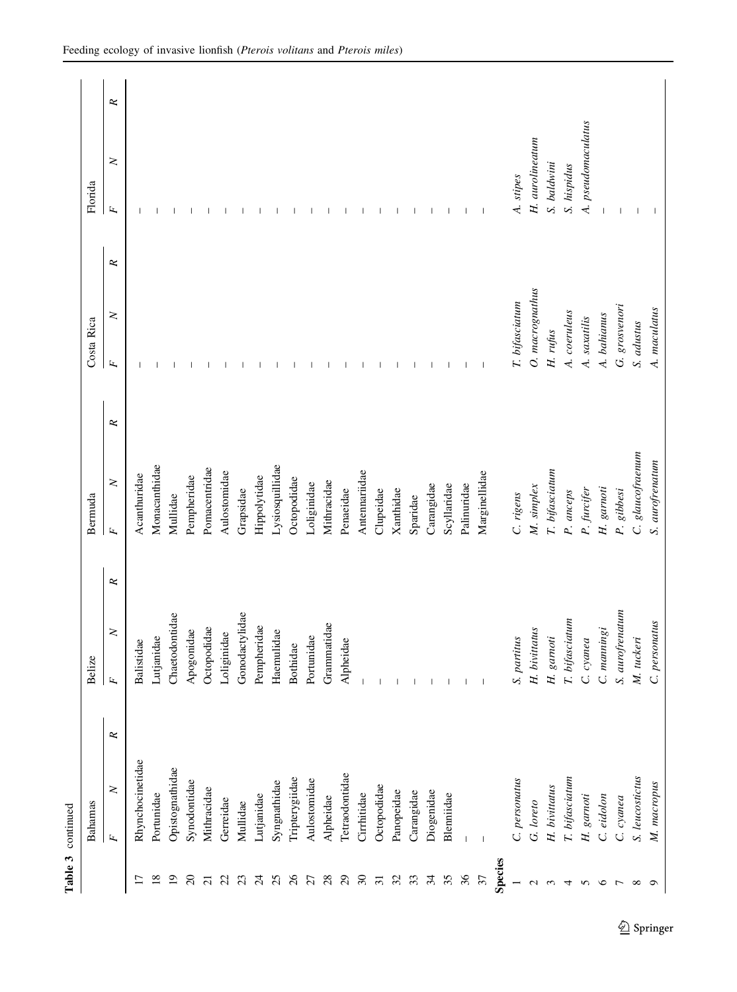| Table 3 continued |                             |                             |                             |                        |                           |                    |
|-------------------|-----------------------------|-----------------------------|-----------------------------|------------------------|---------------------------|--------------------|
|                   | Bahamas                     | ize<br>Bel                  | Bermuda                     | Costa Rica             | Florida                   |                    |
|                   | R<br>$\geq$<br>$\mathbf{k}$ | R<br>$\geq$<br>$\mathbf{k}$ | ĸ<br>$\geq$<br>$\mathbf{k}$ | $\geq$<br>$\mathbf{r}$ | $\mathbf{r}$<br>$\approx$ | ĸ<br>$\geq$        |
| Ξ                 | Rhynchocinetidae            | Balistidae                  | Acanthuridae                |                        |                           |                    |
| $^{18}$           | Portunidae                  | Lutjanidae                  | Monacanthidae               |                        |                           |                    |
| $\overline{0}$    | Opistognathidae             | Chaetodontidae              | Mullidae                    |                        |                           |                    |
| $\infty$          | Synodontidae                | Apogonidae                  | Pempheridae                 |                        |                           |                    |
| ಸ                 | Mithracidae                 | Octopodidae                 | Pomacentridae               |                        |                           |                    |
|                   | Gerreidae                   | Loliginidae                 | Aulostomidae                |                        |                           |                    |
|                   | Mullidae                    | Gonodactylidae              | Grapsidae                   |                        |                           |                    |
|                   | Lutjanidae                  | Pempheridae                 | Hippolytidae                |                        |                           |                    |
|                   | Syngnathidae                | Haemulidae                  | Lysiosquillidae             |                        |                           |                    |
| $\frac{26}{5}$    | Tripterygiidae              | <b>Bothidae</b>             | Octopodidae                 |                        |                           |                    |
| 27                | Aulostomidae                | Portunidae                  | Loliginidae                 |                        |                           |                    |
| 28                | Alpheidae                   | Grammatidae                 | Mithracidae                 |                        |                           |                    |
| $\mathcal{S}^2$   | Tetraodontidae              | Alpheidae                   | Penaeidae                   |                        |                           |                    |
| $\mathfrak{S}$    | Cirrhitidae                 |                             | Antennariidae               |                        |                           |                    |
| $\overline{31}$   | Octopodidae                 |                             | Clupeidae                   |                        |                           |                    |
| 32                | Panopeidae                  |                             | Xanthidae                   |                        |                           |                    |
| 33                | Carangidae                  |                             | Sparidae                    |                        |                           |                    |
| 34                | Diogenidae                  |                             | Carangidae                  |                        |                           |                    |
| 35                | Blenniidae                  |                             | Scyllaridae                 |                        |                           |                    |
|                   | $\mathbf{I}$                |                             | Palinuridae                 |                        |                           |                    |
|                   |                             |                             | Marginellidae               |                        |                           |                    |
| <b>Species</b>    |                             |                             |                             |                        |                           |                    |
|                   | C. personatus               | sartitus                    | C. rigens                   | T. bifasciatum         | A. stipes                 |                    |
|                   | G. loreto                   | bivitatus<br>H              | M. simplex                  | O. macrognathus        | H. aurolineatum           |                    |
|                   | H. bivittatus               | garnoti<br>H.               | T. bifasciatum              | H. rufus               | S. baldwini               |                    |
|                   | T. bifasciatum              | $T.$ bifasciatum            | P. anceps                   | A. coeruleus           | S. hispidus               |                    |
|                   | H. garnoti                  | $C.$ $C$ yane $a$           | P. furcifer                 | A. saxatilis           |                           | A. pseudomaculatus |
|                   | C. eidolon                  | C. manningi                 | H. garnoti                  | A. bahianus            |                           |                    |
|                   | C. cyanea                   | S. aurofrenatum             | P. gibbesi                  | G. grosvenori          |                           |                    |
|                   | S. leucostictus             | tuckeri<br>N.               | C. glaucofraenum            | S. adustus             |                           |                    |
|                   | M. macropus                 | C. personatus               | S. aurofrenatum             | A. maculatus           |                           |                    |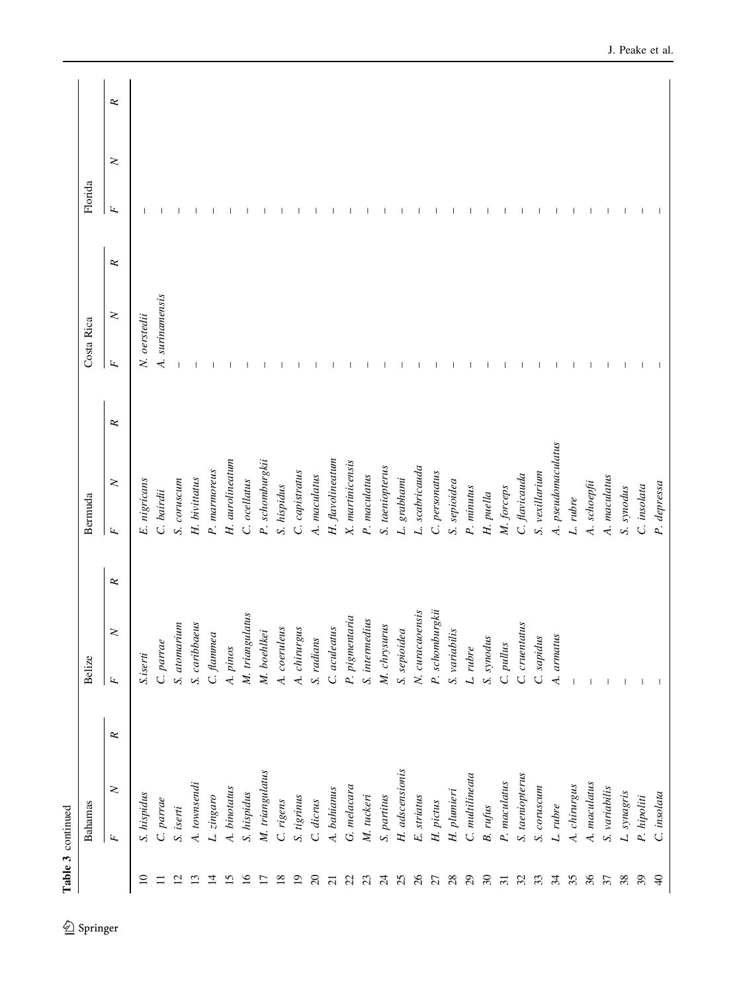|                          | Table 3 continued      |           |                                   |              |           |                |                    |           |              |                 |           |              |        |   |
|--------------------------|------------------------|-----------|-----------------------------------|--------------|-----------|----------------|--------------------|-----------|--------------|-----------------|-----------|--------------|--------|---|
|                          | <b>Bahamas</b>         |           | Belize                            |              |           | Bermuda        |                    |           | Costa Rica   |                 |           | Florida      |        |   |
|                          | $\geq$<br>$\mathbf{r}$ | $\approx$ | $\mathbf{r}$                      | $\geq$       | $\approx$ | $\mathbf{r}$   | $\geq$             | $\approx$ | $\mathbf{r}$ | $\geq$          | $\approx$ | $\mathbf{r}$ | $\geq$ | ĸ |
| $\Xi$                    | S. hispidus            |           | S.iserti                          |              |           | E. nigricans   |                    |           | N. oerstedii |                 |           |              |        |   |
|                          | C. parrae              |           | $C.$ parrae                       |              |           | C. bairdii     |                    |           |              | A. surinamensis |           |              |        |   |
|                          | S. iserti              |           | S. atomarium                      |              |           | S. coruscum    |                    |           |              |                 |           |              |        |   |
|                          | A. townsendi           |           | caribbaeus<br>$\mathcal{L}_{2}$   |              |           | H. bivittatus  |                    |           |              |                 |           |              |        |   |
| $\overline{4}$           | L. zingaro             |           | $C.$ flamme $a$                   |              |           |                | P. marmoreus       |           |              |                 |           |              |        |   |
|                          | A. binotatus           |           | A. pinos                          |              |           |                | H. aurolineatum    |           |              |                 |           |              |        |   |
|                          | S. hispidus            |           | M. triangulatus                   |              |           | C. ocellatus   |                    |           |              |                 |           |              |        |   |
|                          | M. triangulatus        |           | boehlkei<br>N.                    |              |           |                | P. schomburgkii    |           |              |                 |           |              |        |   |
| ≌                        | C. rigens              |           | coeruleus<br>$\prec$              |              |           | S. hispidus    |                    |           |              |                 |           |              |        |   |
| $\Xi$                    | S. tigrinus            |           | chirurgus<br>4.                   |              |           |                | C. capistratus     |           |              |                 |           |              |        |   |
| $\infty$                 | C. dicrus              |           | radians<br>$\mathcal{S}_{2}$      |              |           | A. maculatus   |                    |           |              |                 |           |              |        |   |
| $\overline{c}$           | A. bahianus            |           | aculeatus<br>$\circ$              |              |           |                | H. flavolineatum   |           |              |                 |           |              |        |   |
| $\mathfrak{L}$           | G. melacara            |           | pigmentaria<br>$\mathbf{r}_i$     |              |           |                | X. martinicensis   |           |              |                 |           |              |        |   |
| $\mathfrak{L}$           | M. tuckeri             |           | intermedius<br>$\mathcal{S}_{2}$  |              |           | P. maculatus   |                    |           |              |                 |           |              |        |   |
| $\overline{c}$           | S. partitus            |           | chrysurus<br>N.                   |              |           |                | S. taeniopterus    |           |              |                 |           |              |        |   |
| 25                       | H. adscensionis        |           | S. sepioidea                      |              |           | L. grabhami    |                    |           |              |                 |           |              |        |   |
| 26                       | E. striatus            |           | $\geq$                            | curacaoensis |           |                | L. scabricauda     |           |              |                 |           |              |        |   |
| 27                       | H. pictus              |           | P. schomburgkii                   |              |           |                | C. personatus      |           |              |                 |           |              |        |   |
| 28                       | $H.$ plumieri          |           | variabilis<br>$\mathcal{S}$       |              |           | S. sepioidea   |                    |           |              |                 |           |              |        |   |
| 29                       | C. multilineata        |           | rubre<br>$\overline{\phantom{a}}$ |              |           | P. minutus     |                    |           |              |                 |           |              |        |   |
| $\overline{\mathcal{E}}$ | B. rufus               |           | synodus<br>$\mathbf{z}$           |              |           | H. puella      |                    |           |              |                 |           |              |        |   |
| $\overline{31}$          | P. maculatus           |           | C. pullus                         |              |           | M. forceps     |                    |           |              |                 |           |              |        |   |
| 32                       | S. taeniopterus        |           | $c$ ruent $atus$<br>$\mathbf C$   |              |           | C. flavicauda  |                    |           |              |                 |           |              |        |   |
| 33                       | S. coruscum            |           | sapidus<br>$\circ$                |              |           | S. vexillarium |                    |           |              |                 |           |              |        |   |
| 34                       | L. rubre               |           | armatus<br>4.                     |              |           |                | A. pseudomaculatus |           |              |                 |           |              |        |   |
| 55                       | A. chirurgus           |           |                                   |              |           | L. rubre       |                    |           |              |                 |           |              |        |   |
| 36                       | A. maculatus           |           |                                   |              |           | A. schoepfii   |                    |           |              |                 |           |              |        |   |
| 57                       | S. variabilis          |           |                                   |              |           | A. maculatus   |                    |           |              |                 |           |              |        |   |
| 38                       | L. synagris            |           |                                   |              |           | S. synodus     |                    |           |              |                 |           |              |        |   |
| $\overline{39}$          | P. hipoliti            |           |                                   |              |           | C. insolata    |                    |           |              |                 |           |              |        |   |
| $\Theta$                 | C. insolata            |           |                                   |              |           | P. depressa    |                    |           |              |                 |           |              |        |   |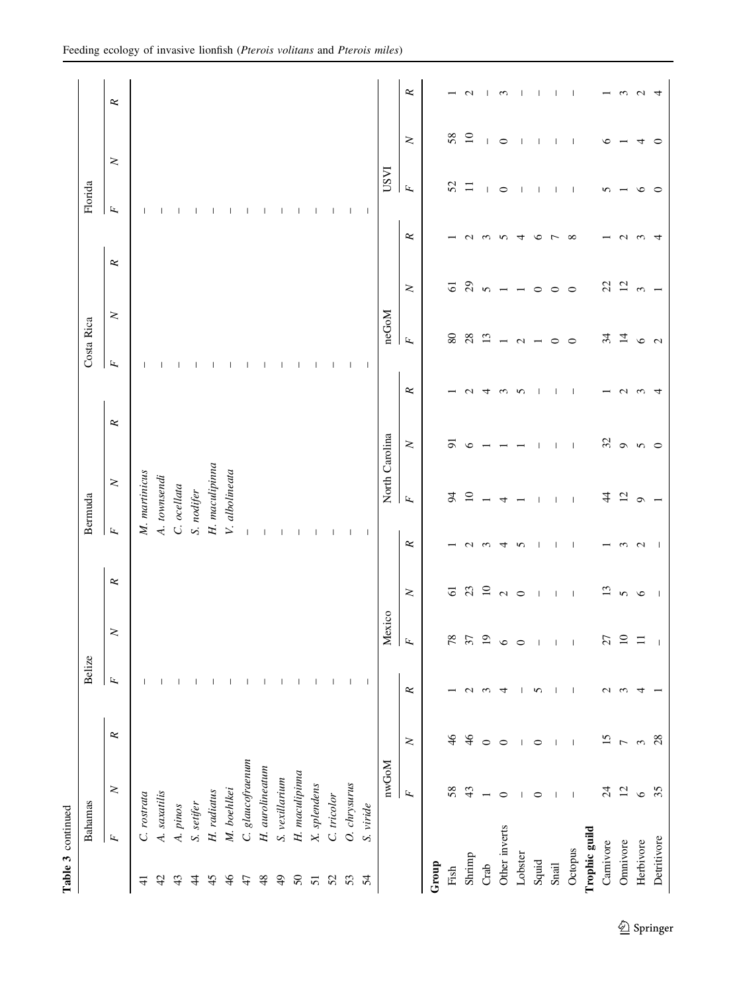| i<br>į |
|--------|
|        |
|        |

| Table 3 continued |                  |                          |                          |               |                          |                          |                          |                          |                          |              |                |                |           |                          |                          |                  |
|-------------------|------------------|--------------------------|--------------------------|---------------|--------------------------|--------------------------|--------------------------|--------------------------|--------------------------|--------------|----------------|----------------|-----------|--------------------------|--------------------------|------------------|
|                   | Bahamas          |                          |                          | Belize        |                          |                          |                          | Bermuda                  |                          |              | Costa Rica     |                |           | Florida                  |                          |                  |
|                   | $\mathbf{k}$     | $\geq$                   | $\approx$                | بتدا          | $\geq$                   | $\approx$                | $\mathbf{r}$             | $\geq$                   | $\approx$                | Ŀ,           | $\geq$         | $\approx$      |           | $\mathbf{k}$             | $\geq$                   | $\approx$        |
| $\overline{4}$    | C. rostrata      |                          |                          |               |                          |                          |                          | M. martinicus            |                          |              |                |                |           |                          |                          |                  |
| $\ddot{ }$        | A. saxatilis     |                          |                          | J.            |                          |                          |                          | A. townsendi             |                          |              |                |                |           |                          |                          |                  |
| 43                | A. pinos         |                          |                          | л.            |                          |                          |                          | C. ocellata              |                          |              |                |                |           |                          |                          |                  |
| 4                 | S. setifer       |                          |                          | Л.            |                          |                          |                          | S. nodifer               |                          |              |                |                |           |                          |                          |                  |
| 45                | H. radiatus      |                          |                          | $\mathbf{I}$  |                          |                          |                          | H. maculipinna           |                          |              |                |                |           |                          |                          |                  |
| $\frac{4}{6}$     | M. boehlkei      |                          |                          | $\mathbf{I}$  |                          |                          |                          | V. albolineata           |                          |              |                |                |           |                          |                          |                  |
| 47                | C. glaucofraenum |                          |                          | Л.            |                          |                          | I                        |                          |                          |              |                |                |           |                          |                          |                  |
| 48                | H. aurolineatum  |                          |                          | л.            |                          |                          |                          |                          |                          |              |                |                |           |                          |                          |                  |
| $\overline{4}$    | S. vexillarium   |                          |                          | Л.            |                          |                          |                          |                          |                          |              |                |                |           |                          |                          |                  |
| $50\,$            | H. maculipinna   |                          |                          | Л.            |                          |                          |                          |                          |                          |              |                |                |           |                          |                          |                  |
| $\overline{51}$   | X. splendens     |                          |                          | Л.            |                          |                          |                          |                          |                          |              |                |                |           |                          |                          |                  |
| 52                | C. tricolor      |                          |                          | -1            |                          |                          | $\overline{\phantom{a}}$ |                          |                          | -1           |                |                |           | $\mathbf{I}$             |                          |                  |
| 53                | O. chrysurus     |                          |                          |               |                          |                          | $\mathbf{I}$             |                          |                          | $\mathbf{I}$ |                |                |           | $\overline{\phantom{a}}$ |                          |                  |
| 54                | S. viride        |                          |                          |               |                          |                          | $\overline{\phantom{0}}$ |                          |                          | $\Box$       |                |                |           | $\overline{\phantom{a}}$ |                          |                  |
|                   |                  | nwGoM                    |                          |               | Mexico                   |                          |                          | North Carolina           |                          |              | neGoM          |                |           | <b>LASQ</b>              |                          |                  |
|                   |                  | $\mathbf{r}$             | $\geq$                   | $\approx$     | $\mathbf{k}$             | $\geq$                   | $\simeq$                 | $\mathbf{r}$             | $\geq$                   | $\approx$    | $\mathbf{k}$   | $\geq$         | $\approx$ | $\mathbf{r}$             | $\geq$                   | $\approx$        |
| Group             |                  |                          |                          |               |                          |                          |                          |                          |                          |              |                |                |           |                          |                          |                  |
| Fish              |                  | 58                       | $\frac{4}{6}$            |               | 78                       | $\overline{6}$           |                          | $\overline{5}$           | 능                        |              | $\rm 80$       | $\overline{6}$ |           | 52                       | 58                       |                  |
| Shrimp            |                  | 43                       | 46                       |               | 37                       | 23                       |                          | $\overline{10}$          | ७                        |              | 28             | 29             | $\sim$    | 〓                        | $\overline{10}$          | $\mathrel{\sim}$ |
| Crab              |                  |                          | $\circ$                  |               | $\overline{1}$           | $\Xi$                    |                          |                          |                          | 4            | 13             | 5              | $\sim$    |                          | $\overline{\phantom{a}}$ |                  |
| Other inverts     |                  | 0                        | $\circ$                  | 4             | 6                        | $\sim$                   |                          | 4                        |                          | $\omega$     |                |                | n         | $\circ$                  | $\circ$                  | 3                |
| Lobster           |                  |                          |                          |               | $\circ$                  | $\circ$                  |                          |                          |                          | 5            | $\mathbf{C}$   |                |           |                          |                          |                  |
| Squid             |                  | $\circ$                  | $\circ$                  | 5             |                          |                          |                          |                          |                          |              |                | ⊂              |           |                          |                          |                  |
| Snail             |                  |                          |                          |               |                          |                          |                          | $\overline{\phantom{a}}$ |                          |              | $\circ$        | ○              |           |                          |                          |                  |
| Octopus           |                  | $\overline{\phantom{a}}$ | $\overline{\phantom{a}}$ |               | $\overline{\phantom{a}}$ | $\overline{\phantom{a}}$ | $\overline{\phantom{a}}$ | $\overline{\phantom{a}}$ | $\overline{\phantom{a}}$ |              | $\circ$        | $\circ$        | $\propto$ |                          | H                        |                  |
| Trophic guild     |                  |                          |                          |               |                          |                          |                          |                          |                          |              |                |                |           |                          |                          |                  |
| Carnivore         |                  | $\overline{24}$          | 15                       | $\mathcal{L}$ | 27                       | $\mathbf{r}$             |                          | $\ddot{4}$               |                          |              | 34             | 22             |           |                          | ≏                        |                  |
| Omnivore          |                  | $12\,$                   |                          |               | $\overline{10}$          | 5                        |                          | 12                       | $\frac{2}{9}$            |              | $\overline{4}$ | 12             |           |                          |                          |                  |
| Herbivore         |                  | $\circ$                  | 3                        |               | Ξ                        | $\circ$                  | $\mathbf{\sim}$          | $\sigma$                 | 5                        |              | $\circ$        |                |           |                          |                          |                  |
| Detritivore       |                  | 35                       | 28                       |               |                          |                          |                          |                          | $\circ$                  |              | $\sim$         |                |           |                          |                          |                  |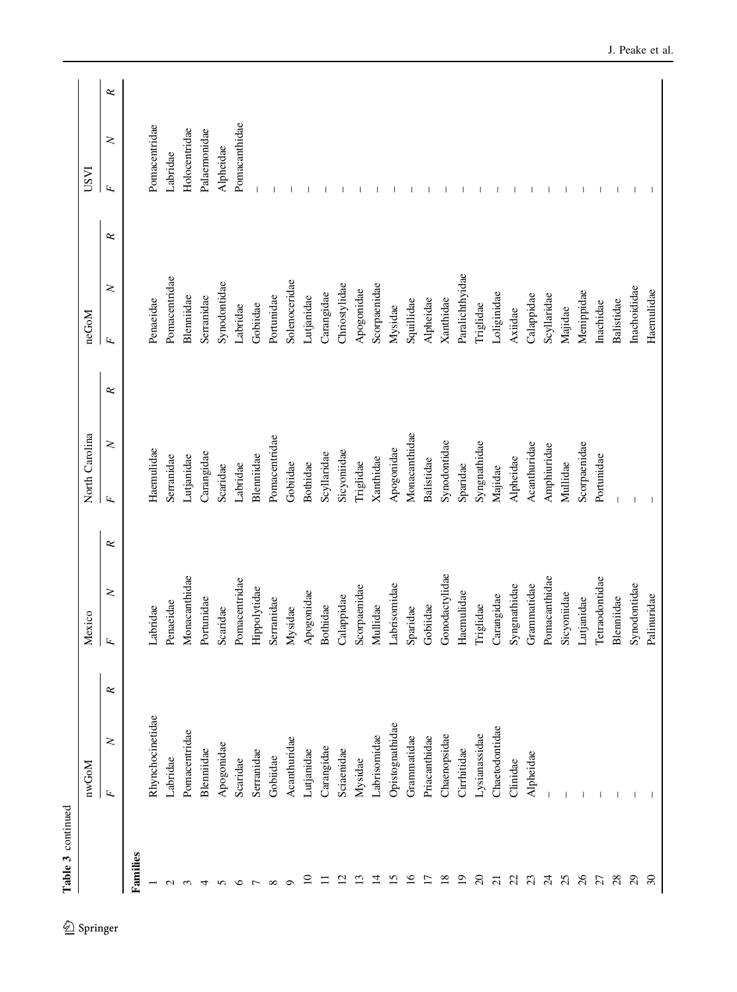| Table 3 continued |                        |   |                 |                |           |                 |                |           |                 |        |           |               |               |           |
|-------------------|------------------------|---|-----------------|----------------|-----------|-----------------|----------------|-----------|-----------------|--------|-----------|---------------|---------------|-----------|
|                   | nwGoM                  |   | Mexico          |                |           |                 | North Carolina |           | neGoM           |        |           | <b>LASA</b>   |               |           |
|                   | $\geq$<br>$\mathbf{r}$ | ĸ | $\mathbf{r}$    | $\geq$         | $\approx$ | $\mathbf{r}$    | $\geq$         | $\approx$ | $\mathbf{r}$    | $\geq$ | $\approx$ | $\mathbf{r}$  | $\geq$        | $\approx$ |
| Families          |                        |   |                 |                |           |                 |                |           |                 |        |           |               |               |           |
|                   | Rhynchocinetidae       |   | Labridae        |                |           | Haemulidae      |                |           | Penaeidae       |        |           |               | Pomacentridae |           |
| $\mathbf{\Omega}$ | Labridae               |   | Penaeidae       |                |           | Serranidae      |                |           | Pomacentridae   |        |           | Labridae      |               |           |
|                   | Pomacentridae          |   |                 | Monacanthidae  |           | Lutjanidae      |                |           | Blenniidae      |        |           | Holocentridae |               |           |
|                   | Blenniidae             |   | Portunidae      |                |           | Carangidae      |                |           | Serranidae      |        |           | Palaemonidae  |               |           |
|                   | Apogonidae             |   | Scaridae        |                |           | Scaridae        |                |           | Synodontidae    |        |           | Alpheidae     |               |           |
|                   | Scaridae               |   | Pomacentridae   |                |           | Labridae        |                |           | Labridae        |        |           |               | Pomacanthidae |           |
|                   | Serranidae             |   | Hippolytidae    |                |           | Blenniidae      |                |           | Gobiidae        |        |           |               |               |           |
|                   | Gobiidae               |   | Serranidae      |                |           |                 | Pomacentridae  |           | Portunidae      |        |           |               |               |           |
|                   | Acanthuridae           |   | Mysidae         |                |           | Gobiidae        |                |           | Solenoceridae   |        |           |               |               |           |
|                   | Lutjanidae             |   | Apogonidae      |                |           | <b>Bothidae</b> |                |           | Lutjanidae      |        |           |               |               |           |
|                   | Carangidae             |   | <b>Bothidae</b> |                |           | Scyllaridae     |                |           | Carangidae      |        |           |               |               |           |
|                   | Sciaenidae             |   | Calappidae      |                |           | Sicyoniidae     |                |           | Chriostylidae   |        |           |               |               |           |
|                   | Mysidae                |   | Scorpaenidae    |                |           | Triglidae       |                |           | Apogonidae      |        |           |               |               |           |
| 그                 | Labrisomidae           |   | Mullidae        |                |           | Xanthidae       |                |           | Scorpaenidae    |        |           |               |               |           |
| $\overline{15}$   | Opistognathidae        |   | Labrisomidae    |                |           | Apogonidae      |                |           | Mysidae         |        |           |               |               |           |
| $\frac{6}{2}$     | Grammatidae            |   | Sparidae        |                |           |                 | Monacanthidae  |           | Squillidae      |        |           |               |               |           |
| $\overline{17}$   | Priacanthidae          |   | Gobiidae        |                |           | Balistidae      |                |           | Alpheidae       |        |           |               |               |           |
| $\frac{8}{18}$    | Chaenopsidae           |   |                 | Gonodactylidae |           | Synodontidae    |                |           | Xanthidae       |        |           |               |               |           |
| $\mathbf{5}$      | Cirrhitidae            |   | Haemulidae      |                |           | Sparidae        |                |           | Paralichthyidae |        |           |               |               |           |
| $\infty$          | Lysianassidae          |   | Triglidae       |                |           | Syngnathidae    |                |           | Triglidae       |        |           |               |               |           |
| $\overline{c}$    | Chaetodontidae         |   | Carangidae      |                |           | Majidae         |                |           | Loliginidae     |        |           |               |               |           |
| 23 24             | Clinidae               |   | Syngnathidae    |                |           | Alpheidae       |                |           | Axiidae         |        |           |               |               |           |
|                   | Alpheidae              |   | Grammatidae     |                |           | Acanthuridae    |                |           | Calappidae      |        |           |               |               |           |
|                   |                        |   |                 | Pomacanthidae  |           | Amphiuridae     |                |           | Scyllaridae     |        |           |               |               |           |
| 25                |                        |   | Sicyoniidae     |                |           | Mullidae        |                |           | Majidae         |        |           |               |               |           |
| 26                |                        |   | Lutjanidae      |                |           | Scorpaenidae    |                |           | Menippidae      |        |           |               |               |           |
| 27                |                        |   | Tetraodontidae  |                |           | Portunidae      |                |           | Inachidae       |        |           |               |               |           |
| 28                |                        |   | Blenniidae      |                |           |                 |                |           | Balistidae      |        |           |               |               |           |
| $\mathfrak{S}$    |                        |   | Synodontidae    |                |           |                 |                |           | Inachoididae    |        |           |               |               |           |
| $\mathcal{S}$     |                        |   | Palinuridae     |                |           |                 |                |           | Haemulidae      |        |           |               |               |           |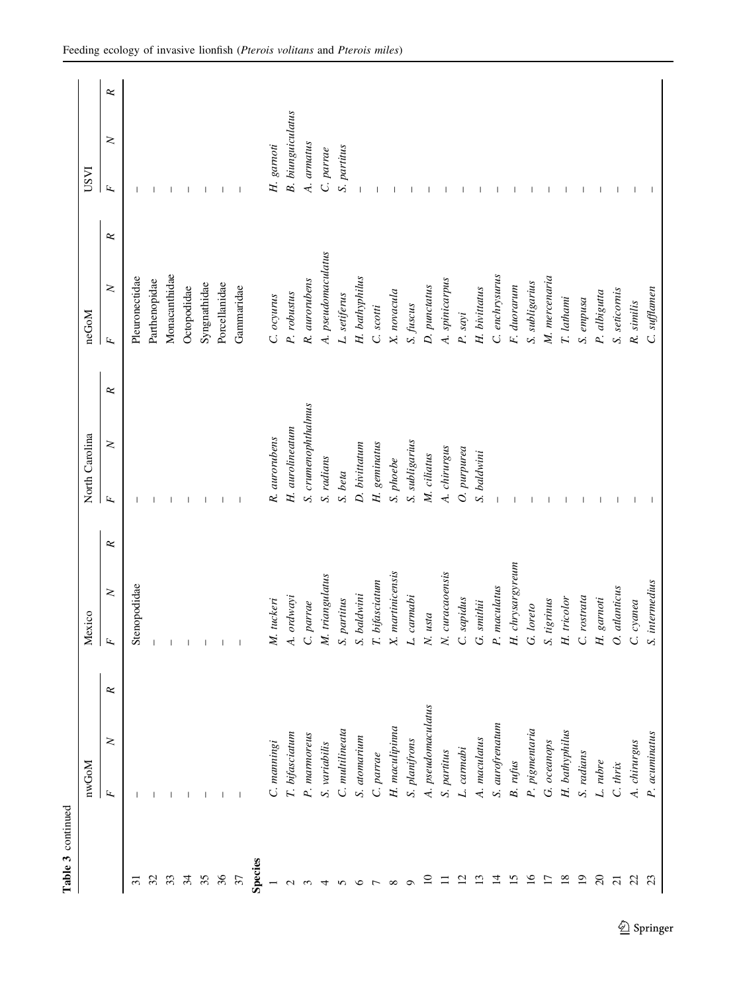|                          | nwGoM                  |   | Mexico         |                  |           | North Carolina  |                     |           | neGoM          |                    |           | <b>LASQ</b>  |                          |   |
|--------------------------|------------------------|---|----------------|------------------|-----------|-----------------|---------------------|-----------|----------------|--------------------|-----------|--------------|--------------------------|---|
|                          | $\geq$<br>$\mathbf{r}$ | ĸ | $\mathbf{r}$   | $\geq$           | $\approx$ | $\mathbf{r}$    | $\geq$              | $\approx$ | $\mathbf{r}$   | $\geq$             | $\approx$ | $\mathbf{k}$ | $\geq$                   | R |
|                          |                        |   | Stenopodidae   |                  |           |                 |                     |           | Pleuronectidae |                    |           |              |                          |   |
|                          |                        |   |                |                  |           |                 |                     |           | Parthenopidae  |                    |           |              |                          |   |
|                          |                        |   |                |                  |           |                 |                     |           |                | Monacanthidae      |           |              |                          |   |
|                          |                        |   |                |                  |           |                 |                     |           | Octopodidae    |                    |           |              |                          |   |
| 35                       |                        |   |                |                  |           |                 |                     |           | Syngnathidae   |                    |           |              |                          |   |
| 36                       |                        |   |                |                  |           |                 |                     |           | Porcellanidae  |                    |           |              |                          |   |
|                          |                        |   |                |                  |           |                 |                     |           | Gammaridae     |                    |           |              |                          |   |
| species                  |                        |   |                |                  |           |                 |                     |           |                |                    |           |              |                          |   |
|                          | C. manningi            |   | M. tuckeri     |                  |           | R. aurorubens   |                     |           | C. ocyurus     |                    |           | H. garnoti   |                          |   |
|                          | T. bifasciatum         |   | A. ordwayi     |                  |           | H. aurolineatum |                     |           | P. robustus    |                    |           |              | <b>B.</b> biunguiculatus |   |
|                          | P. marmoreus           |   | C. parrae      |                  |           |                 | S. crumenophthalmus |           | R. aurorubens  |                    |           | A. armatus   |                          |   |
|                          | S. variabilis          |   |                | M. triangulatus  |           | S. radians      |                     |           |                | A. pseudomaculatus |           | C. parrae    |                          |   |
|                          | C. multilineata        |   | S. partitus    |                  |           | S. beta         |                     |           | L. setiferus   |                    |           | S. partitus  |                          |   |
|                          | S. atomarium           |   | S. baldwini    |                  |           | D. bivitatum    |                     |           | H. bathyphilus |                    |           |              |                          |   |
|                          | C. parrae              |   | T. bifasciatum |                  |           | H. geminatus    |                     |           | $C.$ $scotti$  |                    |           |              |                          |   |
|                          | $H.$ maculipinna       |   |                | X. martinicensis |           | S. phoebe       |                     |           | X. novacula    |                    |           |              |                          |   |
|                          | S. planifrons          |   | L. carmabi     |                  |           | S. subligarius  |                     |           | S. fuscus      |                    |           |              |                          |   |
|                          | A. pseudomaculatus     |   | N. usta        |                  |           | M. ciliatus     |                     |           | D. punctatus   |                    |           |              |                          |   |
|                          | S. partitus            |   |                | N. curacaoensis  |           | A. chirurgus    |                     |           | A. spinicarpus |                    |           |              |                          |   |
| $\overline{\mathcal{C}}$ | L. carmabi             |   | C. sapidus     |                  |           | O. purpurea     |                     |           | P. sayi        |                    |           |              |                          |   |
| ≌                        | A. maculatus           |   | G. smithii     |                  |           | S. baldwini     |                     |           | H. bivittatus  |                    |           |              |                          |   |
| $\overline{1}$           | S. aurofrenatum        |   | P. maculatus   |                  |           |                 |                     |           |                | C. enchrysurus     |           |              |                          |   |
| $\overline{5}$           | B. rufus               |   |                | H. chrysargyreum |           |                 |                     |           | F. duorarum    |                    |           |              |                          |   |
| $\overline{16}$          | P. pigmentaria         |   | G. loreto      |                  |           |                 |                     |           | S. subligarius |                    |           |              |                          |   |
| $\overline{\phantom{0}}$ | G. oceanops            |   | S. tigrinus    |                  |           |                 |                     |           | M. mercenaria  |                    |           |              |                          |   |
| 18                       | H. bathyphilus         |   | H. tricolor    |                  |           |                 |                     |           | T. lathami     |                    |           |              |                          |   |
| $\overline{0}$           | S. radians             |   | C. rostrata    |                  |           |                 |                     |           | S. empusa      |                    |           |              |                          |   |
| $\Omega$                 | L. rubre               |   | H. garnoti     |                  |           |                 |                     |           | P. albigutta   |                    |           |              |                          |   |
| $\overline{c}$           | $C.$ thrix             |   | O. atlanticus  |                  |           |                 |                     |           | S. seticornis  |                    |           |              |                          |   |
| $\overline{c}$           | A. chirurgus           |   | C. cyanea      |                  |           |                 |                     |           | R. similis     |                    |           |              |                          |   |
|                          | P. acuminatus          |   | S. intermedius |                  |           |                 |                     |           | C. sufflamen   |                    |           |              |                          |   |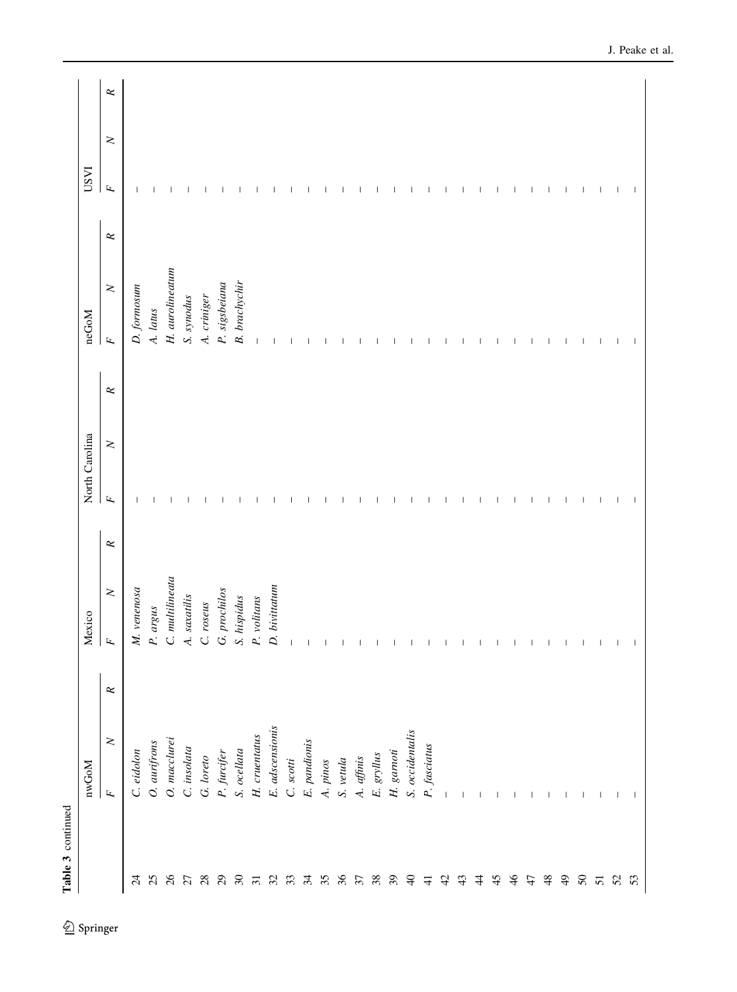Table 3 continued Table 3 continued

|                 | nwGoM                                                                                                    |           | Mexico                   |                         |           | North Carolina |        |           | $\rm n e G o M$      |                      |           | <b>LASQ</b>  |        |           |
|-----------------|----------------------------------------------------------------------------------------------------------|-----------|--------------------------|-------------------------|-----------|----------------|--------|-----------|----------------------|----------------------|-----------|--------------|--------|-----------|
|                 | $\geq$<br>$\mathbf{r}$                                                                                   | $\approx$ | $\overline{F}$           | $\overline{\mathbf{X}}$ | $\approx$ | $\mathbf{r}$   | $\geq$ | $\approx$ | $\mathbf{r}$         | $\geq$               | $\approx$ | $\mathbf{r}$ | $\geq$ | $\approx$ |
| $\overline{c}$  | C. eidolon                                                                                               |           | M. venenosa              |                         |           |                |        |           | D. formosum          |                      |           |              |        |           |
| 25              | O. aurifrons                                                                                             |           | P. argus                 |                         |           |                |        |           | A. latus             |                      |           |              |        |           |
| 26              | O. macclurei                                                                                             |           |                          | $C.$ $multilinear$      |           |                |        |           |                      | $H.$ $auro lineatum$ |           |              |        |           |
| $\mathcal{L}$   | C. insolata<br>G. loreto<br>P. furcifer<br>S. ocellata                                                   |           | A. saxatilis             |                         |           |                |        |           | S. synodus           |                      |           |              |        |           |
| $^{28}$         |                                                                                                          |           | $C.$ $roseus$            |                         |           |                |        |           | A. criniger          |                      |           |              |        |           |
| $\mathfrak{S}$  |                                                                                                          |           | G. prochilos             |                         |           |                |        |           | P. sigsbeiana        |                      |           |              |        |           |
| $\mathcal{S}$   |                                                                                                          |           | S. hispidus              |                         |           |                |        |           | <b>B.</b> brachychir |                      |           |              |        |           |
| ಸ               | $H.$ $c$ ruentatus                                                                                       |           | P. volitans              |                         |           |                |        |           |                      |                      |           |              |        |           |
| 32              | E. adscensionis                                                                                          |           | $D.$ bivitatum           |                         |           |                |        |           |                      |                      |           |              |        |           |
| 33              |                                                                                                          |           |                          |                         |           |                |        |           |                      |                      |           |              |        |           |
| 34              | C. scotti<br>E. pandionis<br>A. pinos<br>S. vetula<br>A. affinis<br>E. gryllus<br>H. gamoti<br>H. gamoti |           |                          |                         |           |                |        |           |                      |                      |           |              |        |           |
| 35              |                                                                                                          |           |                          |                         |           |                |        |           |                      |                      |           |              |        |           |
| 36              |                                                                                                          |           |                          |                         |           |                |        |           |                      |                      |           |              |        |           |
| $\overline{37}$ |                                                                                                          |           |                          |                         |           |                |        |           |                      |                      |           |              |        |           |
| 38              |                                                                                                          |           |                          |                         |           |                |        |           |                      |                      |           |              |        |           |
| 39              |                                                                                                          |           |                          |                         |           |                |        |           |                      |                      |           |              |        |           |
| $\overline{4}$  |                                                                                                          |           |                          |                         |           |                |        |           |                      |                      |           |              |        |           |
| $\ddot{+}$      | P. fasciatus                                                                                             |           |                          |                         |           |                |        |           |                      |                      |           |              |        |           |
| 42              |                                                                                                          |           |                          |                         |           |                |        |           |                      |                      |           |              |        |           |
| 43              |                                                                                                          |           |                          |                         |           |                |        |           |                      |                      |           |              |        |           |
| $\ddot{4}$      |                                                                                                          |           |                          |                         |           |                |        |           |                      |                      |           |              |        |           |
| 45              |                                                                                                          |           |                          |                         |           |                |        |           |                      |                      |           |              |        |           |
| $\frac{4}{6}$   |                                                                                                          |           |                          |                         |           |                |        |           |                      |                      |           |              |        |           |
| 47              |                                                                                                          |           |                          |                         |           |                |        |           |                      |                      |           |              |        |           |
| 48              |                                                                                                          |           |                          |                         |           |                |        |           |                      |                      |           |              |        |           |
| $\frac{6}{7}$   |                                                                                                          |           |                          |                         |           |                |        |           |                      |                      |           |              |        |           |
| $50\,$          |                                                                                                          |           |                          |                         |           |                |        |           |                      |                      |           |              |        |           |
| 51              |                                                                                                          |           |                          |                         |           |                |        |           |                      |                      |           |              |        |           |
| 52              |                                                                                                          |           | J.                       |                         |           |                |        |           |                      |                      |           |              |        |           |
| 53              |                                                                                                          |           | $\overline{\phantom{a}}$ |                         |           |                |        |           |                      |                      |           |              |        |           |
|                 |                                                                                                          |           |                          |                         |           |                |        |           |                      |                      |           |              |        |           |

 $\underline{\textcircled{\tiny 2}}$  Springer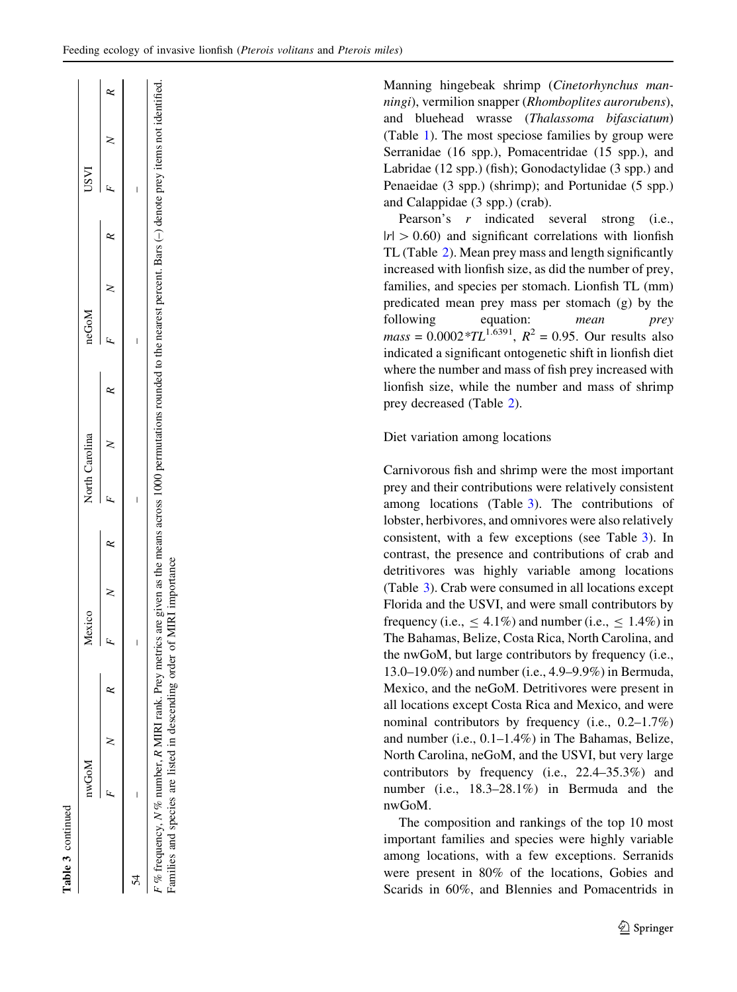ਚ

|   | nwGoM                                            |   | Aexico |  |   | North Carolina | neGoM |  | nsn |                                                                                                                                       |  |
|---|--------------------------------------------------|---|--------|--|---|----------------|-------|--|-----|---------------------------------------------------------------------------------------------------------------------------------------|--|
|   |                                                  | × |        |  |   |                |       |  |     |                                                                                                                                       |  |
| 4 | ı                                                |   | l      |  | l |                | l     |  | ı   |                                                                                                                                       |  |
|   | $F$ % frequency, $N$ % number, R MIRI rank. Pre- |   |        |  |   |                |       |  |     | y metrics are given as the means across 1000 permutations rounded to the nearest percent. Bars $(-)$ denote prev items not identified |  |

Families and species are listed in descending order of MIRI importance

Families and species are listed in descending order of MIRI importance

Manning hingebeak shrimp (Cinetorhynchus manningi), vermilion snapper (Rhomboplites aurorubens), and bluehead wrasse (Thalassoma bifasciatum) (Table [1](#page-4-0)). The most speciose families by group were Serranidae (16 spp.), Pomacentridae (15 spp.), and Labridae (12 spp.) (fish); Gonodactylidae (3 spp.) and Penaeidae (3 spp.) (shrimp); and Portunidae (5 spp.) and Calappidae (3 spp.) (crab).

Pearson's r indicated several strong (i.e.,  $|r| > 0.60$  and significant correlations with lionfish TL (Table [2\)](#page-12-0). Mean prey mass and length significantly increased with lionfish size, as did the number of prey, families, and species per stomach. Lionfish TL (mm) predicated mean prey mass per stomach (g) by the following equation: *mean* prey  $mass = 0.0002 * TL^{1.6391}, R^2 = 0.95$ . Our results also indicated a significant ontogenetic shift in lionfish diet where the number and mass of fish prey increased with lionfish size, while the number and mass of shrimp prey decreased (Table [2](#page-12-0)).

Diet variation among locations

Carnivorous fish and shrimp were the most important prey and their contributions were relatively consistent among locations (Table [3\)](#page-13-0). The contributions of lobster, herbivores, and omnivores were also relatively consistent, with a few exceptions (see Table [3\)](#page-13-0). In contrast, the presence and contributions of crab and detritivores was highly variable among locations (Table [3](#page-13-0)). Crab were consumed in all locations except Florida and the USVI, and were small contributors by frequency (i.e.,  $\leq 4.1\%$ ) and number (i.e.,  $\leq 1.4\%$ ) in The Bahamas, Belize, Costa Rica, North Carolina, and the nwGoM, but large contributors by frequency (i.e., 13.0–19.0%) and number (i.e., 4.9–9.9%) in Bermuda, Mexico, and the neGoM. Detritivores were present in all locations except Costa Rica and Mexico, and were nominal contributors by frequency (i.e., 0.2–1.7%) and number (i.e., 0.1–1.4%) in The Bahamas, Belize, North Carolina, neGoM, and the USVI, but very large contributors by frequency (i.e., 22.4–35.3%) and number (i.e., 18.3–28.1%) in Bermuda and the nwGoM.

The composition and rankings of the top 10 most important families and species were highly variable among locations, with a few exceptions. Serranids were present in 80% of the locations, Gobies and Scarids in 60%, and Blennies and Pomacentrids in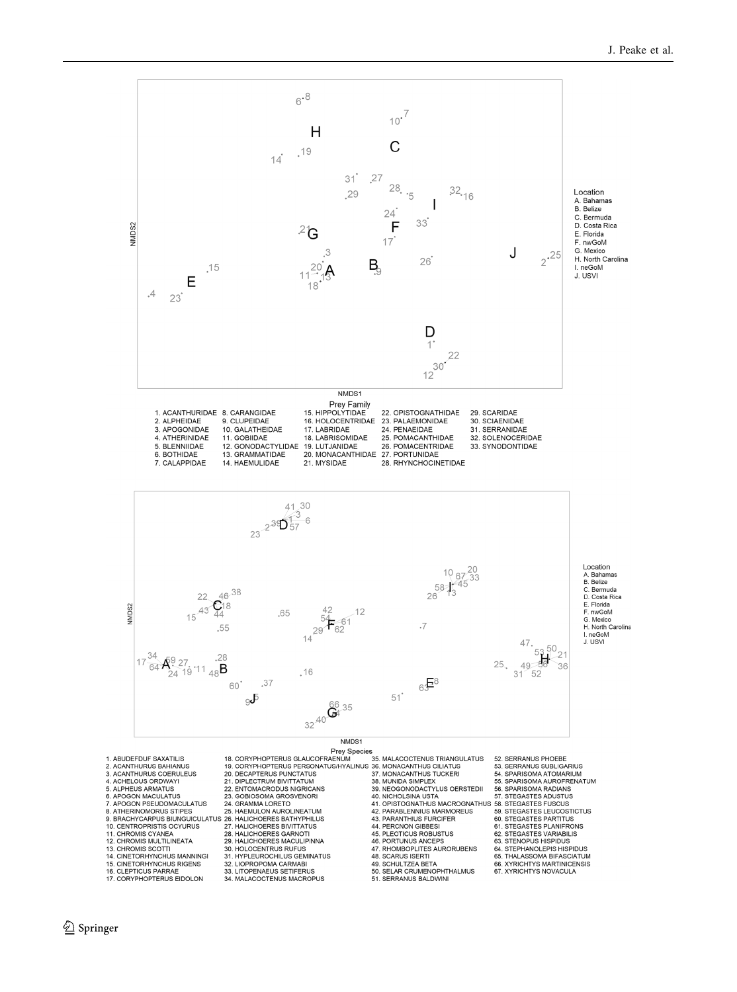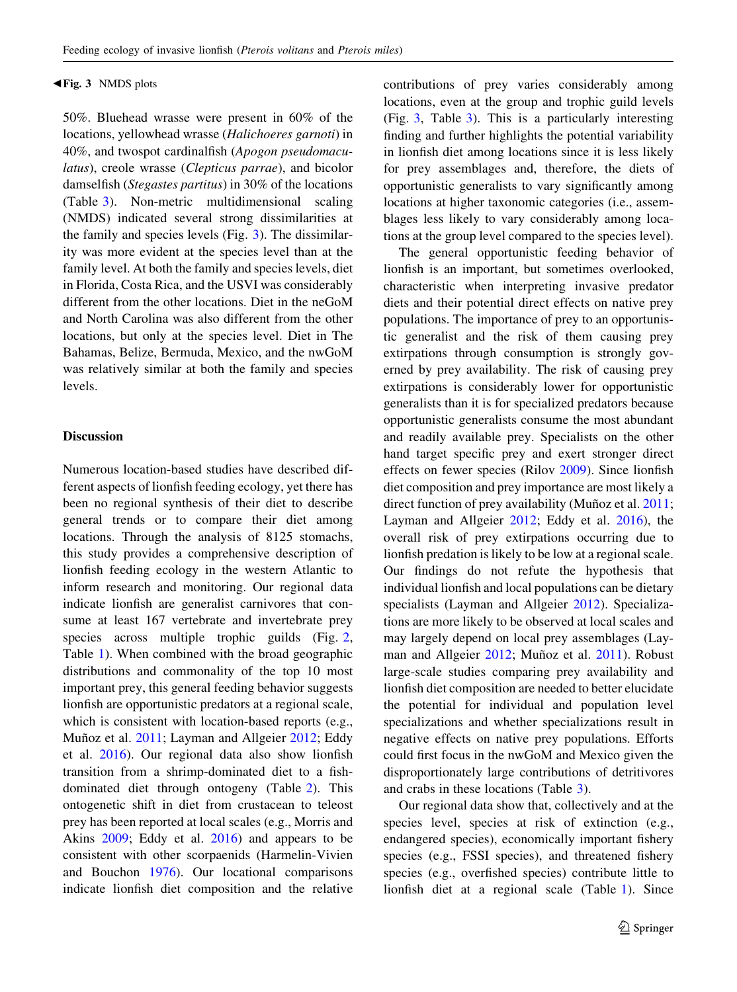#### **«Fig. 3** NMDS plots

50%. Bluehead wrasse were present in 60% of the locations, yellowhead wrasse (Halichoeres garnoti) in 40%, and twospot cardinalfish (Apogon pseudomaculatus), creole wrasse (Clepticus parrae), and bicolor damselfish (Stegastes partitus) in 30% of the locations (Table [3](#page-13-0)). Non-metric multidimensional scaling (NMDS) indicated several strong dissimilarities at the family and species levels (Fig. 3). The dissimilarity was more evident at the species level than at the family level. At both the family and species levels, diet in Florida, Costa Rica, and the USVI was considerably different from the other locations. Diet in the neGoM and North Carolina was also different from the other locations, but only at the species level. Diet in The Bahamas, Belize, Bermuda, Mexico, and the nwGoM was relatively similar at both the family and species levels.

#### **Discussion**

Numerous location-based studies have described different aspects of lionfish feeding ecology, yet there has been no regional synthesis of their diet to describe general trends or to compare their diet among locations. Through the analysis of 8125 stomachs, this study provides a comprehensive description of lionfish feeding ecology in the western Atlantic to inform research and monitoring. Our regional data indicate lionfish are generalist carnivores that consume at least 167 vertebrate and invertebrate prey species across multiple trophic guilds (Fig. [2,](#page-11-0) Table [1\)](#page-4-0). When combined with the broad geographic distributions and commonality of the top 10 most important prey, this general feeding behavior suggests lionfish are opportunistic predators at a regional scale, which is consistent with location-based reports (e.g., Muñoz et al. [2011;](#page-29-0) Layman and Allgeier [2012](#page-29-0); Eddy et al. [2016\)](#page-28-0). Our regional data also show lionfish transition from a shrimp-dominated diet to a fishdominated diet through ontogeny (Table [2](#page-12-0)). This ontogenetic shift in diet from crustacean to teleost prey has been reported at local scales (e.g., Morris and Akins [2009;](#page-29-0) Eddy et al. [2016\)](#page-28-0) and appears to be consistent with other scorpaenids (Harmelin-Vivien and Bouchon [1976\)](#page-29-0). Our locational comparisons indicate lionfish diet composition and the relative

contributions of prey varies considerably among locations, even at the group and trophic guild levels (Fig. 3, Table [3](#page-13-0)). This is a particularly interesting finding and further highlights the potential variability in lionfish diet among locations since it is less likely for prey assemblages and, therefore, the diets of opportunistic generalists to vary significantly among locations at higher taxonomic categories (i.e., assemblages less likely to vary considerably among locations at the group level compared to the species level).

The general opportunistic feeding behavior of lionfish is an important, but sometimes overlooked, characteristic when interpreting invasive predator diets and their potential direct effects on native prey populations. The importance of prey to an opportunistic generalist and the risk of them causing prey extirpations through consumption is strongly governed by prey availability. The risk of causing prey extirpations is considerably lower for opportunistic generalists than it is for specialized predators because opportunistic generalists consume the most abundant and readily available prey. Specialists on the other hand target specific prey and exert stronger direct effects on fewer species (Rilov [2009\)](#page-30-0). Since lionfish diet composition and prey importance are most likely a direct function of prey availability (Muñoz et al.  $2011$ ; Layman and Allgeier [2012;](#page-29-0) Eddy et al. [2016\)](#page-28-0), the overall risk of prey extirpations occurring due to lionfish predation is likely to be low at a regional scale. Our findings do not refute the hypothesis that individual lionfish and local populations can be dietary specialists (Layman and Allgeier [2012\)](#page-29-0). Specializations are more likely to be observed at local scales and may largely depend on local prey assemblages (Lay-man and Allgeier [2012](#page-29-0); Muñoz et al. [2011\)](#page-29-0). Robust large-scale studies comparing prey availability and lionfish diet composition are needed to better elucidate the potential for individual and population level specializations and whether specializations result in negative effects on native prey populations. Efforts could first focus in the nwGoM and Mexico given the disproportionately large contributions of detritivores and crabs in these locations (Table [3](#page-13-0)).

Our regional data show that, collectively and at the species level, species at risk of extinction (e.g., endangered species), economically important fishery species (e.g., FSSI species), and threatened fishery species (e.g., overfished species) contribute little to lionfish diet at a regional scale (Table [1](#page-4-0)). Since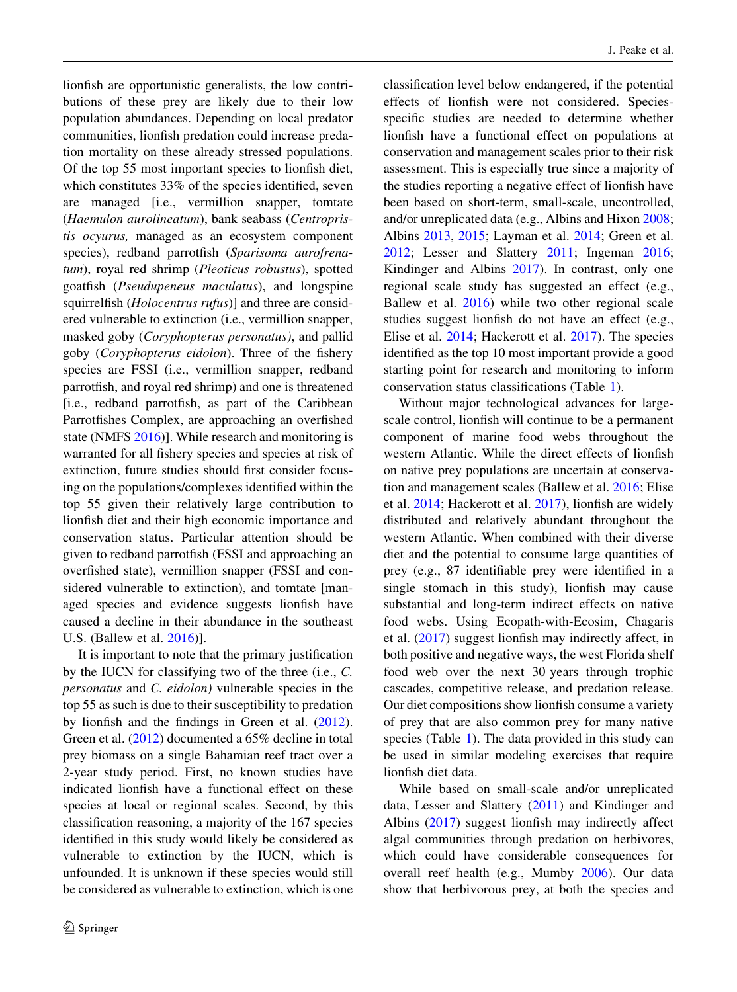lionfish are opportunistic generalists, the low contributions of these prey are likely due to their low population abundances. Depending on local predator communities, lionfish predation could increase predation mortality on these already stressed populations. Of the top 55 most important species to lionfish diet, which constitutes 33% of the species identified, seven are managed [i.e., vermillion snapper, tomtate (Haemulon aurolineatum), bank seabass (Centropristis ocyurus, managed as an ecosystem component species), redband parrotfish (Sparisoma aurofrenatum), royal red shrimp (Pleoticus robustus), spotted goatfish (Pseudupeneus maculatus), and longspine squirrelfish (*Holocentrus rufus*)] and three are considered vulnerable to extinction (i.e., vermillion snapper, masked goby (Coryphopterus personatus), and pallid goby (Coryphopterus eidolon). Three of the fishery species are FSSI (i.e., vermillion snapper, redband parrotfish, and royal red shrimp) and one is threatened [i.e., redband parrotfish, as part of the Caribbean Parrotfishes Complex, are approaching an overfished state (NMFS [2016\)](#page-29-0)]. While research and monitoring is warranted for all fishery species and species at risk of extinction, future studies should first consider focusing on the populations/complexes identified within the top 55 given their relatively large contribution to lionfish diet and their high economic importance and conservation status. Particular attention should be given to redband parrotfish (FSSI and approaching an overfished state), vermillion snapper (FSSI and considered vulnerable to extinction), and tomtate [managed species and evidence suggests lionfish have caused a decline in their abundance in the southeast U.S. (Ballew et al. [2016](#page-27-0))].

It is important to note that the primary justification by the IUCN for classifying two of the three (i.e., C. personatus and C. eidolon) vulnerable species in the top 55 as such is due to their susceptibility to predation by lionfish and the findings in Green et al. [\(2012](#page-28-0)). Green et al. ([2012](#page-28-0)) documented a 65% decline in total prey biomass on a single Bahamian reef tract over a 2-year study period. First, no known studies have indicated lionfish have a functional effect on these species at local or regional scales. Second, by this classification reasoning, a majority of the 167 species identified in this study would likely be considered as vulnerable to extinction by the IUCN, which is unfounded. It is unknown if these species would still be considered as vulnerable to extinction, which is one

classification level below endangered, if the potential effects of lionfish were not considered. Speciesspecific studies are needed to determine whether lionfish have a functional effect on populations at conservation and management scales prior to their risk assessment. This is especially true since a majority of the studies reporting a negative effect of lionfish have been based on short-term, small-scale, uncontrolled, and/or unreplicated data (e.g., Albins and Hixon [2008;](#page-27-0) Albins [2013,](#page-27-0) [2015](#page-27-0); Layman et al. [2014](#page-29-0); Green et al. [2012;](#page-28-0) Lesser and Slattery [2011](#page-29-0); Ingeman [2016](#page-29-0); Kindinger and Albins [2017\)](#page-29-0). In contrast, only one regional scale study has suggested an effect (e.g., Ballew et al. [2016\)](#page-27-0) while two other regional scale studies suggest lionfish do not have an effect (e.g., Elise et al. [2014;](#page-28-0) Hackerott et al. [2017\)](#page-29-0). The species identified as the top 10 most important provide a good starting point for research and monitoring to inform conservation status classifications (Table [1\)](#page-4-0).

Without major technological advances for largescale control, lionfish will continue to be a permanent component of marine food webs throughout the western Atlantic. While the direct effects of lionfish on native prey populations are uncertain at conservation and management scales (Ballew et al. [2016](#page-27-0); Elise et al. [2014](#page-28-0); Hackerott et al. [2017](#page-29-0)), lionfish are widely distributed and relatively abundant throughout the western Atlantic. When combined with their diverse diet and the potential to consume large quantities of prey (e.g., 87 identifiable prey were identified in a single stomach in this study), lionfish may cause substantial and long-term indirect effects on native food webs. Using Ecopath-with-Ecosim, Chagaris et al. ([2017\)](#page-28-0) suggest lionfish may indirectly affect, in both positive and negative ways, the west Florida shelf food web over the next 30 years through trophic cascades, competitive release, and predation release. Our diet compositions show lionfish consume a variety of prey that are also common prey for many native species (Table [1\)](#page-4-0). The data provided in this study can be used in similar modeling exercises that require lionfish diet data.

While based on small-scale and/or unreplicated data, Lesser and Slattery [\(2011](#page-29-0)) and Kindinger and Albins ([2017\)](#page-29-0) suggest lionfish may indirectly affect algal communities through predation on herbivores, which could have considerable consequences for overall reef health (e.g., Mumby [2006\)](#page-29-0). Our data show that herbivorous prey, at both the species and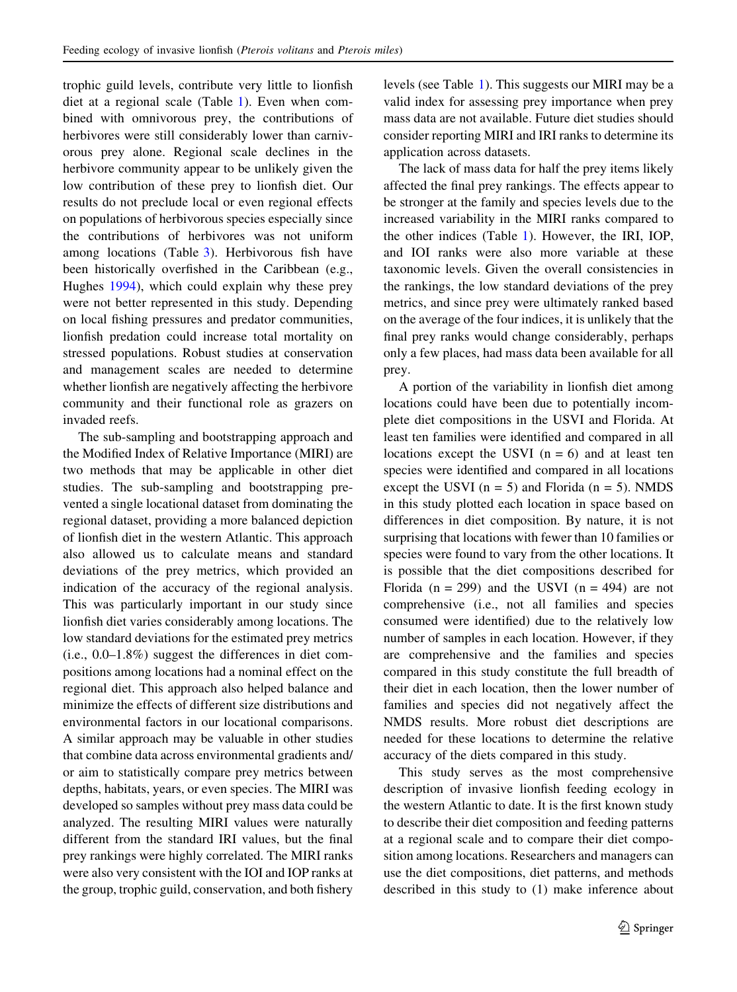trophic guild levels, contribute very little to lionfish diet at a regional scale (Table [1](#page-4-0)). Even when combined with omnivorous prey, the contributions of herbivores were still considerably lower than carnivorous prey alone. Regional scale declines in the herbivore community appear to be unlikely given the low contribution of these prey to lionfish diet. Our results do not preclude local or even regional effects on populations of herbivorous species especially since the contributions of herbivores was not uniform among locations (Table [3](#page-13-0)). Herbivorous fish have been historically overfished in the Caribbean (e.g., Hughes [1994](#page-29-0)), which could explain why these prey were not better represented in this study. Depending on local fishing pressures and predator communities, lionfish predation could increase total mortality on stressed populations. Robust studies at conservation and management scales are needed to determine whether lionfish are negatively affecting the herbivore community and their functional role as grazers on invaded reefs.

The sub-sampling and bootstrapping approach and the Modified Index of Relative Importance (MIRI) are two methods that may be applicable in other diet studies. The sub-sampling and bootstrapping prevented a single locational dataset from dominating the regional dataset, providing a more balanced depiction of lionfish diet in the western Atlantic. This approach also allowed us to calculate means and standard deviations of the prey metrics, which provided an indication of the accuracy of the regional analysis. This was particularly important in our study since lionfish diet varies considerably among locations. The low standard deviations for the estimated prey metrics (i.e., 0.0–1.8%) suggest the differences in diet compositions among locations had a nominal effect on the regional diet. This approach also helped balance and minimize the effects of different size distributions and environmental factors in our locational comparisons. A similar approach may be valuable in other studies that combine data across environmental gradients and/ or aim to statistically compare prey metrics between depths, habitats, years, or even species. The MIRI was developed so samples without prey mass data could be analyzed. The resulting MIRI values were naturally different from the standard IRI values, but the final prey rankings were highly correlated. The MIRI ranks were also very consistent with the IOI and IOP ranks at the group, trophic guild, conservation, and both fishery

levels (see Table [1](#page-4-0)). This suggests our MIRI may be a valid index for assessing prey importance when prey mass data are not available. Future diet studies should consider reporting MIRI and IRI ranks to determine its application across datasets.

The lack of mass data for half the prey items likely affected the final prey rankings. The effects appear to be stronger at the family and species levels due to the increased variability in the MIRI ranks compared to the other indices (Table [1\)](#page-4-0). However, the IRI, IOP, and IOI ranks were also more variable at these taxonomic levels. Given the overall consistencies in the rankings, the low standard deviations of the prey metrics, and since prey were ultimately ranked based on the average of the four indices, it is unlikely that the final prey ranks would change considerably, perhaps only a few places, had mass data been available for all prey.

A portion of the variability in lionfish diet among locations could have been due to potentially incomplete diet compositions in the USVI and Florida. At least ten families were identified and compared in all locations except the USVI  $(n = 6)$  and at least ten species were identified and compared in all locations except the USVI  $(n = 5)$  and Florida  $(n = 5)$ . NMDS in this study plotted each location in space based on differences in diet composition. By nature, it is not surprising that locations with fewer than 10 families or species were found to vary from the other locations. It is possible that the diet compositions described for Florida ( $n = 299$ ) and the USVI ( $n = 494$ ) are not comprehensive (i.e., not all families and species consumed were identified) due to the relatively low number of samples in each location. However, if they are comprehensive and the families and species compared in this study constitute the full breadth of their diet in each location, then the lower number of families and species did not negatively affect the NMDS results. More robust diet descriptions are needed for these locations to determine the relative accuracy of the diets compared in this study.

This study serves as the most comprehensive description of invasive lionfish feeding ecology in the western Atlantic to date. It is the first known study to describe their diet composition and feeding patterns at a regional scale and to compare their diet composition among locations. Researchers and managers can use the diet compositions, diet patterns, and methods described in this study to (1) make inference about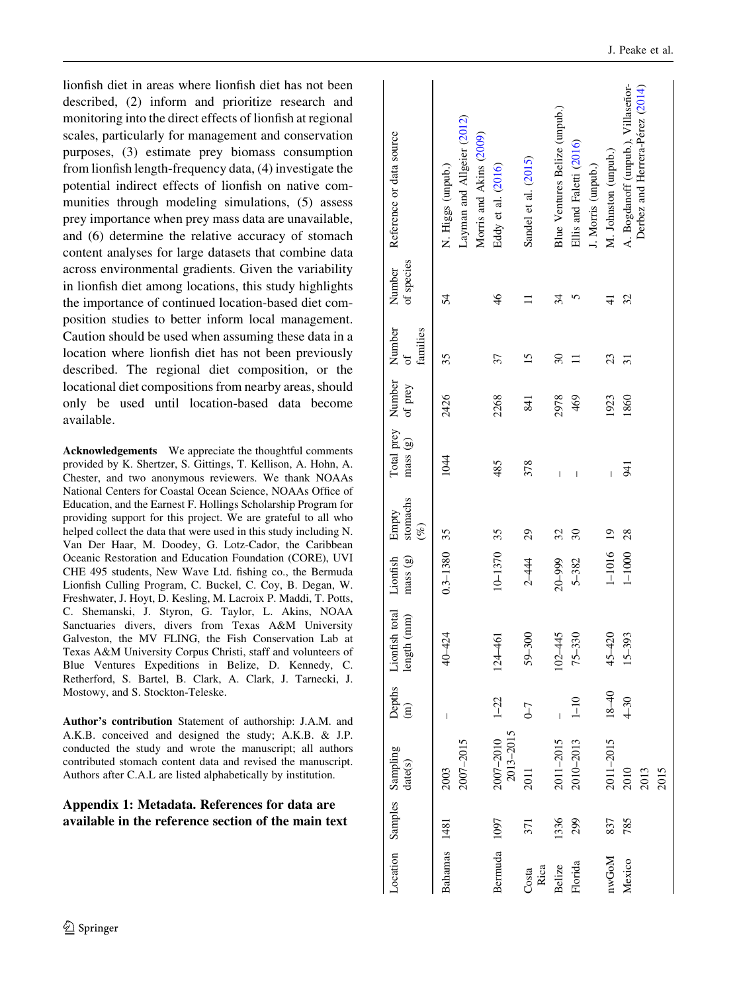lionfish diet in areas where lionfish diet has not been described, (2) inform and prioritize research and monitoring into the direct effects of lionfish at regional scales, particularly for management and conservation purposes, (3) estimate prey biomass consumption from lionfish length-frequency data, (4) investigate the potential indirect effects of lionfish on native communities through modeling simulations, (5) assess prey importance when prey mass data are unavailable, and (6) determine the relative accuracy of stomach content analyses for large datasets that combine data across environmental gradients. Given the variability in lionfish diet among locations, this study highlights the importance of continued location-based diet composition studies to better inform local management. Caution should be used when assuming these data in a location where lionfish diet has not been previously described. The regional diet composition, or the locational diet compositions from nearby areas, should only be used until location-based data become available.

Acknowledgements We appreciate the thoughtful comments provided by K. Shertzer, S. Gittings, T. Kellison, A. Hohn, A. Chester, and two anonymous reviewers. We thank NOAAs National Centers for Coastal Ocean Science, NOAAs Office of Education, and the Earnest F. Hollings Scholarship Program for providing support for this project. We are grateful to all who helped collect the data that were used in this study including N. Van Der Haar, M. Doodey, G. Lotz-Cador, the Caribbean Oceanic Restoration and Education Foundation (CORE), UVI CHE 495 students, New Wave Ltd. fishing co., the Bermuda Lionfish Culling Program, C. Buckel, C. Coy, B. Degan, W. Freshwater, J. Hoyt, D. Kesling, M. Lacroix P. Maddi, T. Potts, C. Shemanski, J. Styron, G. Taylor, L. Akins, NOAA Sanctuaries divers, divers from Texas A&M University Galveston, the MV FLING, the Fish Conservation Lab at Texas A&M University Corpus Christi, staff and volunteers of Blue Ventures Expeditions in Belize, D. Kennedy, C. Retherford, S. Bartel, B. Clark, A. Clark, J. Tarnecki, J. Mostowy, and S. Stockton-Teleske.

Author's contribution Statement of authorship: J.A.M. and A.K.B. conceived and designed the study; A.K.B. & J.P. conducted the study and wrote the manuscript; all authors contributed stomach content data and revised the manuscript. Authors after C.A.L are listed alphabetically by institution.

## Appendix 1: Metadata. References for data are available in the reference section of the main text

|               |      | ocation Samples Sampling<br>date(s) | $\begin{tabular}{l} \hline \texttt{Depths} \\ \texttt{(m)} \end{tabular}$ | Lionfish total Lionfish Empty<br>length (mm) | mass (g) stomachs | $(\%)$                   | Total prey Number Number<br>mass(g)                                                                                                                                                                                                                                                                                                                                              | of prey of | families        | of species    | Number Reference or data source                                            |
|---------------|------|-------------------------------------|---------------------------------------------------------------------------|----------------------------------------------|-------------------|--------------------------|----------------------------------------------------------------------------------------------------------------------------------------------------------------------------------------------------------------------------------------------------------------------------------------------------------------------------------------------------------------------------------|------------|-----------------|---------------|----------------------------------------------------------------------------|
| Bahamas 1481  |      | 2007-2015<br>2003                   |                                                                           | 40-424                                       | $0.3 - 1380$ 35   |                          | 1044                                                                                                                                                                                                                                                                                                                                                                             | 2426       | 35              | 54            | Layman and Allgeier (2012)<br>Morris and Akins (2009)<br>N. Higgs (unpub.) |
| Bermuda 1097  |      | $2007 - 2010$ $1 - 22$<br>2013-2015 |                                                                           | 124-461                                      | 10-1370 35        |                          | 485                                                                                                                                                                                                                                                                                                                                                                              | 2268       | 37              | $\frac{4}{6}$ | Eddy et al. (2016)                                                         |
| Tosta<br>Rica | 371  | 2011                                | $\sim$                                                                    | $59 - 300$                                   | $2 - 444$         | $\overline{c}$           | 378                                                                                                                                                                                                                                                                                                                                                                              | 841        | 15              |               | Sandel et al. (2015)                                                       |
| Belize        | 1336 | 2011-2015                           |                                                                           | $102 - 445$                                  | 20-999            | 32                       | $\overline{\phantom{a}}$                                                                                                                                                                                                                                                                                                                                                         | 2978       | $\overline{30}$ | 34            | Blue Ventures Belize (unpub.)                                              |
| Florida       | 299  | 2010-2013                           | $1 - 10$                                                                  | $75 - 330$                                   | 5-382             | $\overline{\mathcal{E}}$ | $\begin{array}{c} \rule{0pt}{2.5ex} \rule{0pt}{2.5ex} \rule{0pt}{2.5ex} \rule{0pt}{2.5ex} \rule{0pt}{2.5ex} \rule{0pt}{2.5ex} \rule{0pt}{2.5ex} \rule{0pt}{2.5ex} \rule{0pt}{2.5ex} \rule{0pt}{2.5ex} \rule{0pt}{2.5ex} \rule{0pt}{2.5ex} \rule{0pt}{2.5ex} \rule{0pt}{2.5ex} \rule{0pt}{2.5ex} \rule{0pt}{2.5ex} \rule{0pt}{2.5ex} \rule{0pt}{2.5ex} \rule{0pt}{2.5ex} \rule{0$ | 469        | Ξ               |               | Ellis and Faletti (2016)<br>J. Morris (unpub.)                             |
| 1wGoM         | 837  | 2011-2015                           | $18 - 40$                                                                 | $45 - 420$                                   | $1 - 1016$ 19     |                          |                                                                                                                                                                                                                                                                                                                                                                                  | 1923       | 23              | ╤             | M. Johnston (unpub.)                                                       |
| Mexico        | 785  | 2010<br>2013<br>2015                | $4-30$                                                                    | $15 - 393$                                   | $1 - 1000$ 28     |                          | 941                                                                                                                                                                                                                                                                                                                                                                              | 1860       | 51              | 32            | A. Bogdanoff (unpub.), Villaseñor-<br>Derbez and Herrera-Pérez (2014)      |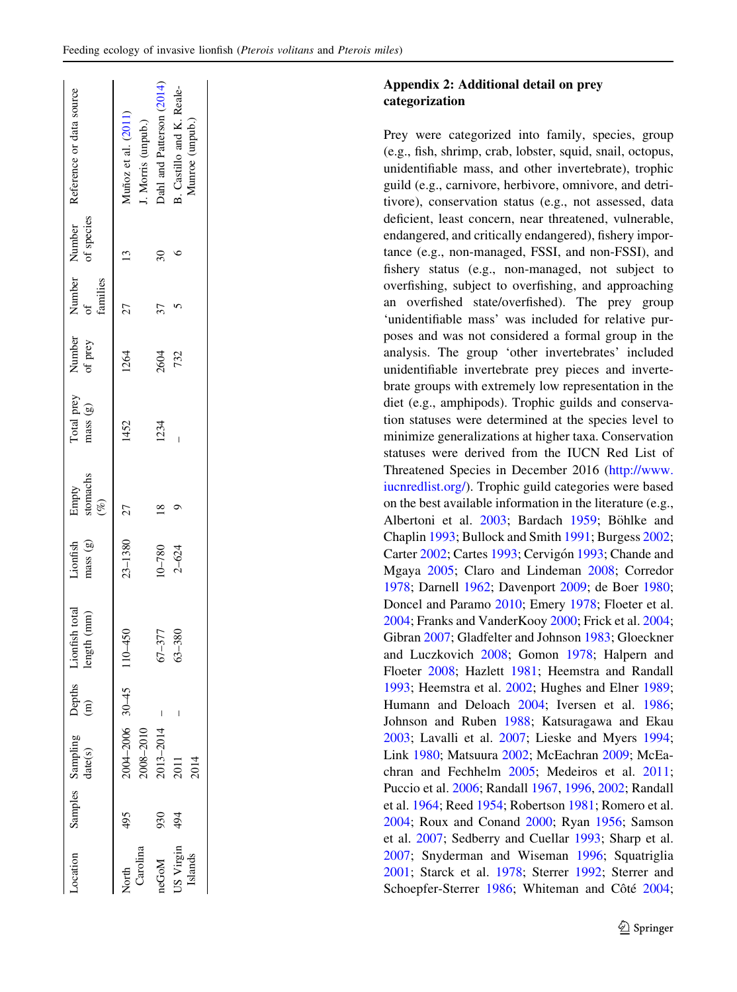|                      |     | ocation Samples Sampling Depths.<br>date(s) (m) | Lionfish total<br>length (mm) | Lionfish<br>mass(g) | Empty<br>stomachs<br>$(\%)$ | Total prey<br>mass(g) |      | families |                 | Number Number Number Reference or data source<br>of prey of or species |
|----------------------|-----|-------------------------------------------------|-------------------------------|---------------------|-----------------------------|-----------------------|------|----------|-----------------|------------------------------------------------------------------------|
| Carolina<br>North    | 495 | 2004-2006 30-45<br>008-2010                     | 110-450                       | $23 - 1380$         | 27                          | 1452                  | 1264 | 27       |                 | Muñoz et al. (2011)<br>Morris (unpub.)                                 |
| neGoM                | 930 | 2013-2014                                       | 67-377                        | $10 - 780$          | $\frac{8}{18}$              | 1234                  | 2604 | 37       | $\overline{30}$ | Dahl and Patterson (2014)                                              |
| JS Virgin<br>Islands | 494 | 2011<br>2014                                    | $63 - 380$                    | $2 - 624$           |                             |                       | 732  |          |                 | B. Castillo and K. Reale-<br>Munroe (unpub.)                           |
|                      |     |                                                 |                               |                     |                             |                       |      |          |                 |                                                                        |

# Appendix 2: Additional detail on prey categorization

Prey were categorized into family, species, group (e.g., fish, shrimp, crab, lobster, squid, snail, octopus, unidentifiable mass, and other invertebrate), trophic guild (e.g., carnivore, herbivore, omnivore, and detritivore), conservation status (e.g., not assessed, data deficient, least concern, near threatened, vulnerable, endangered, and critically endangered), fishery importance (e.g., non-managed, FSSI, and non-FSSI), and fishery status (e.g., non-managed, not subject to overfishing, subject to overfishing, and approaching an overfished state/overfished). The prey group 'unidentifiable mass' was included for relative purposes and was not considered a formal group in the analysis. The group 'other invertebrates' included unidentifiable invertebrate prey pieces and invertebrate groups with extremely low representation in the diet (e.g., amphipods). Trophic guilds and conservation statuses were determined at the species level to minimize generalizations at higher taxa. Conservation statuses were derived from the IUCN Red List of Threatened Species in December 2016 [\(http://www.](http://www.iucnredlist.org/) [iucnredlist.org/\)](http://www.iucnredlist.org/). Trophic guild categories were based on the best available information in the literature (e.g., Albertoni et al. [2003](#page-27-0); Bardach [1959](#page-27-0); Böhlke and Chaplin [1993](#page-27-0); Bullock and Smith [1991;](#page-27-0) Burgess [2002](#page-28-0); Carter [2002;](#page-28-0) Cartes [1993](#page-28-0); Cervigón 1993; Chande and Mgaya [2005](#page-28-0); Claro and Lindeman [2008;](#page-28-0) Corredor [1978;](#page-28-0) Darnell [1962](#page-28-0); Davenport [2009;](#page-28-0) de Boer [1980](#page-28-0); Doncel and Paramo [2010;](#page-28-0) Emery [1978](#page-28-0); Floeter et al. [2004;](#page-28-0) Franks and VanderKooy [2000;](#page-28-0) Frick et al. [2004](#page-28-0); Gibran [2007;](#page-28-0) Gladfelter and Johnson [1983;](#page-28-0) Gloeckner and Luczkovich [2008](#page-28-0); Gomon [1978](#page-28-0); Halpern and Floeter [2008](#page-29-0); Hazlett [1981](#page-29-0); Heemstra and Randall [1993;](#page-29-0) Heemstra et al. [2002;](#page-29-0) Hughes and Elner [1989](#page-29-0); Humann and Deloach [2004;](#page-29-0) Iversen et al. [1986](#page-29-0); Johnson and Ruben [1988](#page-29-0); Katsuragawa and Ekau [2003;](#page-29-0) Lavalli et al. [2007;](#page-29-0) Lieske and Myers [1994](#page-29-0); Link [1980;](#page-29-0) Matsuura [2002;](#page-29-0) McEachran [2009](#page-29-0); McEachran and Fechhelm [2005;](#page-29-0) Medeiros et al. [2011](#page-29-0); Puccio et al. [2006;](#page-30-0) Randall [1967,](#page-30-0) [1996](#page-30-0), [2002](#page-30-0); Randall et al. [1964](#page-30-0); Reed [1954;](#page-30-0) Robertson [1981;](#page-30-0) Romero et al. [2004;](#page-30-0) Roux and Conand [2000](#page-30-0); Ryan [1956;](#page-30-0) Samson et al. [2007](#page-30-0); Sedberry and Cuellar [1993](#page-30-0); Sharp et al. [2007;](#page-30-0) Snyderman and Wiseman [1996;](#page-30-0) Squatriglia [2001;](#page-30-0) Starck et al. [1978](#page-30-0); Sterrer [1992;](#page-30-0) Sterrer and Schoepfer-Sterrer [1986;](#page-30-0) Whiteman and Côté [2004](#page-30-0);

 $\bigcirc$  Springer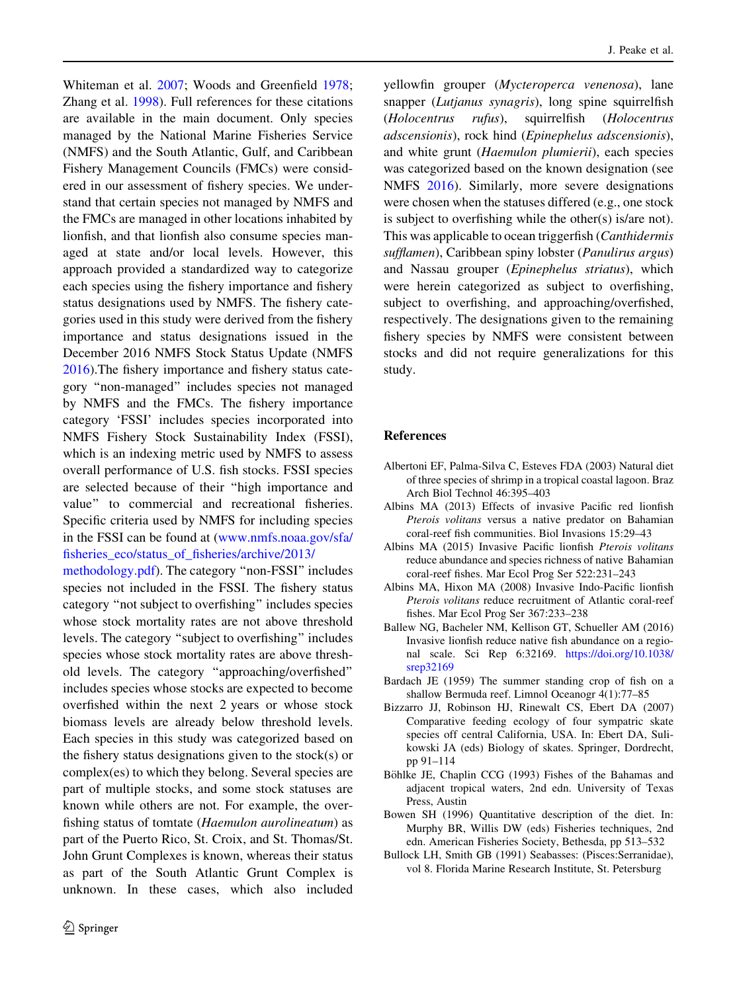<span id="page-27-0"></span>Whiteman et al. [2007;](#page-30-0) Woods and Greenfield [1978](#page-30-0); Zhang et al. [1998](#page-30-0)). Full references for these citations are available in the main document. Only species managed by the National Marine Fisheries Service (NMFS) and the South Atlantic, Gulf, and Caribbean Fishery Management Councils (FMCs) were considered in our assessment of fishery species. We understand that certain species not managed by NMFS and the FMCs are managed in other locations inhabited by lionfish, and that lionfish also consume species managed at state and/or local levels. However, this approach provided a standardized way to categorize each species using the fishery importance and fishery status designations used by NMFS. The fishery categories used in this study were derived from the fishery importance and status designations issued in the December 2016 NMFS Stock Status Update (NMFS [2016\)](#page-29-0).The fishery importance and fishery status category ''non-managed'' includes species not managed by NMFS and the FMCs. The fishery importance category 'FSSI' includes species incorporated into NMFS Fishery Stock Sustainability Index (FSSI), which is an indexing metric used by NMFS to assess overall performance of U.S. fish stocks. FSSI species are selected because of their ''high importance and value'' to commercial and recreational fisheries. Specific criteria used by NMFS for including species in the FSSI can be found at [\(www.nmfs.noaa.gov/sfa/](http://www.nmfs.noaa.gov/sfa/fisheries_eco/status_of_fisheries/archive/2013/methodology.pdf) [fisheries\\_eco/status\\_of\\_fisheries/archive/2013/](http://www.nmfs.noaa.gov/sfa/fisheries_eco/status_of_fisheries/archive/2013/methodology.pdf)

[methodology.pdf](http://www.nmfs.noaa.gov/sfa/fisheries_eco/status_of_fisheries/archive/2013/methodology.pdf)). The category ''non-FSSI'' includes species not included in the FSSI. The fishery status category ''not subject to overfishing'' includes species whose stock mortality rates are not above threshold levels. The category ''subject to overfishing'' includes species whose stock mortality rates are above threshold levels. The category ''approaching/overfished'' includes species whose stocks are expected to become overfished within the next 2 years or whose stock biomass levels are already below threshold levels. Each species in this study was categorized based on the fishery status designations given to the stock(s) or complex(es) to which they belong. Several species are part of multiple stocks, and some stock statuses are known while others are not. For example, the overfishing status of tomtate (Haemulon aurolineatum) as part of the Puerto Rico, St. Croix, and St. Thomas/St. John Grunt Complexes is known, whereas their status as part of the South Atlantic Grunt Complex is unknown. In these cases, which also included

yellowfin grouper (Mycteroperca venenosa), lane snapper (Lutjanus synagris), long spine squirrelfish (Holocentrus rufus), squirrelfish (Holocentrus adscensionis), rock hind (Epinephelus adscensionis), and white grunt (Haemulon plumierii), each species was categorized based on the known designation (see NMFS [2016](#page-29-0)). Similarly, more severe designations were chosen when the statuses differed (e.g., one stock is subject to overfishing while the other(s) is/are not). This was applicable to ocean triggerfish (Canthidermis sufflamen), Caribbean spiny lobster (Panulirus argus) and Nassau grouper (Epinephelus striatus), which were herein categorized as subject to overfishing, subject to overfishing, and approaching/overfished, respectively. The designations given to the remaining fishery species by NMFS were consistent between stocks and did not require generalizations for this study.

## References

- Albertoni EF, Palma-Silva C, Esteves FDA (2003) Natural diet of three species of shrimp in a tropical coastal lagoon. Braz Arch Biol Technol 46:395–403
- Albins MA (2013) Effects of invasive Pacific red lionfish Pterois volitans versus a native predator on Bahamian coral-reef fish communities. Biol Invasions 15:29–43
- Albins MA (2015) Invasive Pacific lionfish Pterois volitans reduce abundance and species richness of native Bahamian coral-reef fishes. Mar Ecol Prog Ser 522:231–243
- Albins MA, Hixon MA (2008) Invasive Indo-Pacific lionfish Pterois volitans reduce recruitment of Atlantic coral-reef fishes. Mar Ecol Prog Ser 367:233–238
- Ballew NG, Bacheler NM, Kellison GT, Schueller AM (2016) Invasive lionfish reduce native fish abundance on a regional scale. Sci Rep 6:32169. [https://doi.org/10.1038/](https://doi.org/10.1038/srep32169) [srep32169](https://doi.org/10.1038/srep32169)
- Bardach JE (1959) The summer standing crop of fish on a shallow Bermuda reef. Limnol Oceanogr 4(1):77–85
- Bizzarro JJ, Robinson HJ, Rinewalt CS, Ebert DA (2007) Comparative feeding ecology of four sympatric skate species off central California, USA. In: Ebert DA, Sulikowski JA (eds) Biology of skates. Springer, Dordrecht, pp 91–114
- Böhlke JE, Chaplin CCG (1993) Fishes of the Bahamas and adjacent tropical waters, 2nd edn. University of Texas Press, Austin
- Bowen SH (1996) Quantitative description of the diet. In: Murphy BR, Willis DW (eds) Fisheries techniques, 2nd edn. American Fisheries Society, Bethesda, pp 513–532
- Bullock LH, Smith GB (1991) Seabasses: (Pisces:Serranidae), vol 8. Florida Marine Research Institute, St. Petersburg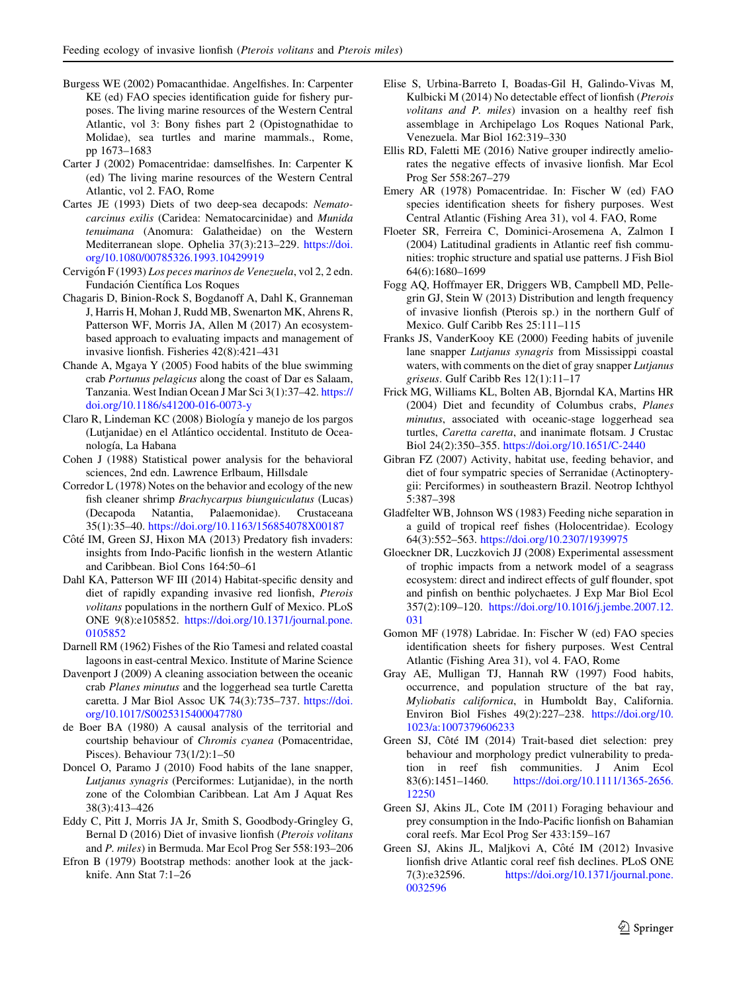- <span id="page-28-0"></span>Burgess WE (2002) Pomacanthidae. Angelfishes. In: Carpenter KE (ed) FAO species identification guide for fishery purposes. The living marine resources of the Western Central Atlantic, vol 3: Bony fishes part 2 (Opistognathidae to Molidae), sea turtles and marine mammals., Rome, pp 1673–1683
- Carter J (2002) Pomacentridae: damselfishes. In: Carpenter K (ed) The living marine resources of the Western Central Atlantic, vol 2. FAO, Rome
- Cartes JE (1993) Diets of two deep-sea decapods: Nematocarcinus exilis (Caridea: Nematocarcinidae) and Munida tenuimana (Anomura: Galatheidae) on the Western Mediterranean slope. Ophelia 37(3):213–229. [https://doi.](https://doi.org/10.1080/00785326.1993.10429919) [org/10.1080/00785326.1993.10429919](https://doi.org/10.1080/00785326.1993.10429919)
- Cervigón F (1993) Los peces marinos de Venezuela, vol 2, 2 edn. Fundación Científica Los Roques
- Chagaris D, Binion-Rock S, Bogdanoff A, Dahl K, Granneman J, Harris H, Mohan J, Rudd MB, Swenarton MK, Ahrens R, Patterson WF, Morris JA, Allen M (2017) An ecosystembased approach to evaluating impacts and management of invasive lionfish. Fisheries 42(8):421–431
- Chande A, Mgaya Y (2005) Food habits of the blue swimming crab Portunus pelagicus along the coast of Dar es Salaam, Tanzania. West Indian Ocean J Mar Sci 3(1):37–42. [https://](https://doi.org/10.1186/s41200-016-0073-y) [doi.org/10.1186/s41200-016-0073-y](https://doi.org/10.1186/s41200-016-0073-y)
- Claro R, Lindeman KC (2008) Biología y manejo de los pargos (Lutjanidae) en el Atlántico occidental. Instituto de Oceanología, La Habana
- Cohen J (1988) Statistical power analysis for the behavioral sciences, 2nd edn. Lawrence Erlbaum, Hillsdale
- Corredor L (1978) Notes on the behavior and ecology of the new fish cleaner shrimp Brachycarpus biunguiculatus (Lucas) (Decapoda Natantia, Palaemonidae). Crustaceana 35(1):35–40. <https://doi.org/10.1163/156854078X00187>
- Côté IM, Green SJ, Hixon MA (2013) Predatory fish invaders: insights from Indo-Pacific lionfish in the western Atlantic and Caribbean. Biol Cons 164:50–61
- Dahl KA, Patterson WF III (2014) Habitat-specific density and diet of rapidly expanding invasive red lionfish, Pterois volitans populations in the northern Gulf of Mexico. PLoS ONE 9(8):e105852. [https://doi.org/10.1371/journal.pone.](https://doi.org/10.1371/journal.pone.0105852) [0105852](https://doi.org/10.1371/journal.pone.0105852)
- Darnell RM (1962) Fishes of the Rio Tamesi and related coastal lagoons in east-central Mexico. Institute of Marine Science
- Davenport J (2009) A cleaning association between the oceanic crab Planes minutus and the loggerhead sea turtle Caretta caretta. J Mar Biol Assoc UK 74(3):735–737. [https://doi.](https://doi.org/10.1017/S0025315400047780) [org/10.1017/S0025315400047780](https://doi.org/10.1017/S0025315400047780)
- de Boer BA (1980) A causal analysis of the territorial and courtship behaviour of Chromis cyanea (Pomacentridae, Pisces). Behaviour 73(1/2):1–50
- Doncel O, Paramo J (2010) Food habits of the lane snapper, Lutjanus synagris (Perciformes: Lutjanidae), in the north zone of the Colombian Caribbean. Lat Am J Aquat Res 38(3):413–426
- Eddy C, Pitt J, Morris JA Jr, Smith S, Goodbody-Gringley G, Bernal D (2016) Diet of invasive lionfish (Pterois volitans and P. miles) in Bermuda. Mar Ecol Prog Ser 558:193–206
- Efron B (1979) Bootstrap methods: another look at the jackknife. Ann Stat 7:1–26
- Elise S, Urbina-Barreto I, Boadas-Gil H, Galindo-Vivas M, Kulbicki M (2014) No detectable effect of lionfish (Pterois volitans and P. miles) invasion on a healthy reef fish assemblage in Archipelago Los Roques National Park, Venezuela. Mar Biol 162:319–330
- Ellis RD, Faletti ME (2016) Native grouper indirectly ameliorates the negative effects of invasive lionfish. Mar Ecol Prog Ser 558:267–279
- Emery AR (1978) Pomacentridae. In: Fischer W (ed) FAO species identification sheets for fishery purposes. West Central Atlantic (Fishing Area 31), vol 4. FAO, Rome
- Floeter SR, Ferreira C, Dominici-Arosemena A, Zalmon I (2004) Latitudinal gradients in Atlantic reef fish communities: trophic structure and spatial use patterns. J Fish Biol 64(6):1680–1699
- Fogg AQ, Hoffmayer ER, Driggers WB, Campbell MD, Pellegrin GJ, Stein W (2013) Distribution and length frequency of invasive lionfish (Pterois sp.) in the northern Gulf of Mexico. Gulf Caribb Res 25:111–115
- Franks JS, VanderKooy KE (2000) Feeding habits of juvenile lane snapper Lutjanus synagris from Mississippi coastal waters, with comments on the diet of gray snapper Lutjanus griseus. Gulf Caribb Res 12(1):11–17
- Frick MG, Williams KL, Bolten AB, Bjorndal KA, Martins HR (2004) Diet and fecundity of Columbus crabs, Planes minutus, associated with oceanic-stage loggerhead sea turtles, Caretta caretta, and inanimate flotsam. J Crustac Biol 24(2):350–355. <https://doi.org/10.1651/C-2440>
- Gibran FZ (2007) Activity, habitat use, feeding behavior, and diet of four sympatric species of Serranidae (Actinopterygii: Perciformes) in southeastern Brazil. Neotrop Ichthyol 5:387–398
- Gladfelter WB, Johnson WS (1983) Feeding niche separation in a guild of tropical reef fishes (Holocentridae). Ecology 64(3):552–563. <https://doi.org/10.2307/1939975>
- Gloeckner DR, Luczkovich JJ (2008) Experimental assessment of trophic impacts from a network model of a seagrass ecosystem: direct and indirect effects of gulf flounder, spot and pinfish on benthic polychaetes. J Exp Mar Biol Ecol 357(2):109–120. [https://doi.org/10.1016/j.jembe.2007.12.](https://doi.org/10.1016/j.jembe.2007.12.031) [031](https://doi.org/10.1016/j.jembe.2007.12.031)
- Gomon MF (1978) Labridae. In: Fischer W (ed) FAO species identification sheets for fishery purposes. West Central Atlantic (Fishing Area 31), vol 4. FAO, Rome
- Gray AE, Mulligan TJ, Hannah RW (1997) Food habits, occurrence, and population structure of the bat ray, Myliobatis californica, in Humboldt Bay, California. Environ Biol Fishes 49(2):227–238. [https://doi.org/10.](https://doi.org/10.1023/a:1007379606233) [1023/a:1007379606233](https://doi.org/10.1023/a:1007379606233)
- Green SJ, Côté IM (2014) Trait-based diet selection: prey behaviour and morphology predict vulnerability to predation in reef fish communities. J Anim Ecol 83(6):1451–1460. [https://doi.org/10.1111/1365-2656.](https://doi.org/10.1111/1365-2656.12250) [12250](https://doi.org/10.1111/1365-2656.12250)
- Green SJ, Akins JL, Cote IM (2011) Foraging behaviour and prey consumption in the Indo-Pacific lionfish on Bahamian coral reefs. Mar Ecol Prog Ser 433:159–167
- Green SJ, Akins JL, Maljkovi A, Côté IM (2012) Invasive lionfish drive Atlantic coral reef fish declines. PLoS ONE 7(3):e32596. [https://doi.org/10.1371/journal.pone.](https://doi.org/10.1371/journal.pone.0032596) [0032596](https://doi.org/10.1371/journal.pone.0032596)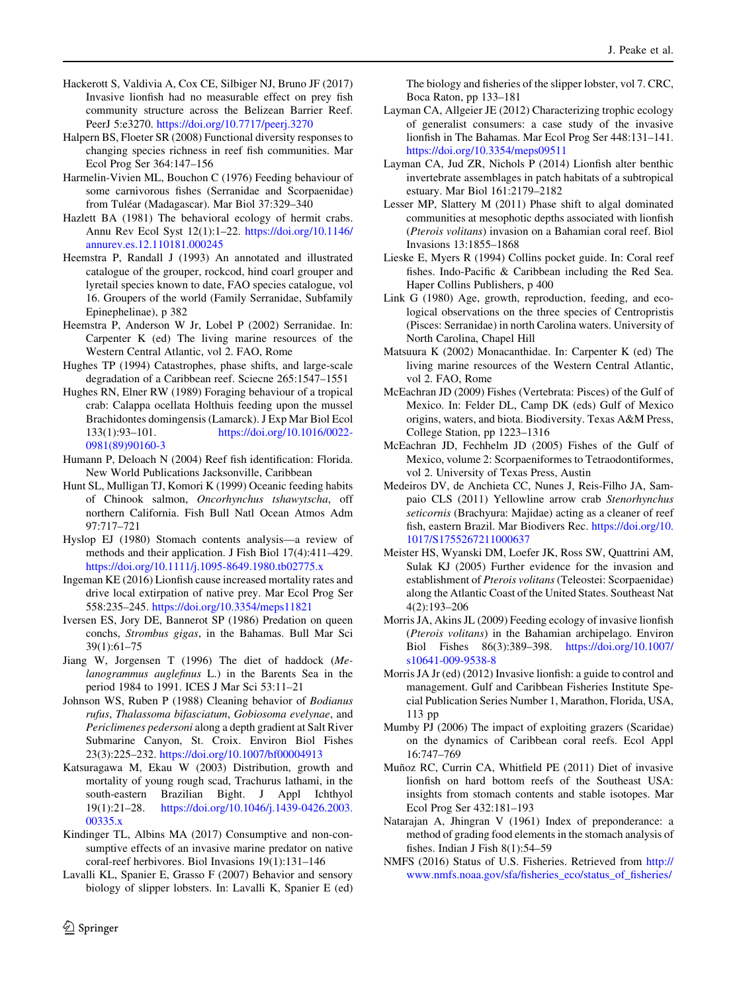- <span id="page-29-0"></span>Hackerott S, Valdivia A, Cox CE, Silbiger NJ, Bruno JF (2017) Invasive lionfish had no measurable effect on prey fish community structure across the Belizean Barrier Reef. PeerJ 5:e3270. <https://doi.org/10.7717/peerj.3270>
- Halpern BS, Floeter SR (2008) Functional diversity responses to changing species richness in reef fish communities. Mar Ecol Prog Ser 364:147–156
- Harmelin-Vivien ML, Bouchon C (1976) Feeding behaviour of some carnivorous fishes (Serranidae and Scorpaenidae) from Tuléar (Madagascar). Mar Biol 37:329-340
- Hazlett BA (1981) The behavioral ecology of hermit crabs. Annu Rev Ecol Syst 12(1):1–22. [https://doi.org/10.1146/](https://doi.org/10.1146/annurev.es.12.110181.000245) [annurev.es.12.110181.000245](https://doi.org/10.1146/annurev.es.12.110181.000245)
- Heemstra P, Randall J (1993) An annotated and illustrated catalogue of the grouper, rockcod, hind coarl grouper and lyretail species known to date, FAO species catalogue, vol 16. Groupers of the world (Family Serranidae, Subfamily Epinephelinae), p 382
- Heemstra P, Anderson W Jr, Lobel P (2002) Serranidae. In: Carpenter K (ed) The living marine resources of the Western Central Atlantic, vol 2. FAO, Rome
- Hughes TP (1994) Catastrophes, phase shifts, and large-scale degradation of a Caribbean reef. Sciecne 265:1547–1551
- Hughes RN, Elner RW (1989) Foraging behaviour of a tropical crab: Calappa ocellata Holthuis feeding upon the mussel Brachidontes domingensis (Lamarck). J Exp Mar Biol Ecol 133(1):93–101. [https://doi.org/10.1016/0022-](https://doi.org/10.1016/0022-0981(89)90160-3) [0981\(89\)90160-3](https://doi.org/10.1016/0022-0981(89)90160-3)
- Humann P, Deloach N (2004) Reef fish identification: Florida. New World Publications Jacksonville, Caribbean
- Hunt SL, Mulligan TJ, Komori K (1999) Oceanic feeding habits of Chinook salmon, Oncorhynchus tshawytscha, off northern California. Fish Bull Natl Ocean Atmos Adm 97:717–721
- Hyslop EJ (1980) Stomach contents analysis—a review of methods and their application. J Fish Biol 17(4):411–429. <https://doi.org/10.1111/j.1095-8649.1980.tb02775.x>
- Ingeman KE (2016) Lionfish cause increased mortality rates and drive local extirpation of native prey. Mar Ecol Prog Ser 558:235–245. <https://doi.org/10.3354/meps11821>
- Iversen ES, Jory DE, Bannerot SP (1986) Predation on queen conchs, Strombus gigas, in the Bahamas. Bull Mar Sci 39(1):61–75
- Jiang W, Jorgensen T (1996) The diet of haddock (Melanogrammus auglefinus L.) in the Barents Sea in the period 1984 to 1991. ICES J Mar Sci 53:11–21
- Johnson WS, Ruben P (1988) Cleaning behavior of Bodianus rufus, Thalassoma bifasciatum, Gobiosoma evelynae, and Periclimenes pedersoni along a depth gradient at Salt River Submarine Canyon, St. Croix. Environ Biol Fishes 23(3):225–232. <https://doi.org/10.1007/bf00004913>
- Katsuragawa M, Ekau W (2003) Distribution, growth and mortality of young rough scad, Trachurus lathami, in the south-eastern Brazilian Bight. J Appl Ichthyol 19(1):21–28. [https://doi.org/10.1046/j.1439-0426.2003.](https://doi.org/10.1046/j.1439-0426.2003.00335.x) [00335.x](https://doi.org/10.1046/j.1439-0426.2003.00335.x)
- Kindinger TL, Albins MA (2017) Consumptive and non-consumptive effects of an invasive marine predator on native coral-reef herbivores. Biol Invasions 19(1):131–146
- Lavalli KL, Spanier E, Grasso F (2007) Behavior and sensory biology of slipper lobsters. In: Lavalli K, Spanier E (ed)

The biology and fisheries of the slipper lobster, vol 7. CRC, Boca Raton, pp 133–181

- Layman CA, Allgeier JE (2012) Characterizing trophic ecology of generalist consumers: a case study of the invasive lionfish in The Bahamas. Mar Ecol Prog Ser 448:131–141. <https://doi.org/10.3354/meps09511>
- Layman CA, Jud ZR, Nichols P (2014) Lionfish alter benthic invertebrate assemblages in patch habitats of a subtropical estuary. Mar Biol 161:2179–2182
- Lesser MP, Slattery M (2011) Phase shift to algal dominated communities at mesophotic depths associated with lionfish (Pterois volitans) invasion on a Bahamian coral reef. Biol Invasions 13:1855–1868
- Lieske E, Myers R (1994) Collins pocket guide. In: Coral reef fishes. Indo-Pacific & Caribbean including the Red Sea. Haper Collins Publishers, p 400
- Link G (1980) Age, growth, reproduction, feeding, and ecological observations on the three species of Centropristis (Pisces: Serranidae) in north Carolina waters. University of North Carolina, Chapel Hill
- Matsuura K (2002) Monacanthidae. In: Carpenter K (ed) The living marine resources of the Western Central Atlantic, vol 2. FAO, Rome
- McEachran JD (2009) Fishes (Vertebrata: Pisces) of the Gulf of Mexico. In: Felder DL, Camp DK (eds) Gulf of Mexico origins, waters, and biota. Biodiversity. Texas A&M Press, College Station, pp 1223–1316
- McEachran JD, Fechhelm JD (2005) Fishes of the Gulf of Mexico, volume 2: Scorpaeniformes to Tetraodontiformes, vol 2. University of Texas Press, Austin
- Medeiros DV, de Anchieta CC, Nunes J, Reis-Filho JA, Sampaio CLS (2011) Yellowline arrow crab Stenorhynchus seticornis (Brachyura: Majidae) acting as a cleaner of reef fish, eastern Brazil. Mar Biodivers Rec. [https://doi.org/10.](https://doi.org/10.1017/S1755267211000637) [1017/S1755267211000637](https://doi.org/10.1017/S1755267211000637)
- Meister HS, Wyanski DM, Loefer JK, Ross SW, Quattrini AM, Sulak KJ (2005) Further evidence for the invasion and establishment of Pterois volitans(Teleostei: Scorpaenidae) along the Atlantic Coast of the United States. Southeast Nat 4(2):193–206
- Morris JA, Akins JL (2009) Feeding ecology of invasive lionfish (Pterois volitans) in the Bahamian archipelago. Environ Biol Fishes 86(3):389–398. [https://doi.org/10.1007/](https://doi.org/10.1007/s10641-009-9538-8) [s10641-009-9538-8](https://doi.org/10.1007/s10641-009-9538-8)
- Morris JA Jr (ed) (2012) Invasive lionfish: a guide to control and management. Gulf and Caribbean Fisheries Institute Special Publication Series Number 1, Marathon, Florida, USA, 113 pp
- Mumby PJ (2006) The impact of exploiting grazers (Scaridae) on the dynamics of Caribbean coral reefs. Ecol Appl 16:747–769
- Muñoz RC, Currin CA, Whitfield PE (2011) Diet of invasive lionfish on hard bottom reefs of the Southeast USA: insights from stomach contents and stable isotopes. Mar Ecol Prog Ser 432:181–193
- Natarajan A, Jhingran V (1961) Index of preponderance: a method of grading food elements in the stomach analysis of fishes. Indian J Fish 8(1):54–59
- NMFS (2016) Status of U.S. Fisheries. Retrieved from [http://](http://www.nmfs.noaa.gov/sfa/fisheries_eco/status_of_fisheries/archive/2016/fourth/q4-2016-stock-status-tables.pdf) [www.nmfs.noaa.gov/sfa/fisheries\\_eco/status\\_of\\_fisheries/](http://www.nmfs.noaa.gov/sfa/fisheries_eco/status_of_fisheries/archive/2016/fourth/q4-2016-stock-status-tables.pdf)